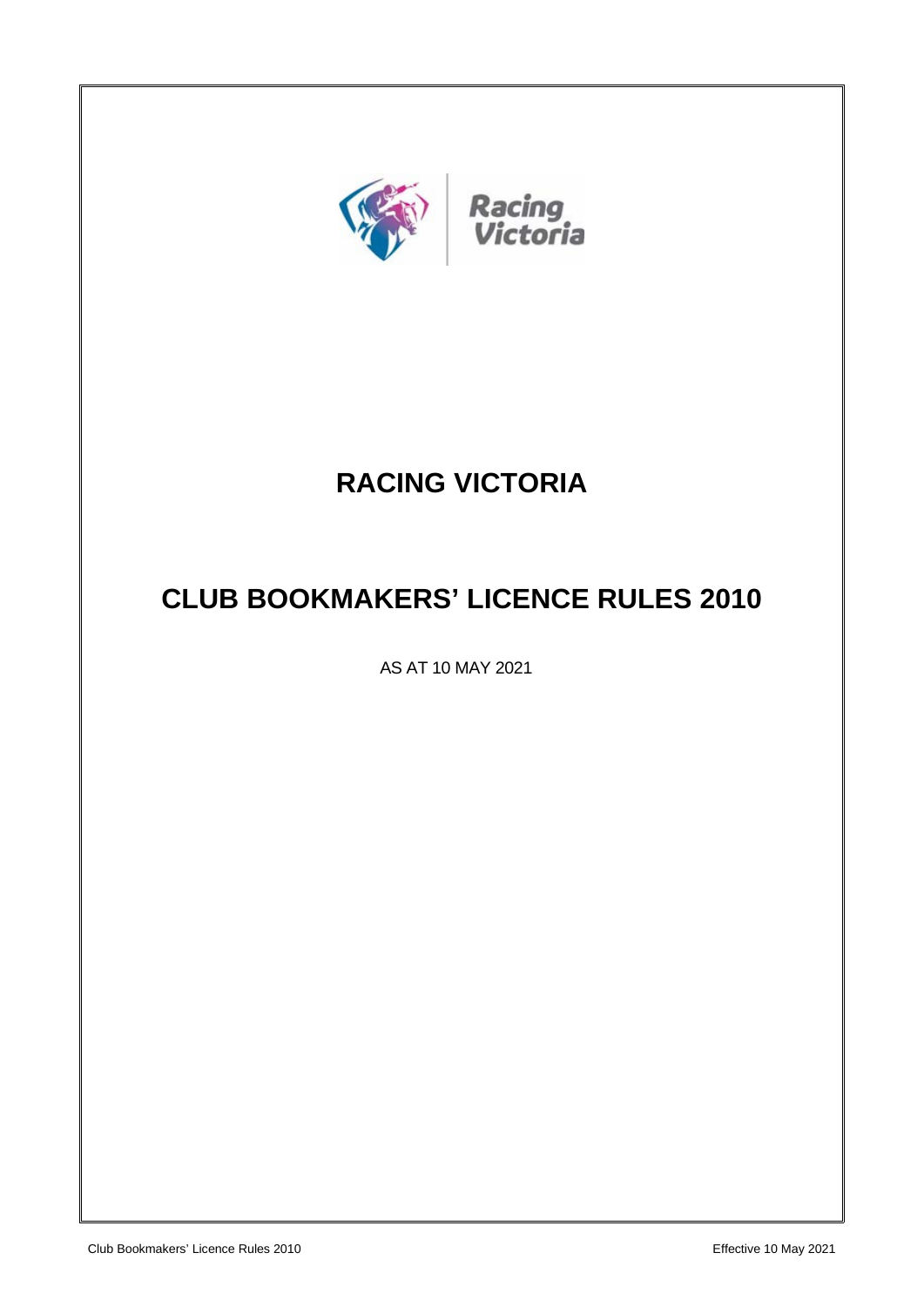

# **RACING VICTORIA**

## **CLUB BOOKMAKERS' LICENCE RULES 2010**

AS AT 10 MAY 2021

Club Bookmakers' Licence Rules 2010 Effective 10 May 2021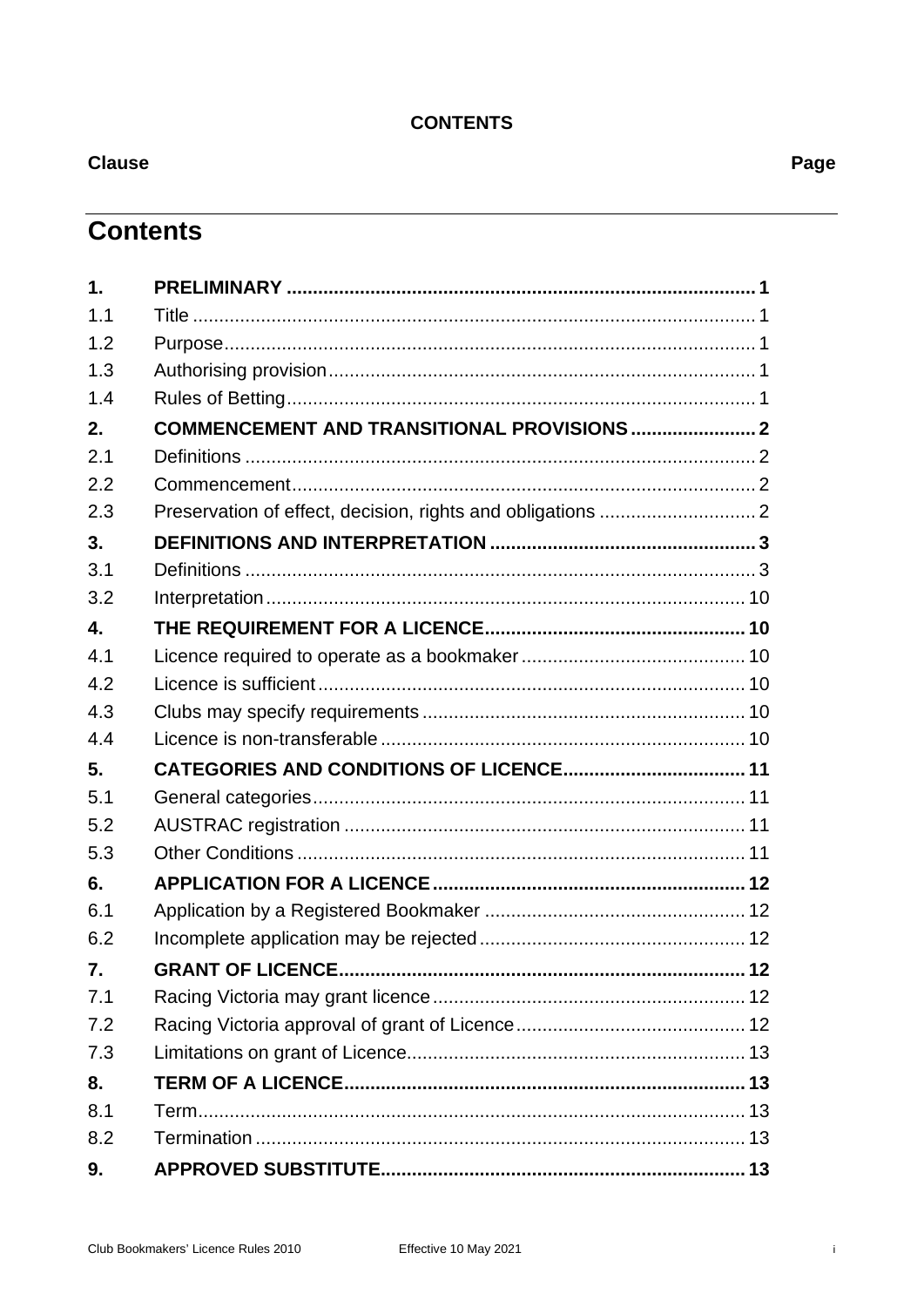## **CONTENTS**

**Clause** 

**Contents** 

| 1.                        |                                             |  |
|---------------------------|---------------------------------------------|--|
| 1.1                       |                                             |  |
| 1.2                       |                                             |  |
| 1.3                       |                                             |  |
| 1.4                       |                                             |  |
| 2.                        | COMMENCEMENT AND TRANSITIONAL PROVISIONS  2 |  |
| 2.1                       |                                             |  |
| 2.2                       |                                             |  |
| 2.3                       |                                             |  |
| 3.                        |                                             |  |
| 3.1                       |                                             |  |
| 3.2                       |                                             |  |
| $\overline{\mathbf{4}}$ . |                                             |  |
| 4.1                       |                                             |  |
| 4.2                       |                                             |  |
| 4.3                       |                                             |  |
| 4.4                       |                                             |  |
| 5.                        |                                             |  |
| 5.1                       |                                             |  |
| 5.2                       |                                             |  |
| 5.3                       |                                             |  |
| 6.                        |                                             |  |
| 6.1                       |                                             |  |
| 6.2                       |                                             |  |
| 7.                        |                                             |  |
| 7.1                       |                                             |  |
| 7.2                       |                                             |  |
| 7.3                       |                                             |  |
| 8.                        |                                             |  |
| 8.1                       |                                             |  |
| 8.2                       |                                             |  |
| 9.                        |                                             |  |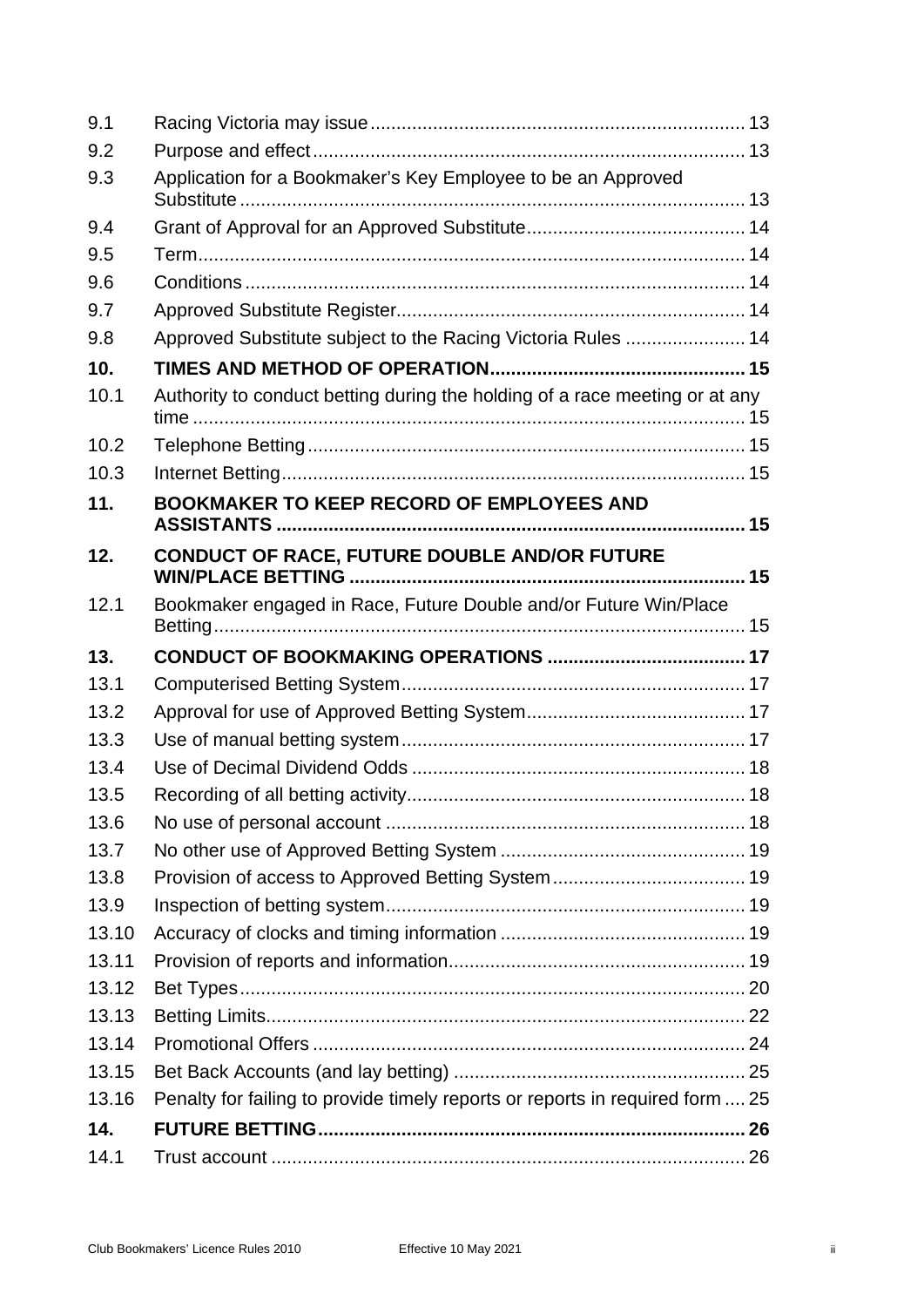| 9.1   |                                                                               |  |
|-------|-------------------------------------------------------------------------------|--|
| 9.2   |                                                                               |  |
| 9.3   | Application for a Bookmaker's Key Employee to be an Approved                  |  |
| 9.4   |                                                                               |  |
| 9.5   |                                                                               |  |
| 9.6   |                                                                               |  |
| 9.7   |                                                                               |  |
| 9.8   | Approved Substitute subject to the Racing Victoria Rules  14                  |  |
| 10.   |                                                                               |  |
| 10.1  | Authority to conduct betting during the holding of a race meeting or at any   |  |
| 10.2  |                                                                               |  |
| 10.3  |                                                                               |  |
| 11.   | <b>BOOKMAKER TO KEEP RECORD OF EMPLOYEES AND</b>                              |  |
| 12.   | CONDUCT OF RACE, FUTURE DOUBLE AND/OR FUTURE                                  |  |
| 12.1  | Bookmaker engaged in Race, Future Double and/or Future Win/Place              |  |
| 13.   |                                                                               |  |
| 13.1  |                                                                               |  |
| 13.2  |                                                                               |  |
| 13.3  |                                                                               |  |
| 13.4  |                                                                               |  |
| 13.5  |                                                                               |  |
| 13.6  |                                                                               |  |
| 13.7  |                                                                               |  |
| 13.8  |                                                                               |  |
| 13.9  |                                                                               |  |
| 13.10 |                                                                               |  |
| 13.11 |                                                                               |  |
| 13.12 |                                                                               |  |
| 13.13 |                                                                               |  |
| 13.14 |                                                                               |  |
| 13.15 |                                                                               |  |
| 13.16 | Penalty for failing to provide timely reports or reports in required form  25 |  |
| 14.   |                                                                               |  |
| 14.1  |                                                                               |  |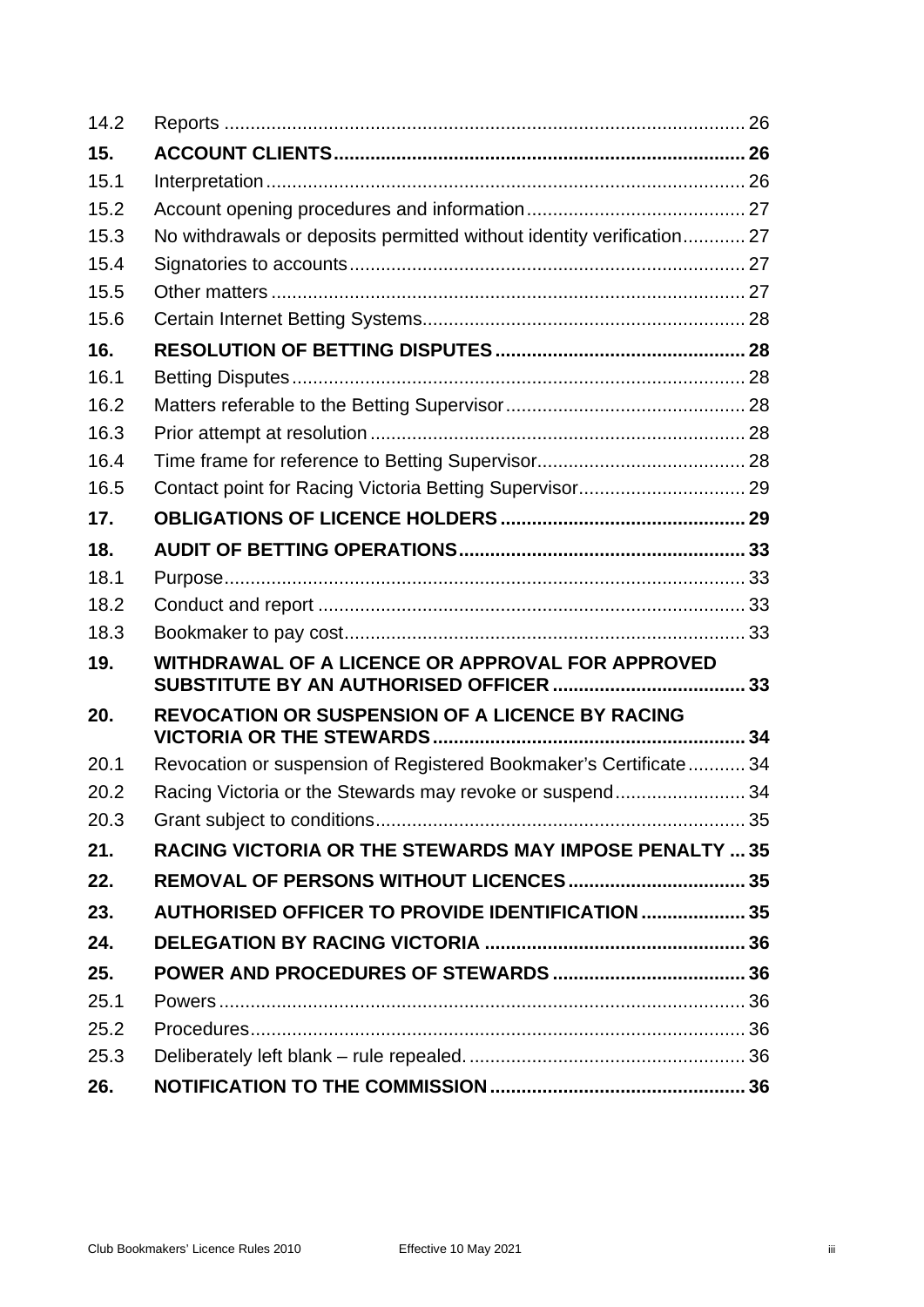| 14.2 |                                                                       |  |  |
|------|-----------------------------------------------------------------------|--|--|
| 15.  |                                                                       |  |  |
| 15.1 |                                                                       |  |  |
| 15.2 |                                                                       |  |  |
| 15.3 | No withdrawals or deposits permitted without identity verification 27 |  |  |
| 15.4 |                                                                       |  |  |
| 15.5 |                                                                       |  |  |
| 15.6 |                                                                       |  |  |
| 16.  |                                                                       |  |  |
| 16.1 |                                                                       |  |  |
| 16.2 |                                                                       |  |  |
| 16.3 |                                                                       |  |  |
| 16.4 |                                                                       |  |  |
| 16.5 |                                                                       |  |  |
| 17.  |                                                                       |  |  |
| 18.  |                                                                       |  |  |
| 18.1 |                                                                       |  |  |
| 18.2 |                                                                       |  |  |
| 18.3 |                                                                       |  |  |
| 19.  | WITHDRAWAL OF A LICENCE OR APPROVAL FOR APPROVED                      |  |  |
| 20.  | <b>REVOCATION OR SUSPENSION OF A LICENCE BY RACING</b>                |  |  |
| 20.1 | Revocation or suspension of Registered Bookmaker's Certificate 34     |  |  |
| 20.2 | Racing Victoria or the Stewards may revoke or suspend34               |  |  |
| 20.3 |                                                                       |  |  |
| 21.  | <b>RACING VICTORIA OR THE STEWARDS MAY IMPOSE PENALTY  35</b>         |  |  |
| 22.  |                                                                       |  |  |
| 23.  | <b>AUTHORISED OFFICER TO PROVIDE IDENTIFICATION  35</b>               |  |  |
| 24.  |                                                                       |  |  |
| 25.  |                                                                       |  |  |
| 25.1 |                                                                       |  |  |
| 25.2 |                                                                       |  |  |
| 25.3 |                                                                       |  |  |
| 26.  |                                                                       |  |  |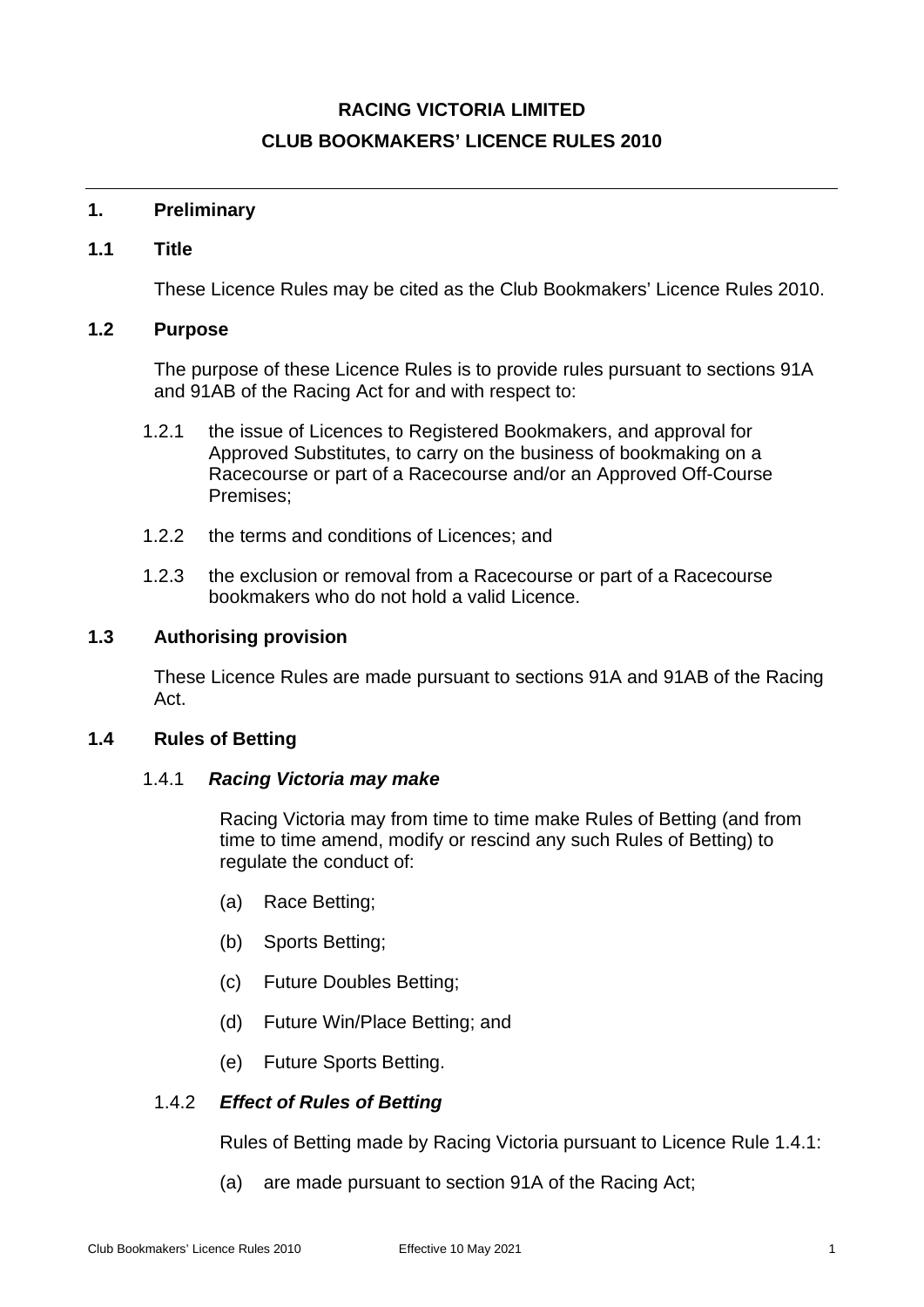## **RACING VICTORIA LIMITED CLUB BOOKMAKERS' LICENCE RULES 2010**

## <span id="page-4-1"></span><span id="page-4-0"></span>**1. Preliminary**

## **1.1 Title**

These Licence Rules may be cited as the Club Bookmakers' Licence Rules 2010.

## <span id="page-4-2"></span>**1.2 Purpose**

The purpose of these Licence Rules is to provide rules pursuant to sections 91A and 91AB of the Racing Act for and with respect to:

- 1.2.1 the issue of Licences to Registered Bookmakers, and approval for Approved Substitutes, to carry on the business of bookmaking on a Racecourse or part of a Racecourse and/or an Approved Off-Course Premises;
- 1.2.2 the terms and conditions of Licences; and
- 1.2.3 the exclusion or removal from a Racecourse or part of a Racecourse bookmakers who do not hold a valid Licence.

## <span id="page-4-3"></span>**1.3 Authorising provision**

These Licence Rules are made pursuant to sections 91A and 91AB of the Racing Act.

## <span id="page-4-5"></span><span id="page-4-4"></span>**1.4 Rules of Betting**

#### 1.4.1 *Racing Victoria may make*

Racing Victoria may from time to time make Rules of Betting (and from time to time amend, modify or rescind any such Rules of Betting) to regulate the conduct of:

- (a) Race Betting;
- (b) Sports Betting;
- (c) Future Doubles Betting;
- (d) Future Win/Place Betting; and
- (e) Future Sports Betting.

## 1.4.2 *Effect of Rules of Betting*

Rules of Betting made by Racing Victoria pursuant to Licence Rule [1.4.1:](#page-4-5)

(a) are made pursuant to section 91A of the Racing Act;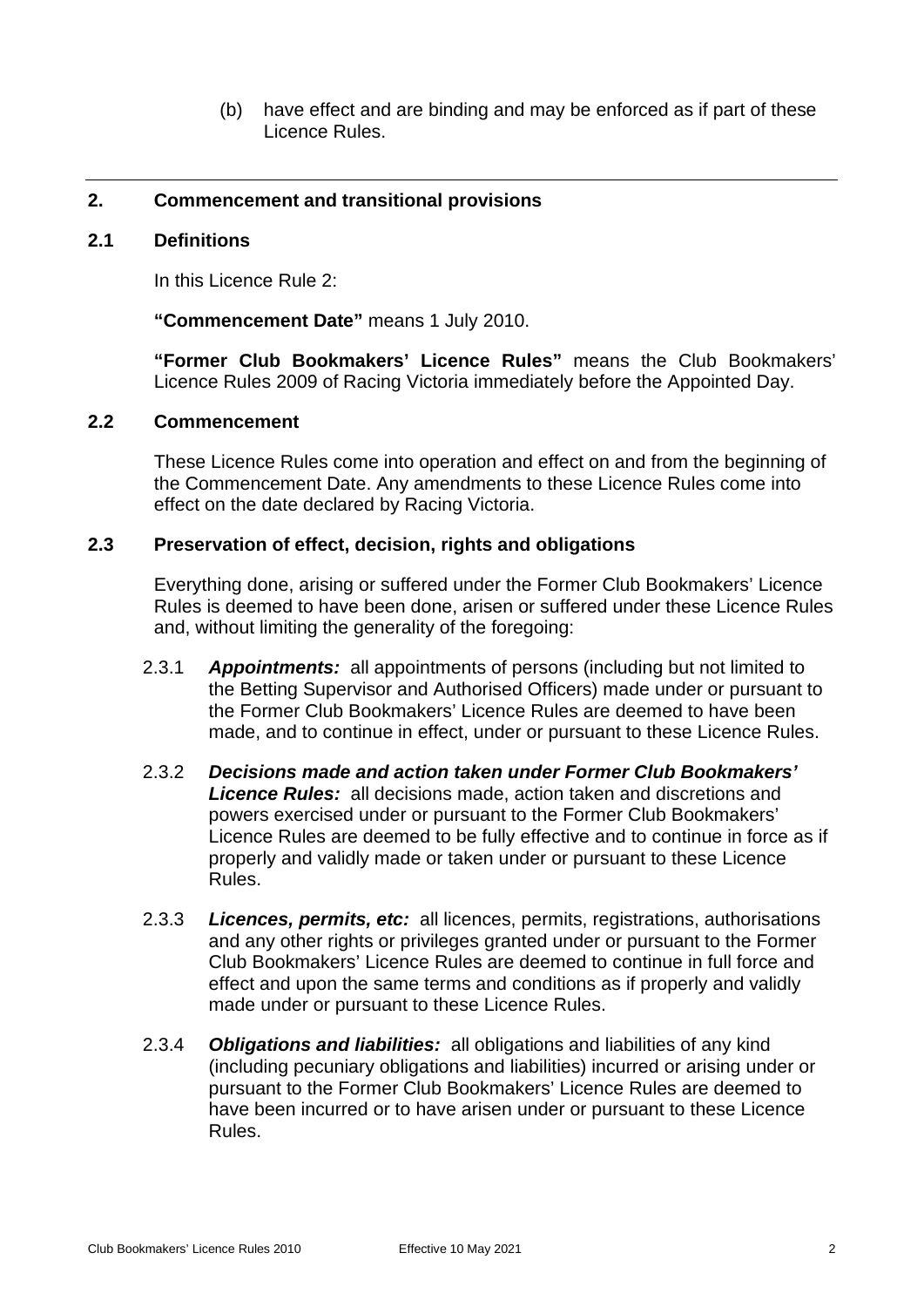(b) have effect and are binding and may be enforced as if part of these Licence Rules.

## <span id="page-5-1"></span><span id="page-5-0"></span>**2. Commencement and transitional provisions**

#### **2.1 Definitions**

In this Licence Rule [2:](#page-5-0)

**"Commencement Date"** means 1 July 2010.

**"Former Club Bookmakers' Licence Rules"** means the Club Bookmakers' Licence Rules 2009 of Racing Victoria immediately before the Appointed Day.

#### <span id="page-5-2"></span>**2.2 Commencement**

These Licence Rules come into operation and effect on and from the beginning of the Commencement Date. Any amendments to these Licence Rules come into effect on the date declared by Racing Victoria.

#### <span id="page-5-3"></span>**2.3 Preservation of effect, decision, rights and obligations**

Everything done, arising or suffered under the Former Club Bookmakers' Licence Rules is deemed to have been done, arisen or suffered under these Licence Rules and, without limiting the generality of the foregoing:

- 2.3.1 *Appointments:* all appointments of persons (including but not limited to the Betting Supervisor and Authorised Officers) made under or pursuant to the Former Club Bookmakers' Licence Rules are deemed to have been made, and to continue in effect, under or pursuant to these Licence Rules.
- 2.3.2 *Decisions made and action taken under Former Club Bookmakers' Licence Rules:* all decisions made, action taken and discretions and powers exercised under or pursuant to the Former Club Bookmakers' Licence Rules are deemed to be fully effective and to continue in force as if properly and validly made or taken under or pursuant to these Licence Rules.
- 2.3.3 *Licences, permits, etc:* all licences, permits, registrations, authorisations and any other rights or privileges granted under or pursuant to the Former Club Bookmakers' Licence Rules are deemed to continue in full force and effect and upon the same terms and conditions as if properly and validly made under or pursuant to these Licence Rules.
- 2.3.4 *Obligations and liabilities:* all obligations and liabilities of any kind (including pecuniary obligations and liabilities) incurred or arising under or pursuant to the Former Club Bookmakers' Licence Rules are deemed to have been incurred or to have arisen under or pursuant to these Licence Rules.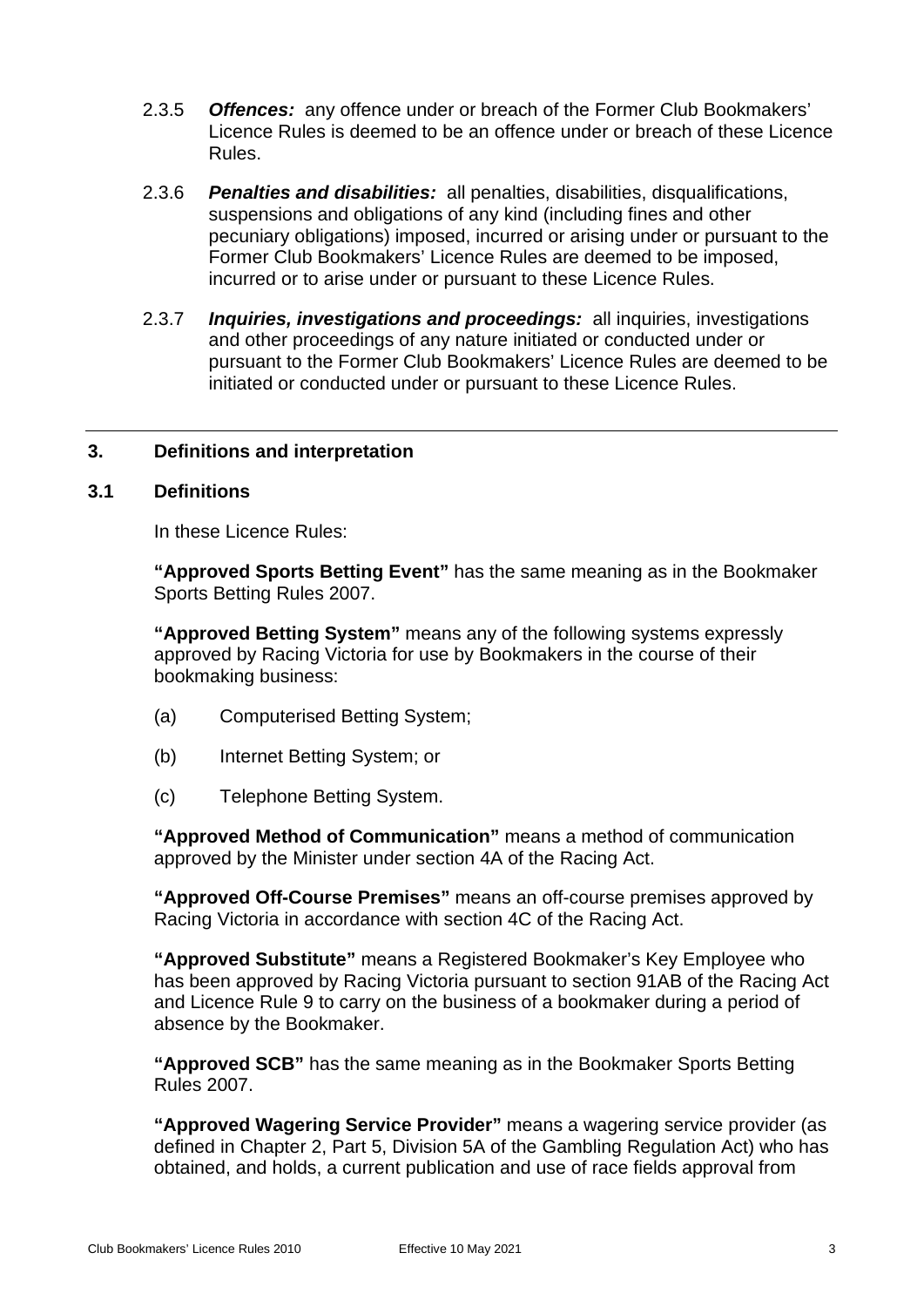- 2.3.5 *Offences:* any offence under or breach of the Former Club Bookmakers' Licence Rules is deemed to be an offence under or breach of these Licence Rules.
- 2.3.6 *Penalties and disabilities:* all penalties, disabilities, disqualifications, suspensions and obligations of any kind (including fines and other pecuniary obligations) imposed, incurred or arising under or pursuant to the Former Club Bookmakers' Licence Rules are deemed to be imposed, incurred or to arise under or pursuant to these Licence Rules.
- 2.3.7 *Inquiries, investigations and proceedings:* all inquiries, investigations and other proceedings of any nature initiated or conducted under or pursuant to the Former Club Bookmakers' Licence Rules are deemed to be initiated or conducted under or pursuant to these Licence Rules.

## <span id="page-6-1"></span><span id="page-6-0"></span>**3. Definitions and interpretation**

#### **3.1 Definitions**

In these Licence Rules:

**"Approved Sports Betting Event"** has the same meaning as in the Bookmaker Sports Betting Rules 2007.

**"Approved Betting System"** means any of the following systems expressly approved by Racing Victoria for use by Bookmakers in the course of their bookmaking business:

- (a) Computerised Betting System;
- (b) Internet Betting System; or
- (c) Telephone Betting System.

**"Approved Method of Communication"** means a method of communication approved by the Minister under section 4A of the Racing Act.

**"Approved Off-Course Premises"** means an off-course premises approved by Racing Victoria in accordance with section 4C of the Racing Act.

**"Approved Substitute"** means a Registered Bookmaker's Key Employee who has been approved by Racing Victoria pursuant to section 91AB of the Racing Act and Licence Rule [9](#page-16-4) to carry on the business of a bookmaker during a period of absence by the Bookmaker.

**"Approved SCB"** has the same meaning as in the Bookmaker Sports Betting Rules 2007.

**"Approved Wagering Service Provider"** means a wagering service provider (as defined in Chapter 2, Part 5, Division 5A of the Gambling Regulation Act) who has obtained, and holds, a current publication and use of race fields approval from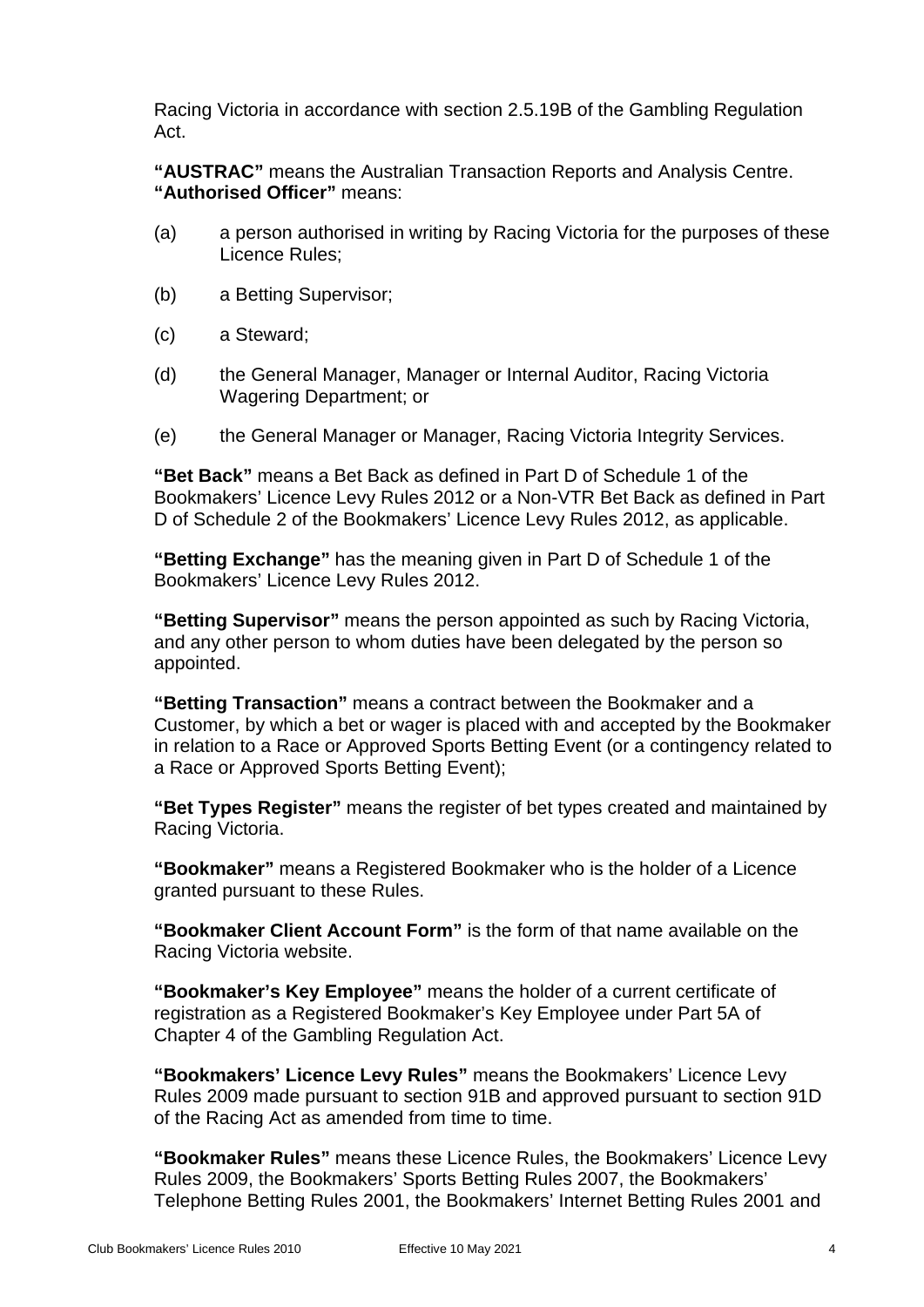Racing Victoria in accordance with section 2.5.19B of the Gambling Regulation Act.

**"AUSTRAC"** means the Australian Transaction Reports and Analysis Centre. **"Authorised Officer"** means:

- (a) a person authorised in writing by Racing Victoria for the purposes of these Licence Rules;
- (b) a Betting Supervisor;
- (c) a Steward;
- (d) the General Manager, Manager or Internal Auditor, Racing Victoria Wagering Department; or
- (e) the General Manager or Manager, Racing Victoria Integrity Services.

**"Bet Back"** means a Bet Back as defined in Part D of Schedule 1 of the Bookmakers' Licence Levy Rules 2012 or a Non-VTR Bet Back as defined in Part D of Schedule 2 of the Bookmakers' Licence Levy Rules 2012, as applicable.

**"Betting Exchange"** has the meaning given in Part D of Schedule 1 of the Bookmakers' Licence Levy Rules 2012.

**"Betting Supervisor"** means the person appointed as such by Racing Victoria, and any other person to whom duties have been delegated by the person so appointed.

**"Betting Transaction"** means a contract between the Bookmaker and a Customer, by which a bet or wager is placed with and accepted by the Bookmaker in relation to a Race or Approved Sports Betting Event (or a contingency related to a Race or Approved Sports Betting Event);

**"Bet Types Register"** means the register of bet types created and maintained by Racing Victoria.

**"Bookmaker"** means a Registered Bookmaker who is the holder of a Licence granted pursuant to these Rules.

**"Bookmaker Client Account Form"** is the form of that name available on the Racing Victoria website.

**"Bookmaker's Key Employee"** means the holder of a current certificate of registration as a Registered Bookmaker's Key Employee under Part 5A of Chapter 4 of the Gambling Regulation Act.

**"Bookmakers' Licence Levy Rules"** means the Bookmakers' Licence Levy Rules 2009 made pursuant to section 91B and approved pursuant to section 91D of the Racing Act as amended from time to time.

**"Bookmaker Rules"** means these Licence Rules, the Bookmakers' Licence Levy Rules 2009, the Bookmakers' Sports Betting Rules 2007, the Bookmakers' Telephone Betting Rules 2001, the Bookmakers' Internet Betting Rules 2001 and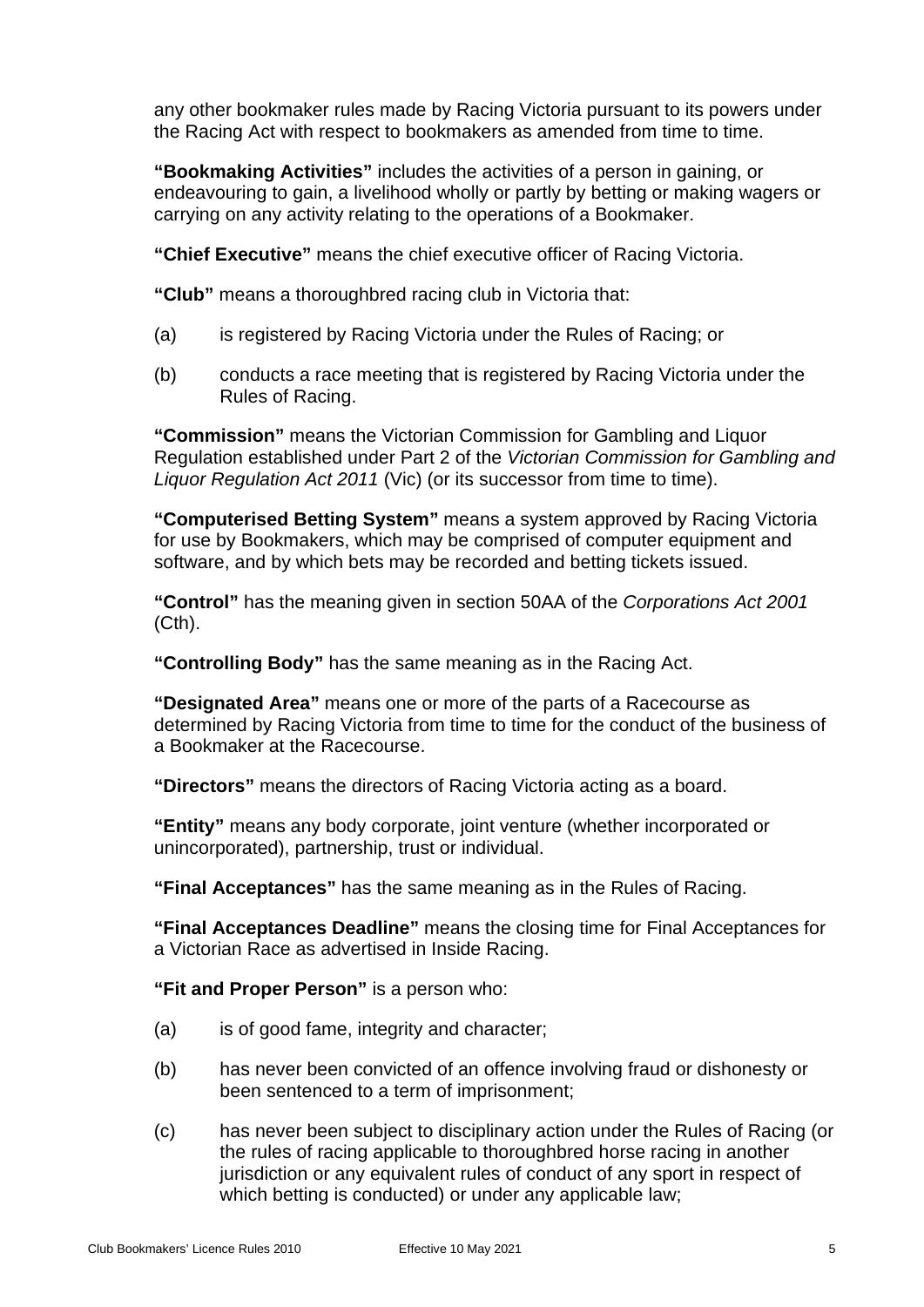any other bookmaker rules made by Racing Victoria pursuant to its powers under the Racing Act with respect to bookmakers as amended from time to time.

**"Bookmaking Activities"** includes the activities of a person in gaining, or endeavouring to gain, a livelihood wholly or partly by betting or making wagers or carrying on any activity relating to the operations of a Bookmaker.

**"Chief Executive"** means the chief executive officer of Racing Victoria.

**"Club"** means a thoroughbred racing club in Victoria that:

- (a) is registered by Racing Victoria under the Rules of Racing; or
- (b) conducts a race meeting that is registered by Racing Victoria under the Rules of Racing.

**"Commission"** means the Victorian Commission for Gambling and Liquor Regulation established under Part 2 of the *Victorian Commission for Gambling and Liquor Regulation Act 2011* (Vic) (or its successor from time to time).

**"Computerised Betting System"** means a system approved by Racing Victoria for use by Bookmakers, which may be comprised of computer equipment and software, and by which bets may be recorded and betting tickets issued.

**"Control"** has the meaning given in section 50AA of the *Corporations Act 2001* (Cth).

**"Controlling Body"** has the same meaning as in the Racing Act.

**"Designated Area"** means one or more of the parts of a Racecourse as determined by Racing Victoria from time to time for the conduct of the business of a Bookmaker at the Racecourse.

**"Directors"** means the directors of Racing Victoria acting as a board.

**"Entity"** means any body corporate, joint venture (whether incorporated or unincorporated), partnership, trust or individual.

**"Final Acceptances"** has the same meaning as in the Rules of Racing.

**"Final Acceptances Deadline"** means the closing time for Final Acceptances for a Victorian Race as advertised in Inside Racing.

**"Fit and Proper Person"** is a person who:

- (a) is of good fame, integrity and character;
- (b) has never been convicted of an offence involving fraud or dishonesty or been sentenced to a term of imprisonment;
- (c) has never been subject to disciplinary action under the Rules of Racing (or the rules of racing applicable to thoroughbred horse racing in another jurisdiction or any equivalent rules of conduct of any sport in respect of which betting is conducted) or under any applicable law;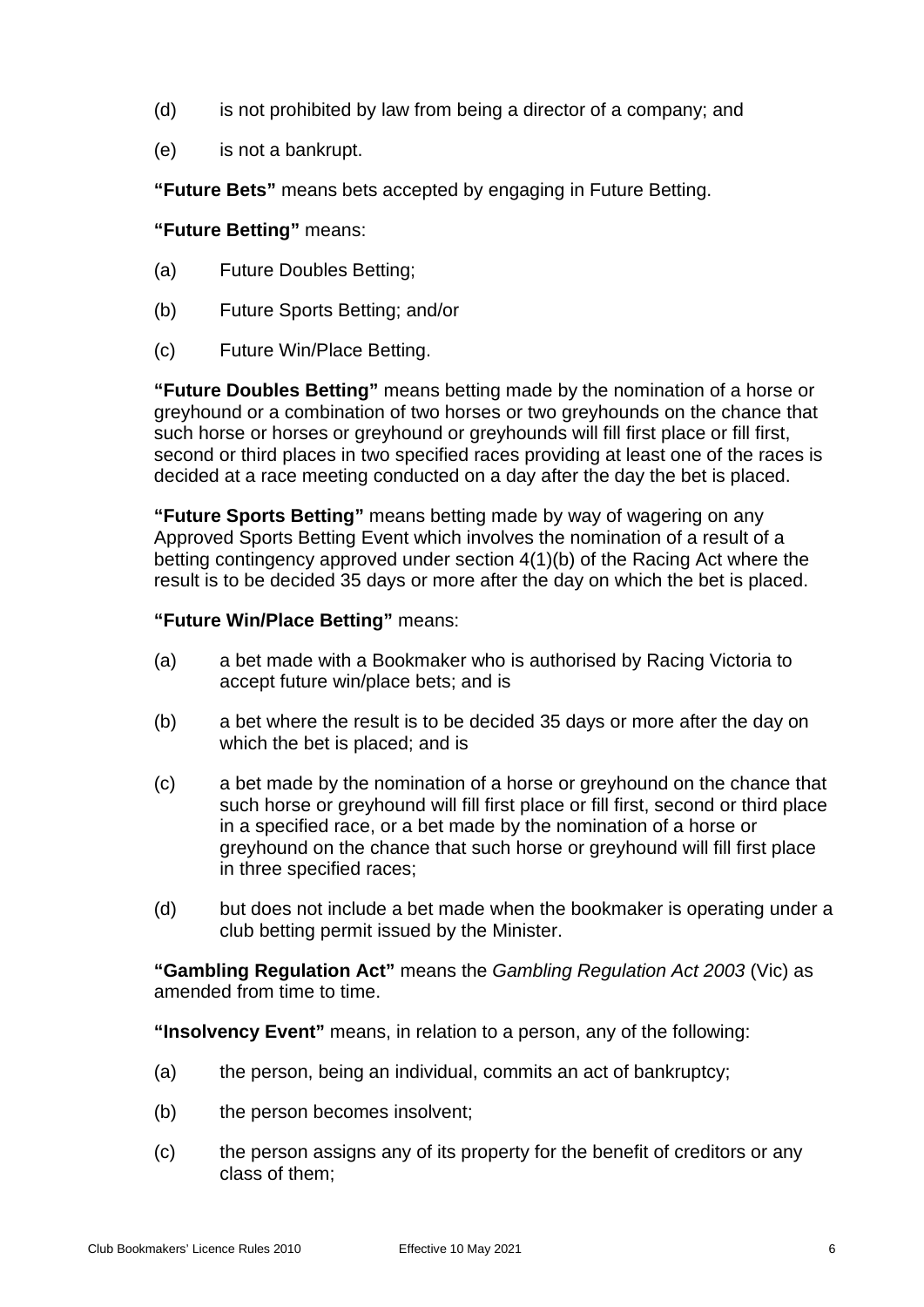- (d) is not prohibited by law from being a director of a company; and
- (e) is not a bankrupt.

**"Future Bets"** means bets accepted by engaging in Future Betting.

## **"Future Betting"** means:

- (a) Future Doubles Betting;
- (b) Future Sports Betting; and/or
- (c) Future Win/Place Betting.

**"Future Doubles Betting"** means betting made by the nomination of a horse or greyhound or a combination of two horses or two greyhounds on the chance that such horse or horses or greyhound or greyhounds will fill first place or fill first, second or third places in two specified races providing at least one of the races is decided at a race meeting conducted on a day after the day the bet is placed.

**"Future Sports Betting"** means betting made by way of wagering on any Approved Sports Betting Event which involves the nomination of a result of a betting contingency approved under section 4(1)(b) of the Racing Act where the result is to be decided 35 days or more after the day on which the bet is placed.

## **"Future Win/Place Betting"** means:

- (a) a bet made with a Bookmaker who is authorised by Racing Victoria to accept future win/place bets; and is
- (b) a bet where the result is to be decided 35 days or more after the day on which the bet is placed; and is
- (c) a bet made by the nomination of a horse or greyhound on the chance that such horse or greyhound will fill first place or fill first, second or third place in a specified race, or a bet made by the nomination of a horse or greyhound on the chance that such horse or greyhound will fill first place in three specified races;
- (d) but does not include a bet made when the bookmaker is operating under a club betting permit issued by the Minister.

**"Gambling Regulation Act"** means the *Gambling Regulation Act 2003* (Vic) as amended from time to time.

**"Insolvency Event"** means, in relation to a person, any of the following:

- (a) the person, being an individual, commits an act of bankruptcy;
- (b) the person becomes insolvent;
- (c) the person assigns any of its property for the benefit of creditors or any class of them;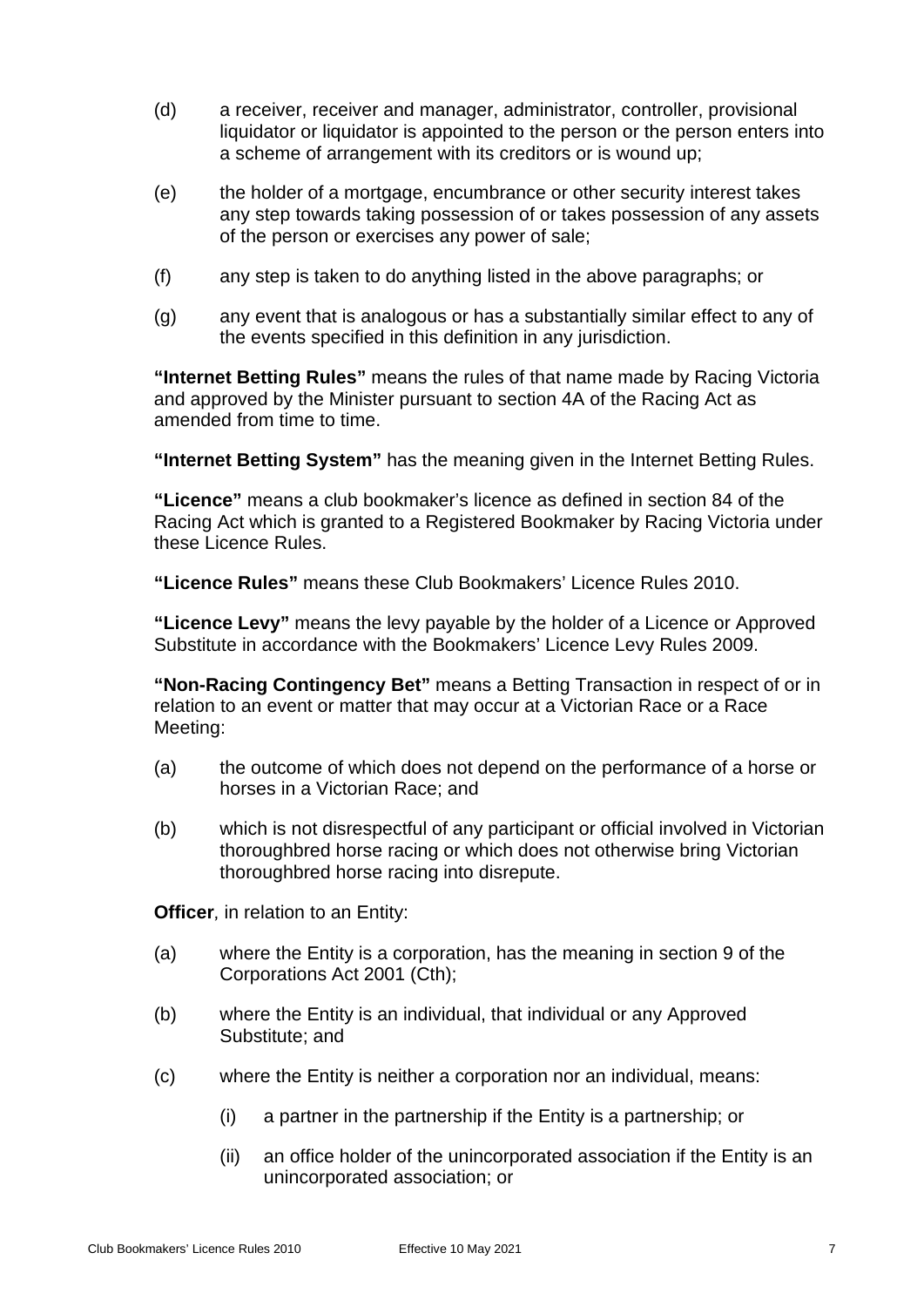- (d) a receiver, receiver and manager, administrator, controller, provisional liquidator or liquidator is appointed to the person or the person enters into a scheme of arrangement with its creditors or is wound up;
- (e) the holder of a mortgage, encumbrance or other security interest takes any step towards taking possession of or takes possession of any assets of the person or exercises any power of sale;
- (f) any step is taken to do anything listed in the above paragraphs; or
- (g) any event that is analogous or has a substantially similar effect to any of the events specified in this definition in any jurisdiction.

**"Internet Betting Rules"** means the rules of that name made by Racing Victoria and approved by the Minister pursuant to section 4A of the Racing Act as amended from time to time.

**"Internet Betting System"** has the meaning given in the Internet Betting Rules.

**"Licence"** means a club bookmaker's licence as defined in section 84 of the Racing Act which is granted to a Registered Bookmaker by Racing Victoria under these Licence Rules.

**"Licence Rules"** means these Club Bookmakers' Licence Rules 2010.

**"Licence Levy"** means the levy payable by the holder of a Licence or Approved Substitute in accordance with the Bookmakers' Licence Levy Rules 2009.

**"Non-Racing Contingency Bet"** means a Betting Transaction in respect of or in relation to an event or matter that may occur at a Victorian Race or a Race Meeting:

- (a) the outcome of which does not depend on the performance of a horse or horses in a Victorian Race; and
- (b) which is not disrespectful of any participant or official involved in Victorian thoroughbred horse racing or which does not otherwise bring Victorian thoroughbred horse racing into disrepute.

**Officer**, in relation to an Entity:

- (a) where the Entity is a corporation, has the meaning in section 9 of the Corporations Act 2001 (Cth);
- (b) where the Entity is an individual, that individual or any Approved Substitute; and
- (c) where the Entity is neither a corporation nor an individual, means:
	- (i) a partner in the partnership if the Entity is a partnership; or
	- (ii) an office holder of the unincorporated association if the Entity is an unincorporated association; or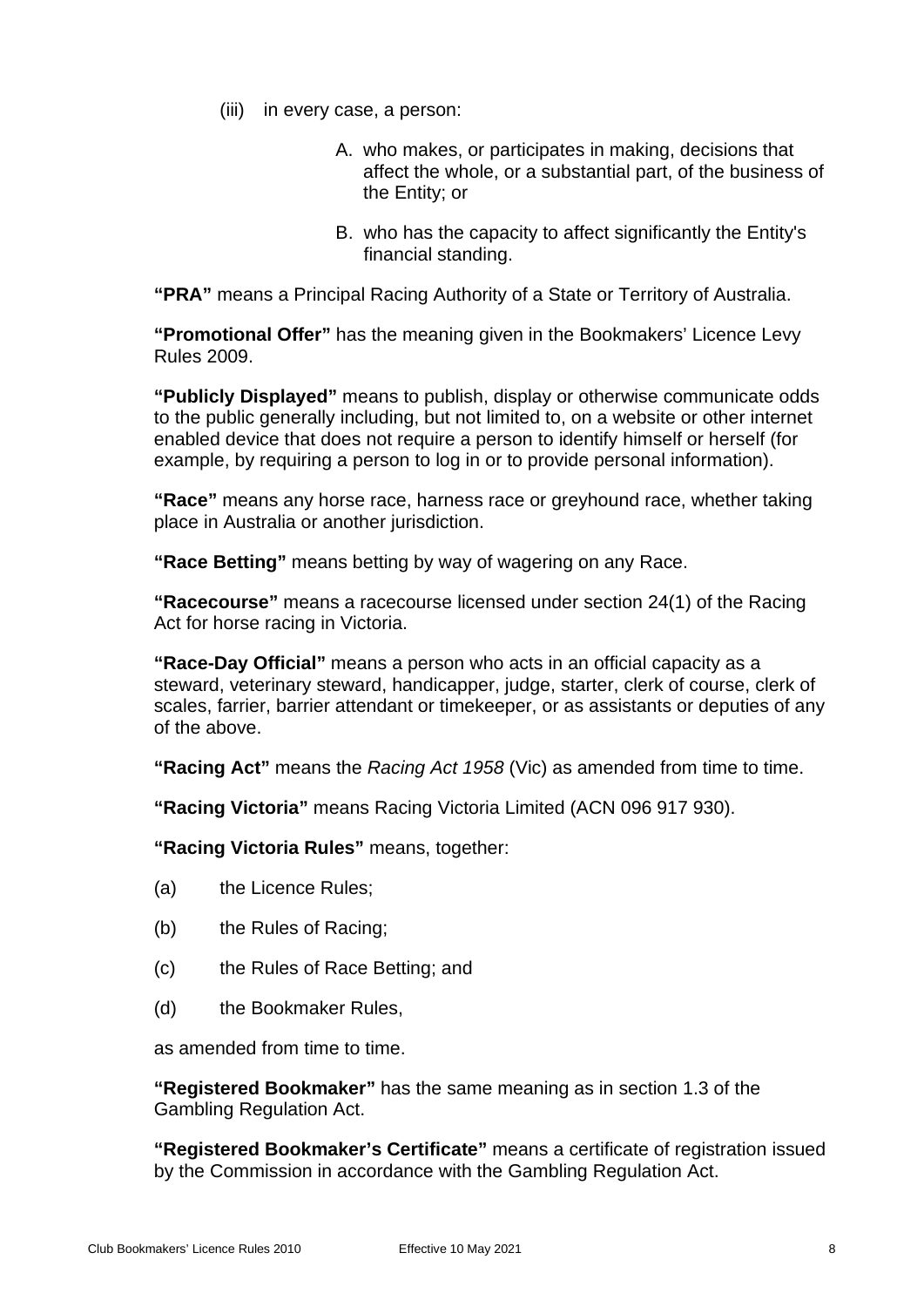- (iii) in every case, a person:
	- A. who makes, or participates in making, decisions that affect the whole, or a substantial part, of the business of the Entity; or
	- B. who has the capacity to affect significantly the Entity's financial standing.

**"PRA"** means a Principal Racing Authority of a State or Territory of Australia.

**"Promotional Offer"** has the meaning given in the Bookmakers' Licence Levy Rules 2009.

**"Publicly Displayed"** means to publish, display or otherwise communicate odds to the public generally including, but not limited to, on a website or other internet enabled device that does not require a person to identify himself or herself (for example, by requiring a person to log in or to provide personal information).

**"Race"** means any horse race, harness race or greyhound race, whether taking place in Australia or another jurisdiction.

**"Race Betting"** means betting by way of wagering on any Race.

**"Racecourse"** means a racecourse licensed under section 24(1) of the Racing Act for horse racing in Victoria.

**"Race-Day Official"** means a person who acts in an official capacity as a steward, veterinary steward, handicapper, judge, starter, clerk of course, clerk of scales, farrier, barrier attendant or timekeeper, or as assistants or deputies of any of the above.

**"Racing Act"** means the *Racing Act 1958* (Vic) as amended from time to time.

**"Racing Victoria"** means Racing Victoria Limited (ACN 096 917 930).

**"Racing Victoria Rules"** means, together:

- (a) the Licence Rules;
- (b) the Rules of Racing;
- (c) the Rules of Race Betting; and
- (d) the Bookmaker Rules,

as amended from time to time.

**"Registered Bookmaker"** has the same meaning as in section 1.3 of the Gambling Regulation Act.

**"Registered Bookmaker's Certificate"** means a certificate of registration issued by the Commission in accordance with the Gambling Regulation Act.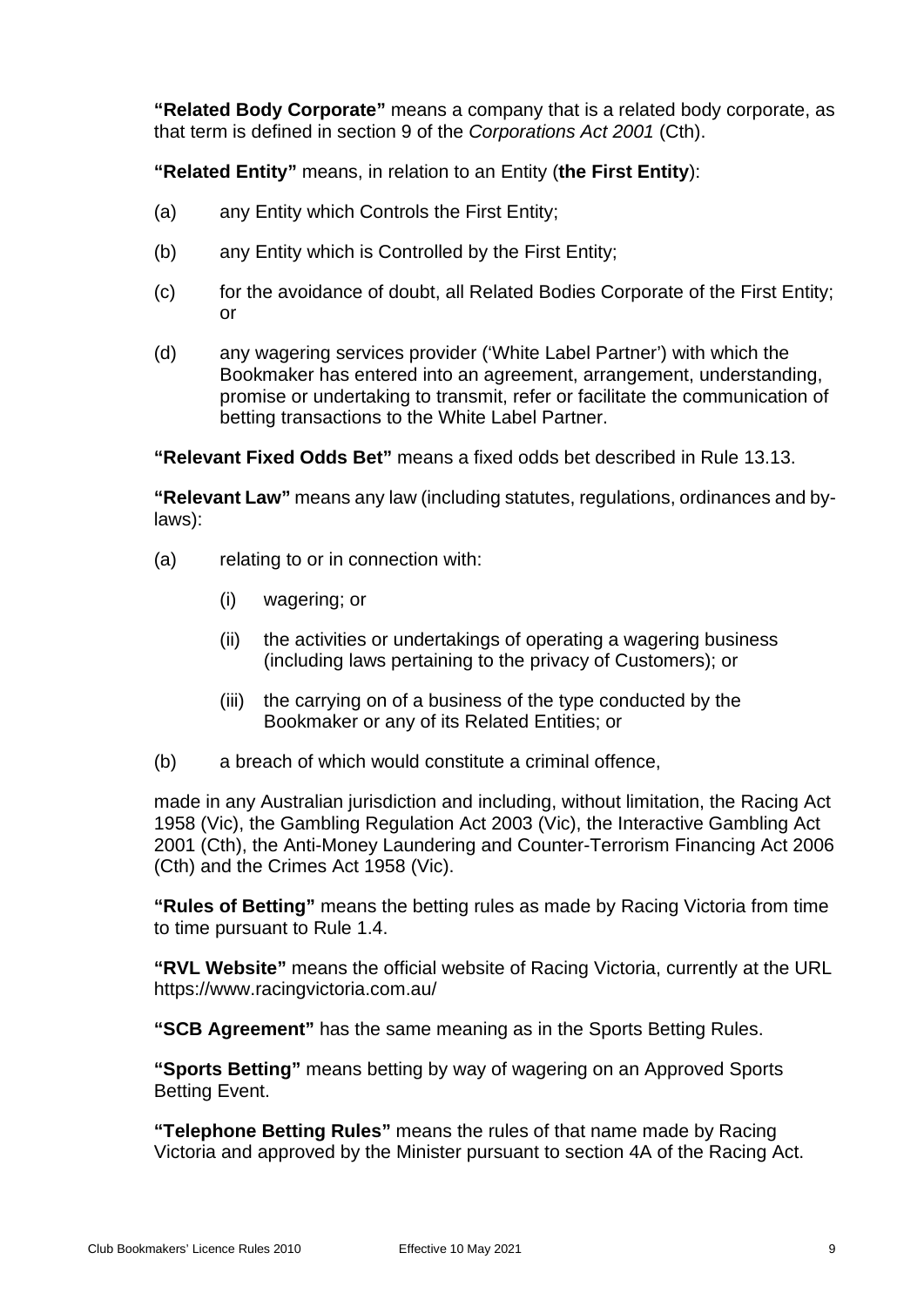**"Related Body Corporate"** means a company that is a related body corporate, as that term is defined in section 9 of the *Corporations Act 2001* (Cth).

**"Related Entity"** means, in relation to an Entity (**the First Entity**):

- (a) any Entity which Controls the First Entity;
- (b) any Entity which is Controlled by the First Entity;
- (c) for the avoidance of doubt, all Related Bodies Corporate of the First Entity; or
- (d) any wagering services provider ('White Label Partner') with which the Bookmaker has entered into an agreement, arrangement, understanding, promise or undertaking to transmit, refer or facilitate the communication of betting transactions to the White Label Partner.

**"Relevant Fixed Odds Bet"** means a fixed odds bet described in Rule 13.13.

**"Relevant Law"** means any law (including statutes, regulations, ordinances and bylaws):

- (a) relating to or in connection with:
	- (i) wagering; or
	- (ii) the activities or undertakings of operating a wagering business (including laws pertaining to the privacy of Customers); or
	- (iii) the carrying on of a business of the type conducted by the Bookmaker or any of its Related Entities; or
- (b) a breach of which would constitute a criminal offence,

made in any Australian jurisdiction and including, without limitation, the Racing Act 1958 (Vic), the Gambling Regulation Act 2003 (Vic), the Interactive Gambling Act 2001 (Cth), the Anti-Money Laundering and Counter-Terrorism Financing Act 2006 (Cth) and the Crimes Act 1958 (Vic).

**"Rules of Betting"** means the betting rules as made by Racing Victoria from time to time pursuant to Rule [1.4.](#page-4-4)

**"RVL Website"** means the official website of Racing Victoria, currently at the URL https://www.racingvictoria.com.au/

**"SCB Agreement"** has the same meaning as in the Sports Betting Rules.

**"Sports Betting"** means betting by way of wagering on an Approved Sports Betting Event.

**"Telephone Betting Rules"** means the rules of that name made by Racing Victoria and approved by the Minister pursuant to section 4A of the Racing Act.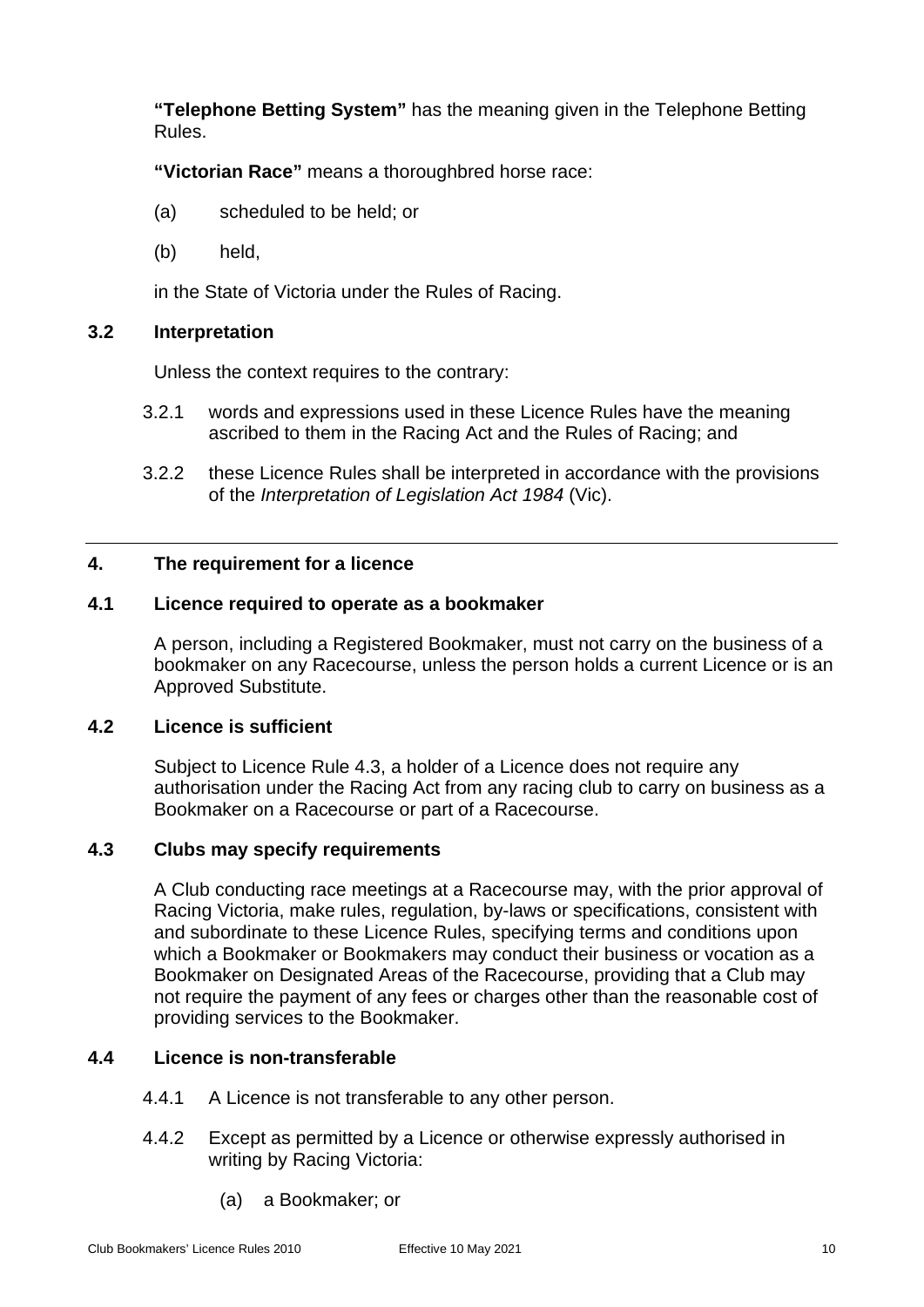**"Telephone Betting System"** has the meaning given in the Telephone Betting Rules.

**"Victorian Race"** means a thoroughbred horse race:

- (a) scheduled to be held; or
- (b) held,

in the State of Victoria under the Rules of Racing.

## <span id="page-13-0"></span>**3.2 Interpretation**

Unless the context requires to the contrary:

- 3.2.1 words and expressions used in these Licence Rules have the meaning ascribed to them in the Racing Act and the Rules of Racing; and
- 3.2.2 these Licence Rules shall be interpreted in accordance with the provisions of the *Interpretation of Legislation Act 1984* (Vic).

## <span id="page-13-2"></span><span id="page-13-1"></span>**4. The requirement for a licence**

## **4.1 Licence required to operate as a bookmaker**

A person, including a Registered Bookmaker, must not carry on the business of a bookmaker on any Racecourse, unless the person holds a current Licence or is an Approved Substitute.

## <span id="page-13-3"></span>**4.2 Licence is sufficient**

Subject to Licence Rule [4.3,](#page-13-4) a holder of a Licence does not require any authorisation under the Racing Act from any racing club to carry on business as a Bookmaker on a Racecourse or part of a Racecourse.

## <span id="page-13-4"></span>**4.3 Clubs may specify requirements**

A Club conducting race meetings at a Racecourse may, with the prior approval of Racing Victoria, make rules, regulation, by-laws or specifications, consistent with and subordinate to these Licence Rules, specifying terms and conditions upon which a Bookmaker or Bookmakers may conduct their business or vocation as a Bookmaker on Designated Areas of the Racecourse, providing that a Club may not require the payment of any fees or charges other than the reasonable cost of providing services to the Bookmaker.

## <span id="page-13-5"></span>**4.4 Licence is non-transferable**

- 4.4.1 A Licence is not transferable to any other person.
- 4.4.2 Except as permitted by a Licence or otherwise expressly authorised in writing by Racing Victoria:
	- (a) a Bookmaker; or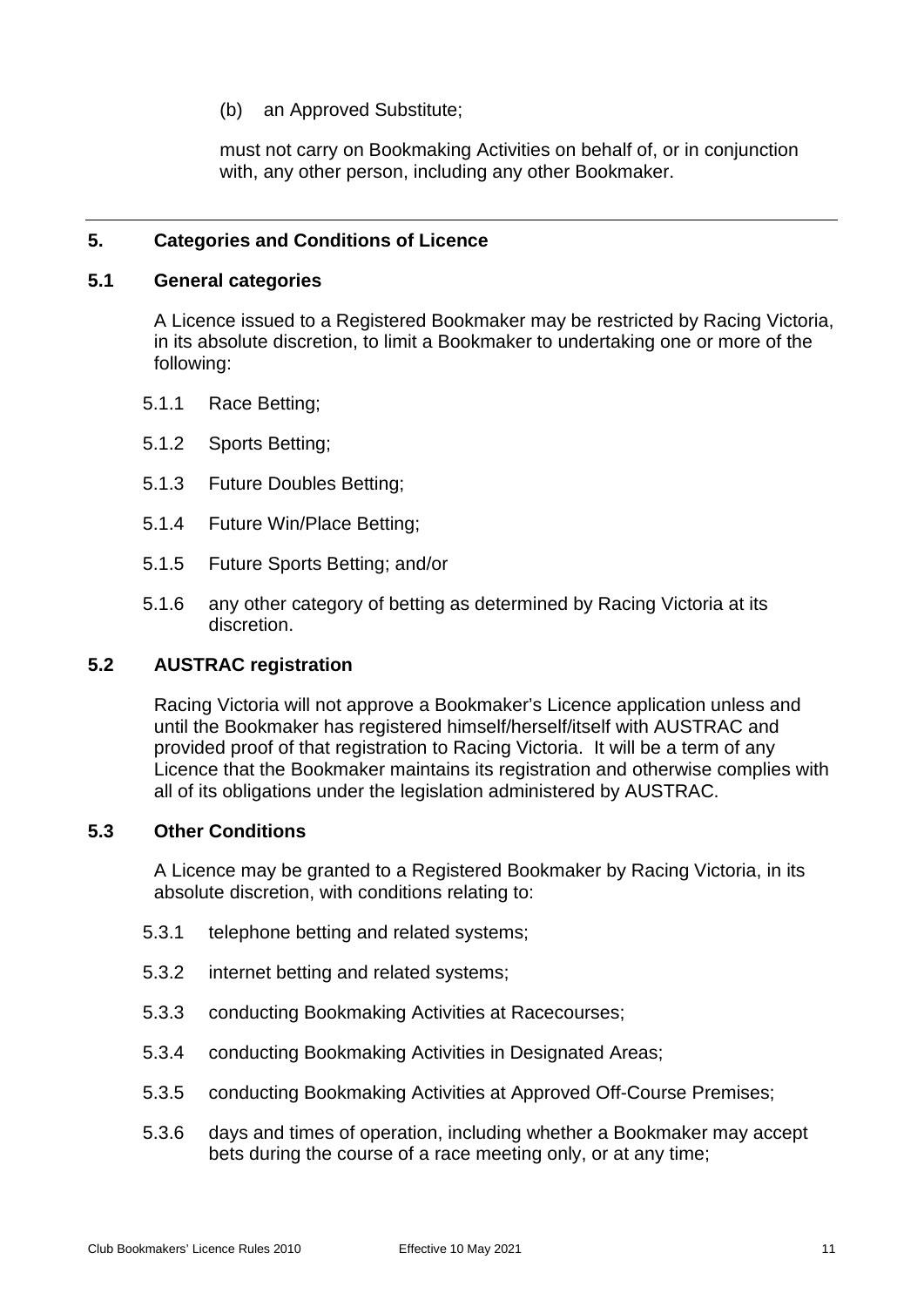(b) an Approved Substitute;

must not carry on Bookmaking Activities on behalf of, or in conjunction with, any other person, including any other Bookmaker.

## <span id="page-14-0"></span>**5. Categories and Conditions of Licence**

#### <span id="page-14-1"></span>**5.1 General categories**

A Licence issued to a Registered Bookmaker may be restricted by Racing Victoria, in its absolute discretion, to limit a Bookmaker to undertaking one or more of the following:

- 5.1.1 Race Betting;
- 5.1.2 Sports Betting;
- 5.1.3 Future Doubles Betting;
- 5.1.4 Future Win/Place Betting;
- 5.1.5 Future Sports Betting; and/or
- 5.1.6 any other category of betting as determined by Racing Victoria at its discretion.

#### <span id="page-14-2"></span>**5.2 AUSTRAC registration**

Racing Victoria will not approve a Bookmaker's Licence application unless and until the Bookmaker has registered himself/herself/itself with AUSTRAC and provided proof of that registration to Racing Victoria. It will be a term of any Licence that the Bookmaker maintains its registration and otherwise complies with all of its obligations under the legislation administered by AUSTRAC.

## <span id="page-14-3"></span>**5.3 Other Conditions**

A Licence may be granted to a Registered Bookmaker by Racing Victoria, in its absolute discretion, with conditions relating to:

- 5.3.1 telephone betting and related systems;
- 5.3.2 internet betting and related systems;
- 5.3.3 conducting Bookmaking Activities at Racecourses;
- 5.3.4 conducting Bookmaking Activities in Designated Areas;
- 5.3.5 conducting Bookmaking Activities at Approved Off-Course Premises;
- 5.3.6 days and times of operation, including whether a Bookmaker may accept bets during the course of a race meeting only, or at any time;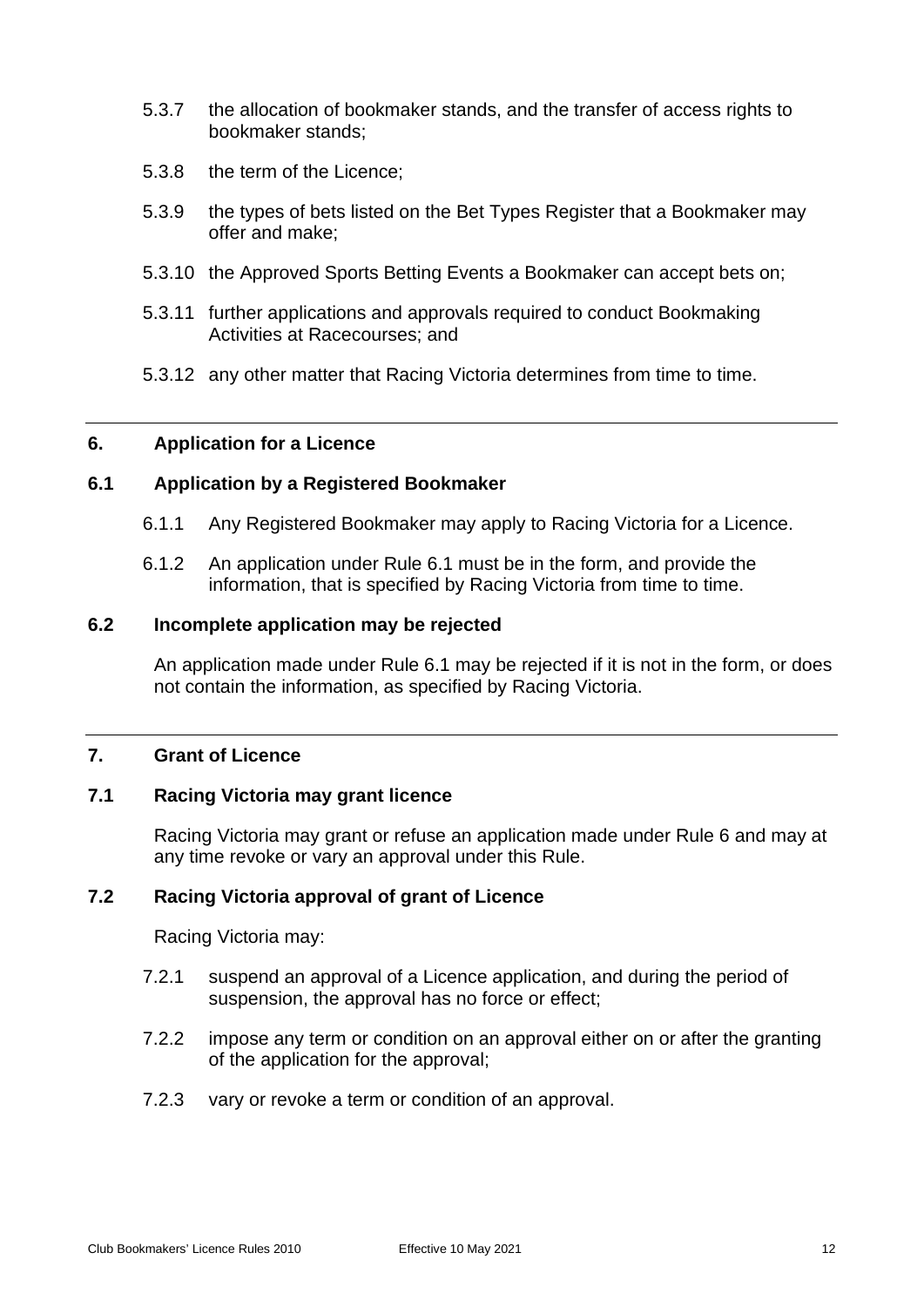- 5.3.7 the allocation of bookmaker stands, and the transfer of access rights to bookmaker stands;
- 5.3.8 the term of the Licence;
- 5.3.9 the types of bets listed on the Bet Types Register that a Bookmaker may offer and make;
- 5.3.10 the Approved Sports Betting Events a Bookmaker can accept bets on;
- 5.3.11 further applications and approvals required to conduct Bookmaking Activities at Racecourses; and
- 5.3.12 any other matter that Racing Victoria determines from time to time.

## <span id="page-15-1"></span><span id="page-15-0"></span>**6. Application for a Licence**

## **6.1 Application by a Registered Bookmaker**

- 6.1.1 Any Registered Bookmaker may apply to Racing Victoria for a Licence.
- 6.1.2 An application under Rule [6.1](#page-15-1) must be in the form, and provide the information, that is specified by Racing Victoria from time to time.

#### <span id="page-15-2"></span>**6.2 Incomplete application may be rejected**

An application made under Rule [6.1](#page-15-1) may be rejected if it is not in the form, or does not contain the information, as specified by Racing Victoria.

#### <span id="page-15-4"></span><span id="page-15-3"></span>**7. Grant of Licence**

#### **7.1 Racing Victoria may grant licence**

Racing Victoria may grant or refuse an application made under Rule [6](#page-15-0) and may at any time revoke or vary an approval under this Rule.

## <span id="page-15-5"></span>**7.2 Racing Victoria approval of grant of Licence**

Racing Victoria may:

- 7.2.1 suspend an approval of a Licence application, and during the period of suspension, the approval has no force or effect;
- 7.2.2 impose any term or condition on an approval either on or after the granting of the application for the approval;
- 7.2.3 vary or revoke a term or condition of an approval.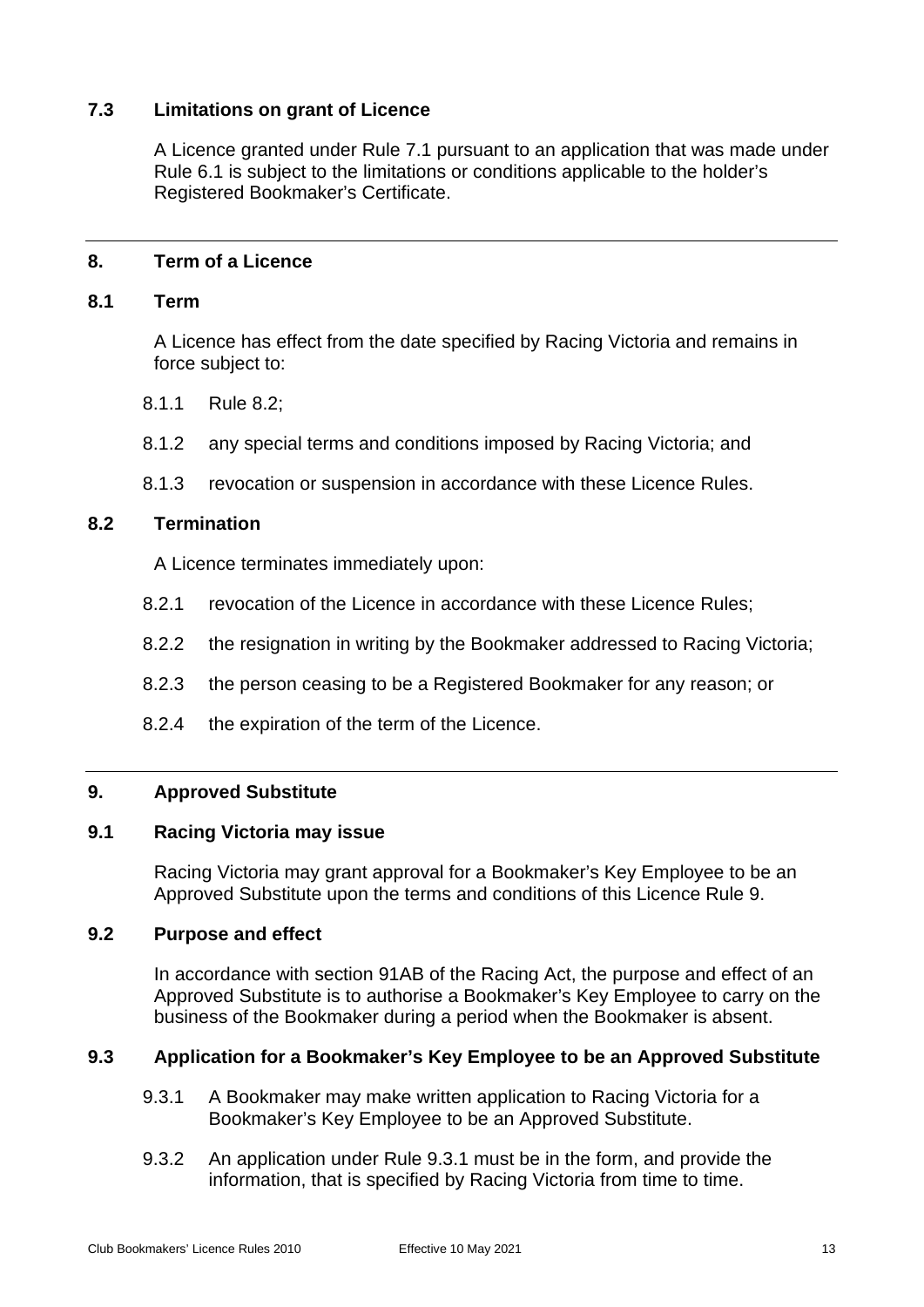## <span id="page-16-0"></span>**7.3 Limitations on grant of Licence**

A Licence granted under Rule [7.1](#page-15-4) pursuant to an application that was made under Rule [6.1](#page-15-1) is subject to the limitations or conditions applicable to the holder's Registered Bookmaker's Certificate.

## <span id="page-16-2"></span><span id="page-16-1"></span>**8. Term of a Licence**

#### **8.1 Term**

A Licence has effect from the date specified by Racing Victoria and remains in force subject to:

- 8.1.1 Rule [8.2;](#page-16-3)
- 8.1.2 any special terms and conditions imposed by Racing Victoria; and
- 8.1.3 revocation or suspension in accordance with these Licence Rules.

## <span id="page-16-3"></span>**8.2 Termination**

A Licence terminates immediately upon:

- 8.2.1 revocation of the Licence in accordance with these Licence Rules;
- 8.2.2 the resignation in writing by the Bookmaker addressed to Racing Victoria;
- 8.2.3 the person ceasing to be a Registered Bookmaker for any reason; or
- 8.2.4 the expiration of the term of the Licence.

#### <span id="page-16-5"></span><span id="page-16-4"></span>**9. Approved Substitute**

#### **9.1 Racing Victoria may issue**

Racing Victoria may grant approval for a Bookmaker's Key Employee to be an Approved Substitute upon the terms and conditions of this Licence Rule [9.](#page-16-4)

#### <span id="page-16-6"></span>**9.2 Purpose and effect**

In accordance with section 91AB of the Racing Act, the purpose and effect of an Approved Substitute is to authorise a Bookmaker's Key Employee to carry on the business of the Bookmaker during a period when the Bookmaker is absent.

## <span id="page-16-8"></span><span id="page-16-7"></span>**9.3 Application for a Bookmaker's Key Employee to be an Approved Substitute**

- 9.3.1 A Bookmaker may make written application to Racing Victoria for a Bookmaker's Key Employee to be an Approved Substitute.
- 9.3.2 An application under Rule [9.3.1](#page-16-8) must be in the form, and provide the information, that is specified by Racing Victoria from time to time.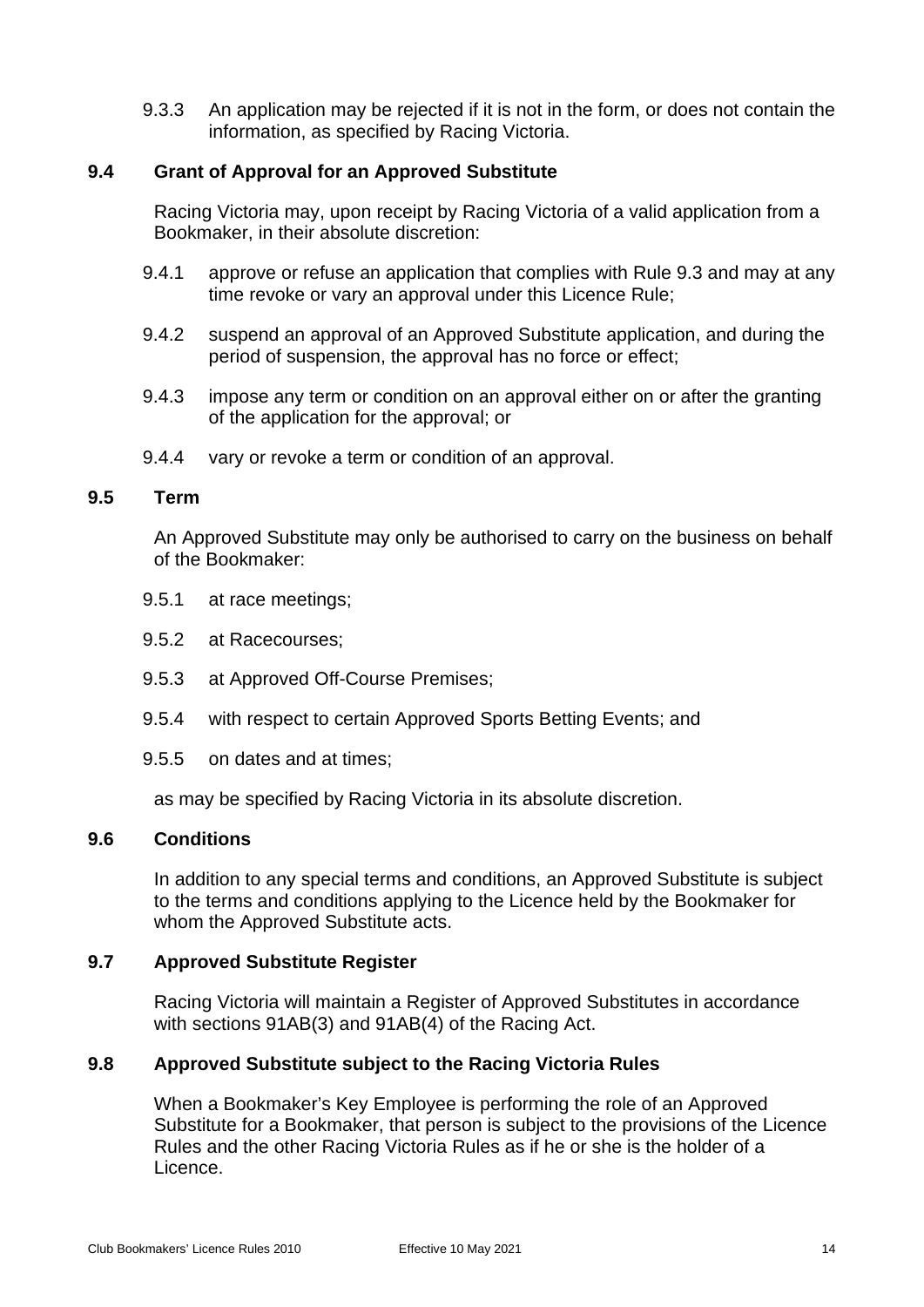9.3.3 An application may be rejected if it is not in the form, or does not contain the information, as specified by Racing Victoria.

## <span id="page-17-0"></span>**9.4 Grant of Approval for an Approved Substitute**

Racing Victoria may, upon receipt by Racing Victoria of a valid application from a Bookmaker, in their absolute discretion:

- 9.4.1 approve or refuse an application that complies with Rule [9.3](#page-16-7) and may at any time revoke or vary an approval under this Licence Rule;
- 9.4.2 suspend an approval of an Approved Substitute application, and during the period of suspension, the approval has no force or effect;
- 9.4.3 impose any term or condition on an approval either on or after the granting of the application for the approval; or
- 9.4.4 vary or revoke a term or condition of an approval.

#### <span id="page-17-1"></span>**9.5 Term**

An Approved Substitute may only be authorised to carry on the business on behalf of the Bookmaker:

- 9.5.1 at race meetings;
- 9.5.2 at Racecourses;
- 9.5.3 at Approved Off-Course Premises;
- 9.5.4 with respect to certain Approved Sports Betting Events; and
- 9.5.5 on dates and at times;

as may be specified by Racing Victoria in its absolute discretion.

#### <span id="page-17-2"></span>**9.6 Conditions**

In addition to any special terms and conditions, an Approved Substitute is subject to the terms and conditions applying to the Licence held by the Bookmaker for whom the Approved Substitute acts.

#### <span id="page-17-3"></span>**9.7 Approved Substitute Register**

Racing Victoria will maintain a Register of Approved Substitutes in accordance with sections 91AB(3) and 91AB(4) of the Racing Act.

#### <span id="page-17-4"></span>**9.8 Approved Substitute subject to the Racing Victoria Rules**

When a Bookmaker's Key Employee is performing the role of an Approved Substitute for a Bookmaker, that person is subject to the provisions of the Licence Rules and the other Racing Victoria Rules as if he or she is the holder of a Licence.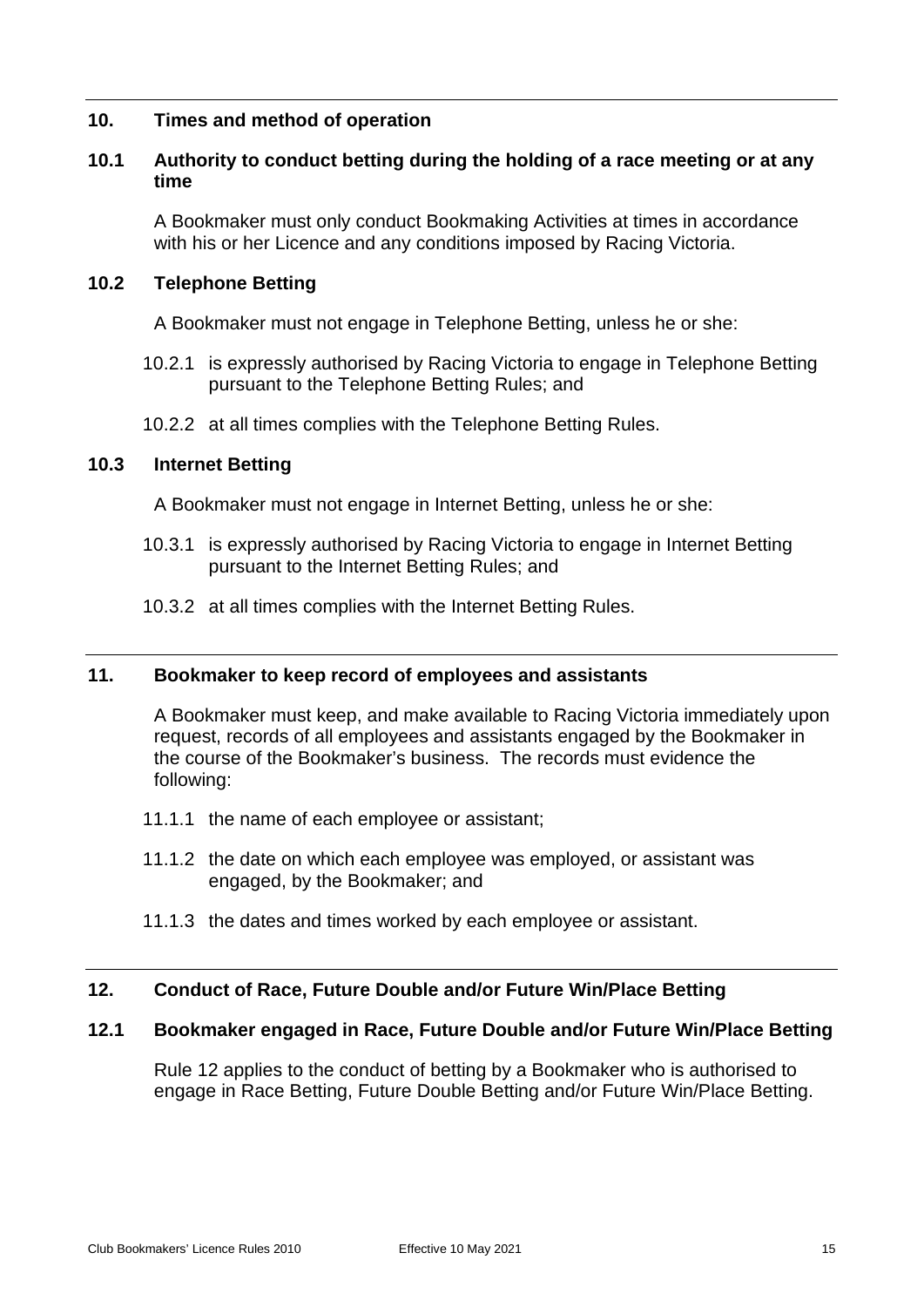## <span id="page-18-1"></span><span id="page-18-0"></span>**10. Times and method of operation**

## **10.1 Authority to conduct betting during the holding of a race meeting or at any time**

A Bookmaker must only conduct Bookmaking Activities at times in accordance with his or her Licence and any conditions imposed by Racing Victoria.

#### <span id="page-18-2"></span>**10.2 Telephone Betting**

A Bookmaker must not engage in Telephone Betting, unless he or she:

- 10.2.1 is expressly authorised by Racing Victoria to engage in Telephone Betting pursuant to the Telephone Betting Rules; and
- 10.2.2 at all times complies with the Telephone Betting Rules.

## <span id="page-18-3"></span>**10.3 Internet Betting**

A Bookmaker must not engage in Internet Betting, unless he or she:

- 10.3.1 is expressly authorised by Racing Victoria to engage in Internet Betting pursuant to the Internet Betting Rules; and
- 10.3.2 at all times complies with the Internet Betting Rules.

## <span id="page-18-4"></span>**11. Bookmaker to keep record of employees and assistants**

A Bookmaker must keep, and make available to Racing Victoria immediately upon request, records of all employees and assistants engaged by the Bookmaker in the course of the Bookmaker's business. The records must evidence the following:

- 11.1.1 the name of each employee or assistant;
- 11.1.2 the date on which each employee was employed, or assistant was engaged, by the Bookmaker; and
- 11.1.3 the dates and times worked by each employee or assistant.

## <span id="page-18-6"></span><span id="page-18-5"></span>**12. Conduct of Race, Future Double and/or Future Win/Place Betting**

## **12.1 Bookmaker engaged in Race, Future Double and/or Future Win/Place Betting**

Rule [12](#page-18-5) applies to the conduct of betting by a Bookmaker who is authorised to engage in Race Betting, Future Double Betting and/or Future Win/Place Betting.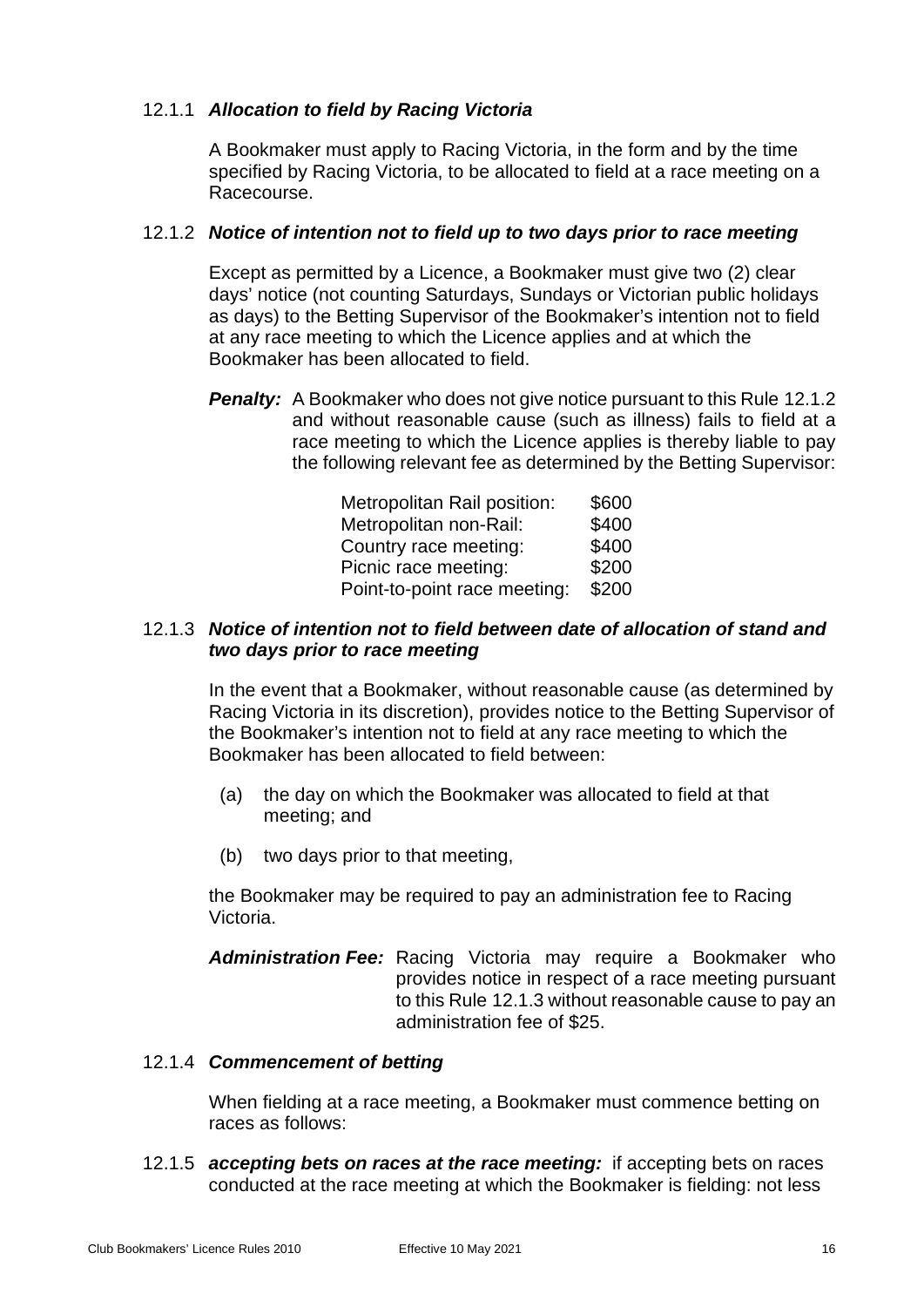## 12.1.1 *Allocation to field by Racing Victoria*

A Bookmaker must apply to Racing Victoria, in the form and by the time specified by Racing Victoria, to be allocated to field at a race meeting on a Racecourse.

## <span id="page-19-0"></span>12.1.2 *Notice of intention not to field up to two days prior to race meeting*

Except as permitted by a Licence, a Bookmaker must give two (2) clear days' notice (not counting Saturdays, Sundays or Victorian public holidays as days) to the Betting Supervisor of the Bookmaker's intention not to field at any race meeting to which the Licence applies and at which the Bookmaker has been allocated to field.

**Penalty:** A Bookmaker who does not give notice pursuant to this Rule [12.1.2](#page-19-0) and without reasonable cause (such as illness) fails to field at a race meeting to which the Licence applies is thereby liable to pay the following relevant fee as determined by the Betting Supervisor:

| Metropolitan Rail position:  | \$600 |
|------------------------------|-------|
| Metropolitan non-Rail:       | \$400 |
| Country race meeting:        | \$400 |
| Picnic race meeting:         | \$200 |
| Point-to-point race meeting: | \$200 |

## <span id="page-19-1"></span>12.1.3 *Notice of intention not to field between date of allocation of stand and two days prior to race meeting*

In the event that a Bookmaker, without reasonable cause (as determined by Racing Victoria in its discretion), provides notice to the Betting Supervisor of the Bookmaker's intention not to field at any race meeting to which the Bookmaker has been allocated to field between:

- (a) the day on which the Bookmaker was allocated to field at that meeting; and
- (b) two days prior to that meeting,

the Bookmaker may be required to pay an administration fee to Racing Victoria.

*Administration Fee:* Racing Victoria may require a Bookmaker who provides notice in respect of a race meeting pursuant to this Rule [12.1.3](#page-19-1) without reasonable cause to pay an administration fee of \$25.

## 12.1.4 *Commencement of betting*

When fielding at a race meeting, a Bookmaker must commence betting on races as follows:

12.1.5 *accepting bets on races at the race meeting:* if accepting bets on races conducted at the race meeting at which the Bookmaker is fielding: not less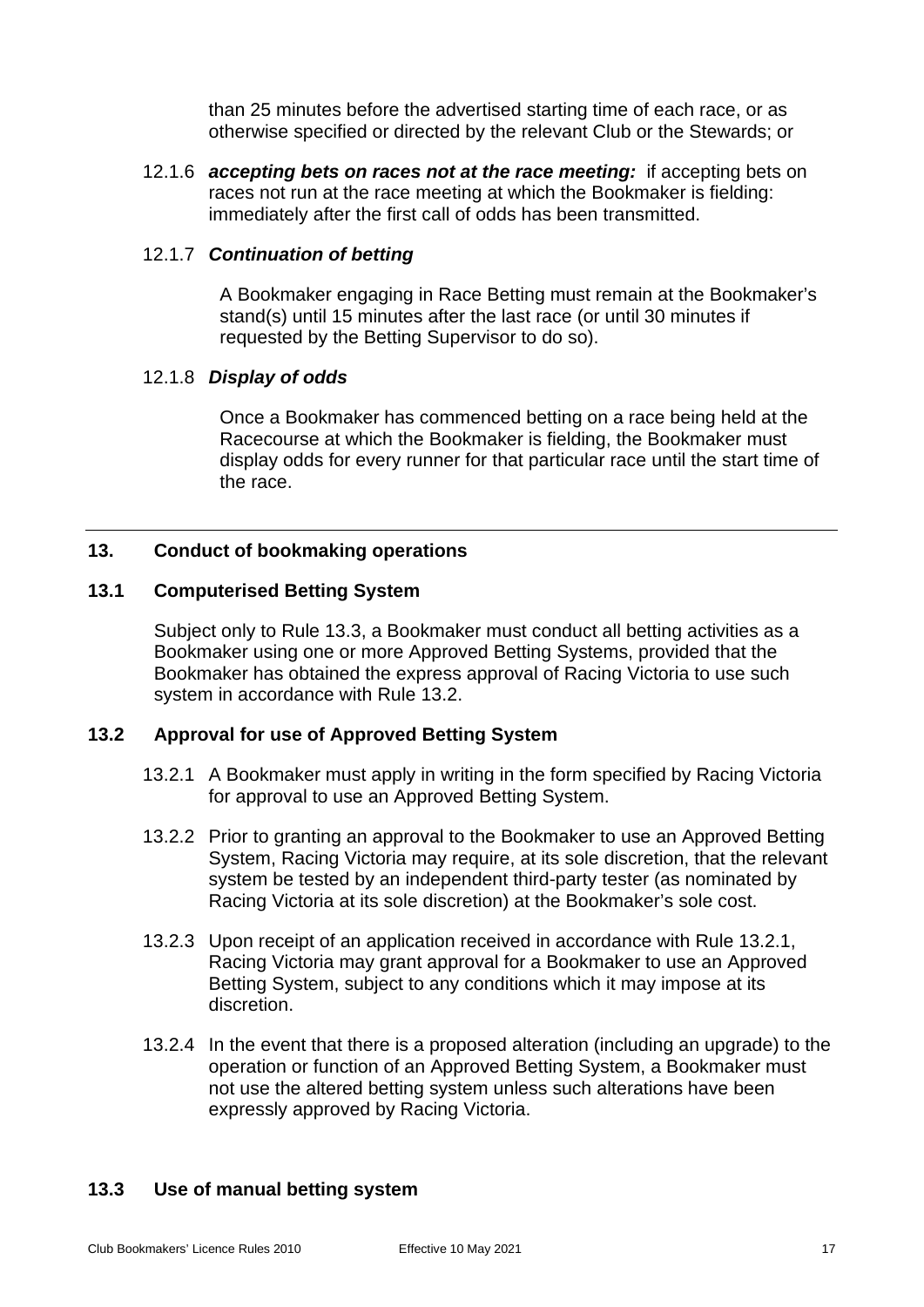than 25 minutes before the advertised starting time of each race, or as otherwise specified or directed by the relevant Club or the Stewards; or

12.1.6 *accepting bets on races not at the race meeting:* if accepting bets on races not run at the race meeting at which the Bookmaker is fielding: immediately after the first call of odds has been transmitted.

#### 12.1.7 *Continuation of betting*

A Bookmaker engaging in Race Betting must remain at the Bookmaker's stand(s) until 15 minutes after the last race (or until 30 minutes if requested by the Betting Supervisor to do so).

## 12.1.8 *Display of odds*

Once a Bookmaker has commenced betting on a race being held at the Racecourse at which the Bookmaker is fielding, the Bookmaker must display odds for every runner for that particular race until the start time of the race.

## <span id="page-20-1"></span><span id="page-20-0"></span>**13. Conduct of bookmaking operations**

## **13.1 Computerised Betting System**

Subject only to Rule [13.3,](#page-20-3) a Bookmaker must conduct all betting activities as a Bookmaker using one or more Approved Betting Systems, provided that the Bookmaker has obtained the express approval of Racing Victoria to use such system in accordance with Rule [13.2.](#page-20-2)

## <span id="page-20-4"></span><span id="page-20-2"></span>**13.2 Approval for use of Approved Betting System**

- 13.2.1 A Bookmaker must apply in writing in the form specified by Racing Victoria for approval to use an Approved Betting System.
- 13.2.2 Prior to granting an approval to the Bookmaker to use an Approved Betting System, Racing Victoria may require, at its sole discretion, that the relevant system be tested by an independent third-party tester (as nominated by Racing Victoria at its sole discretion) at the Bookmaker's sole cost.
- 13.2.3 Upon receipt of an application received in accordance with Rule [13.2.1,](#page-20-4) Racing Victoria may grant approval for a Bookmaker to use an Approved Betting System, subject to any conditions which it may impose at its discretion.
- 13.2.4 In the event that there is a proposed alteration (including an upgrade) to the operation or function of an Approved Betting System, a Bookmaker must not use the altered betting system unless such alterations have been expressly approved by Racing Victoria.

#### <span id="page-20-3"></span>**13.3 Use of manual betting system**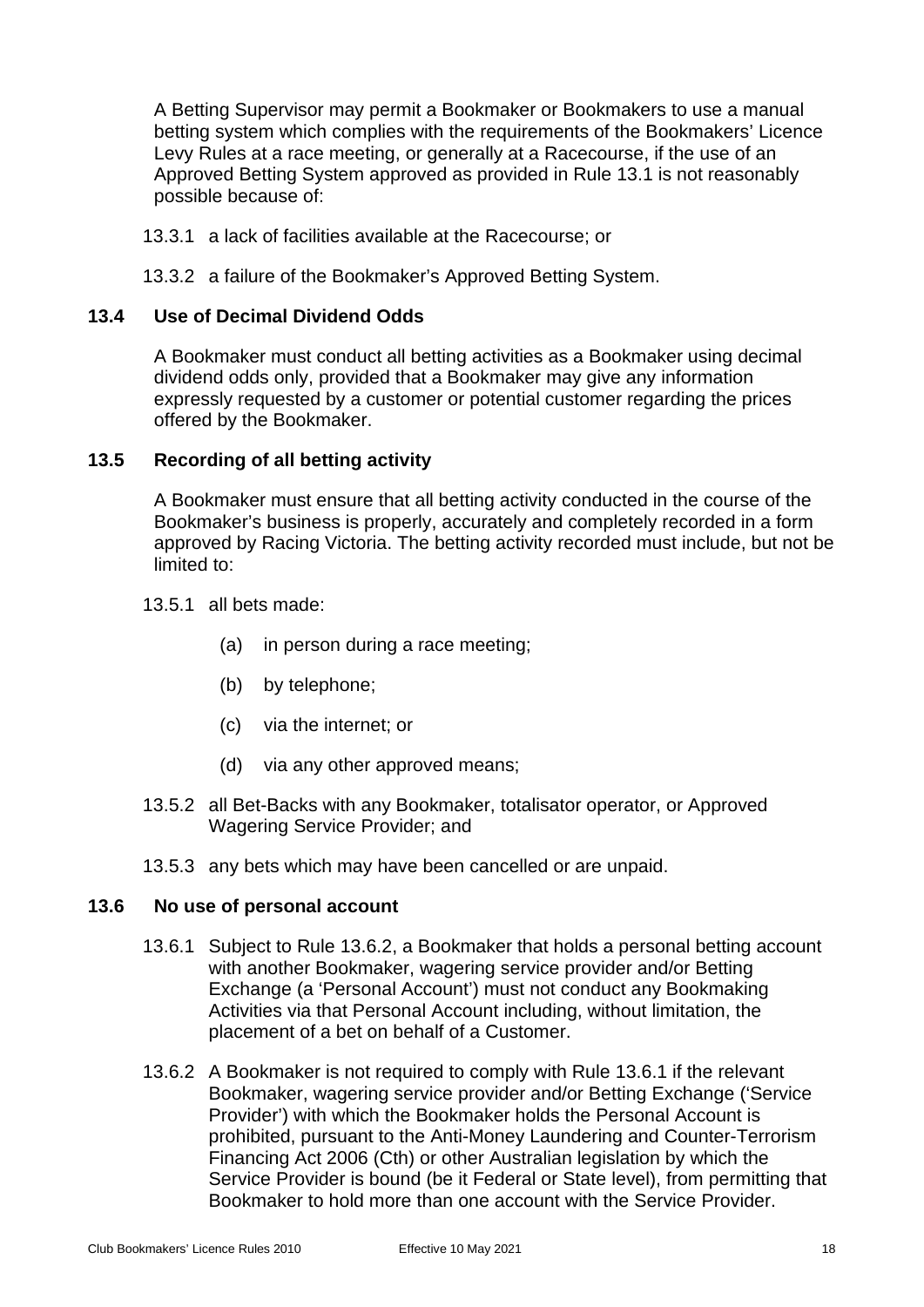A Betting Supervisor may permit a Bookmaker or Bookmakers to use a manual betting system which complies with the requirements of the Bookmakers' Licence Levy Rules at a race meeting, or generally at a Racecourse, if the use of an Approved Betting System approved as provided in Rule [13.1](#page-20-1) is not reasonably possible because of:

- 13.3.1 a lack of facilities available at the Racecourse; or
- 13.3.2 a failure of the Bookmaker's Approved Betting System.

## <span id="page-21-0"></span>**13.4 Use of Decimal Dividend Odds**

A Bookmaker must conduct all betting activities as a Bookmaker using decimal dividend odds only, provided that a Bookmaker may give any information expressly requested by a customer or potential customer regarding the prices offered by the Bookmaker.

## <span id="page-21-1"></span>**13.5 Recording of all betting activity**

A Bookmaker must ensure that all betting activity conducted in the course of the Bookmaker's business is properly, accurately and completely recorded in a form approved by Racing Victoria. The betting activity recorded must include, but not be limited to:

#### 13.5.1 all bets made:

- (a) in person during a race meeting;
- (b) by telephone;
- (c) via the internet; or
- (d) via any other approved means;
- 13.5.2 all Bet-Backs with any Bookmaker, totalisator operator, or Approved Wagering Service Provider; and
- 13.5.3 any bets which may have been cancelled or are unpaid.

#### <span id="page-21-2"></span>**13.6 No use of personal account**

- 13.6.1 Subject to Rule 13.6.2, a Bookmaker that holds a personal betting account with another Bookmaker, wagering service provider and/or Betting Exchange (a 'Personal Account') must not conduct any Bookmaking Activities via that Personal Account including, without limitation, the placement of a bet on behalf of a Customer.
- 13.6.2 A Bookmaker is not required to comply with Rule 13.6.1 if the relevant Bookmaker, wagering service provider and/or Betting Exchange ('Service Provider') with which the Bookmaker holds the Personal Account is prohibited, pursuant to the Anti-Money Laundering and Counter-Terrorism Financing Act 2006 (Cth) or other Australian legislation by which the Service Provider is bound (be it Federal or State level), from permitting that Bookmaker to hold more than one account with the Service Provider.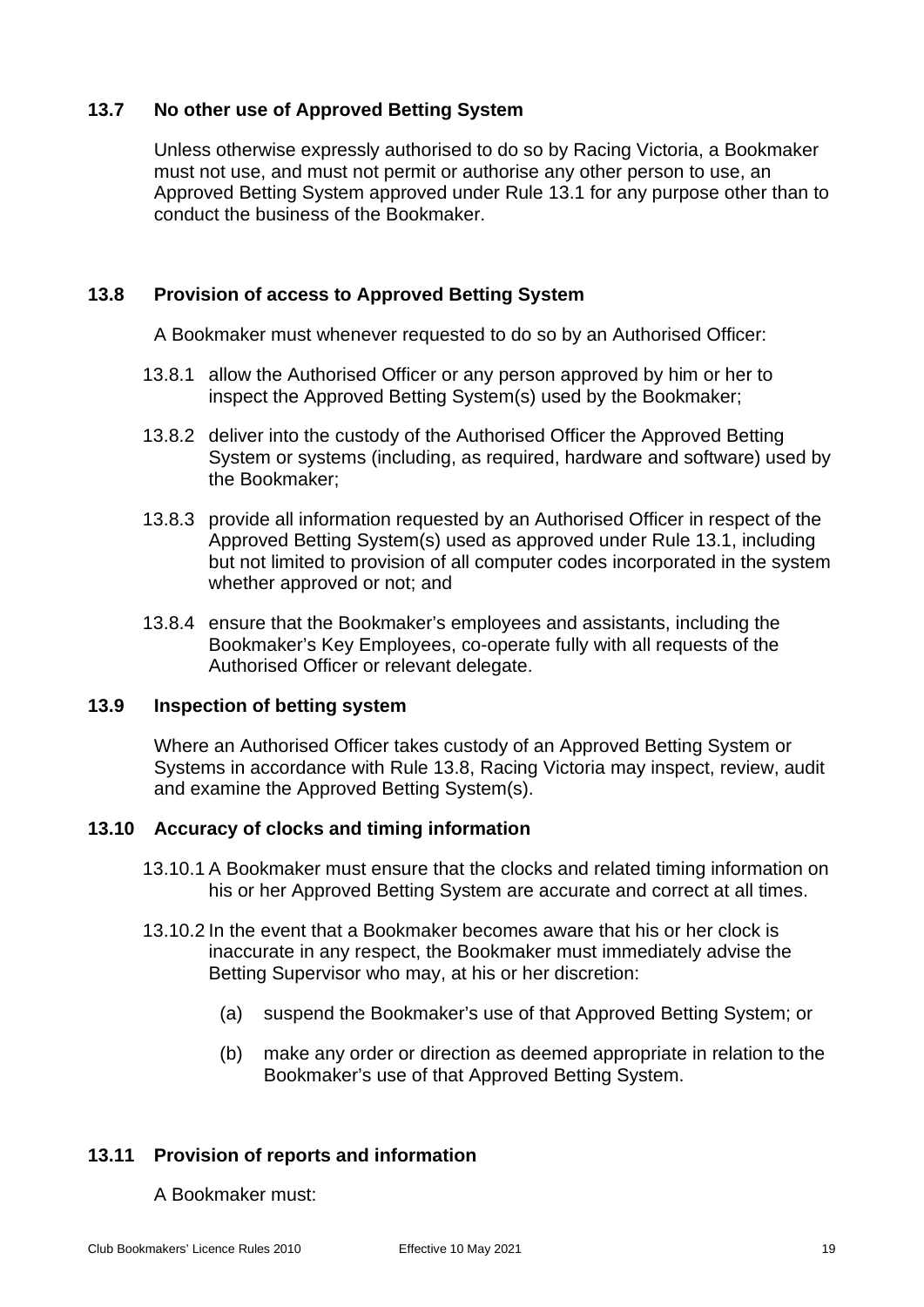## <span id="page-22-0"></span>**13.7 No other use of Approved Betting System**

Unless otherwise expressly authorised to do so by Racing Victoria, a Bookmaker must not use, and must not permit or authorise any other person to use, an Approved Betting System approved under Rule [13.1](#page-20-1) for any purpose other than to conduct the business of the Bookmaker.

## <span id="page-22-1"></span>**13.8 Provision of access to Approved Betting System**

A Bookmaker must whenever requested to do so by an Authorised Officer:

- 13.8.1 allow the Authorised Officer or any person approved by him or her to inspect the Approved Betting System(s) used by the Bookmaker;
- 13.8.2 deliver into the custody of the Authorised Officer the Approved Betting System or systems (including, as required, hardware and software) used by the Bookmaker;
- 13.8.3 provide all information requested by an Authorised Officer in respect of the Approved Betting System(s) used as approved under Rule [13.1,](#page-20-1) including but not limited to provision of all computer codes incorporated in the system whether approved or not; and
- 13.8.4 ensure that the Bookmaker's employees and assistants, including the Bookmaker's Key Employees, co-operate fully with all requests of the Authorised Officer or relevant delegate.

## <span id="page-22-2"></span>**13.9 Inspection of betting system**

Where an Authorised Officer takes custody of an Approved Betting System or Systems in accordance with Rule [13.8,](#page-22-1) Racing Victoria may inspect, review, audit and examine the Approved Betting System(s).

## <span id="page-22-3"></span>**13.10 Accuracy of clocks and timing information**

- 13.10.1 A Bookmaker must ensure that the clocks and related timing information on his or her Approved Betting System are accurate and correct at all times.
- 13.10.2 In the event that a Bookmaker becomes aware that his or her clock is inaccurate in any respect, the Bookmaker must immediately advise the Betting Supervisor who may, at his or her discretion:
	- (a) suspend the Bookmaker's use of that Approved Betting System; or
	- (b) make any order or direction as deemed appropriate in relation to the Bookmaker's use of that Approved Betting System.

## <span id="page-22-4"></span>**13.11 Provision of reports and information**

#### A Bookmaker must: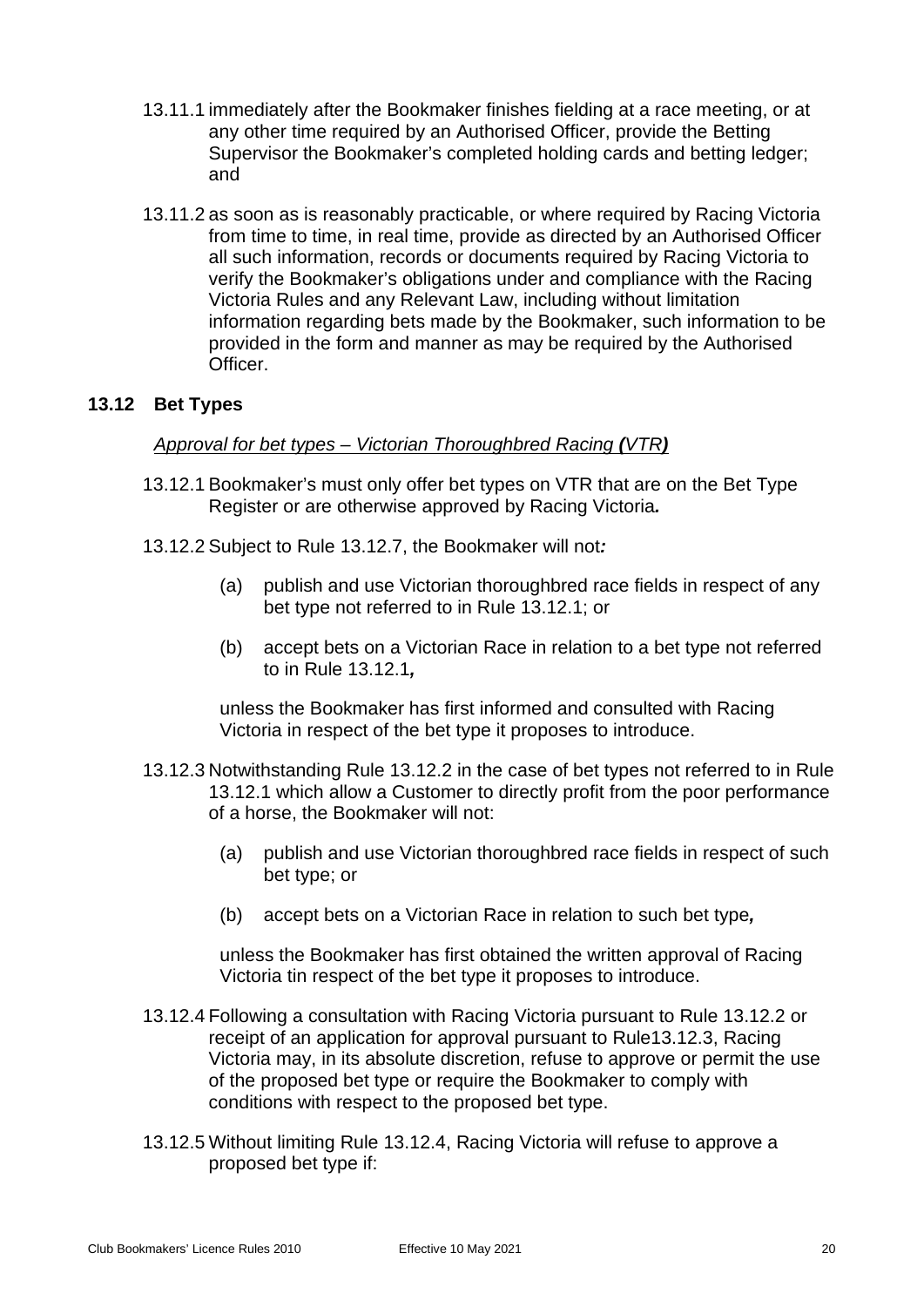- 13.11.1 immediately after the Bookmaker finishes fielding at a race meeting, or at any other time required by an Authorised Officer, provide the Betting Supervisor the Bookmaker's completed holding cards and betting ledger; and
- 13.11.2 as soon as is reasonably practicable, or where required by Racing Victoria from time to time, in real time, provide as directed by an Authorised Officer all such information, records or documents required by Racing Victoria to verify the Bookmaker's obligations under and compliance with the Racing Victoria Rules and any Relevant Law, including without limitation information regarding bets made by the Bookmaker, such information to be provided in the form and manner as may be required by the Authorised Officer.

## <span id="page-23-1"></span><span id="page-23-0"></span>**13.12 Bet Types**

#### *Approval for bet types – Victorian Thoroughbred Racing (VTR)*

- 13.12.1 Bookmaker's must only offer bet types on VTR that are on the Bet Type Register or are otherwise approved by Racing Victoria*.*
- <span id="page-23-2"></span>13.12.2 Subject to Rule [13.12.7,](#page-24-0) the Bookmaker will not*:*
	- (a) publish and use Victorian thoroughbred race fields in respect of any bet type not referred to in Rule [13.12.1;](#page-23-1) or
	- (b) accept bets on a Victorian Race in relation to a bet type not referred to in Rule [13.12.1](#page-23-1)*,*

unless the Bookmaker has first informed and consulted with Racing Victoria in respect of the bet type it proposes to introduce.

- <span id="page-23-3"></span>13.12.3 Notwithstanding Rule [13.12.2](#page-23-2) in the case of bet types not referred to in Rule [13.12.1](#page-23-1) which allow a Customer to directly profit from the poor performance of a horse, the Bookmaker will not:
	- (a) publish and use Victorian thoroughbred race fields in respect of such bet type; or
	- (b) accept bets on a Victorian Race in relation to such bet type*,*

unless the Bookmaker has first obtained the written approval of Racing Victoria tin respect of the bet type it proposes to introduce.

- <span id="page-23-4"></span>13.12.4 Following a consultation with Racing Victoria pursuant to Rule [13.12.2](#page-23-2) or receipt of an application for approval pursuant to Rul[e13.12.3,](#page-23-3) Racing Victoria may, in its absolute discretion, refuse to approve or permit the use of the proposed bet type or require the Bookmaker to comply with conditions with respect to the proposed bet type.
- 13.12.5 Without limiting Rule [13.12.4,](#page-23-4) Racing Victoria will refuse to approve a proposed bet type if: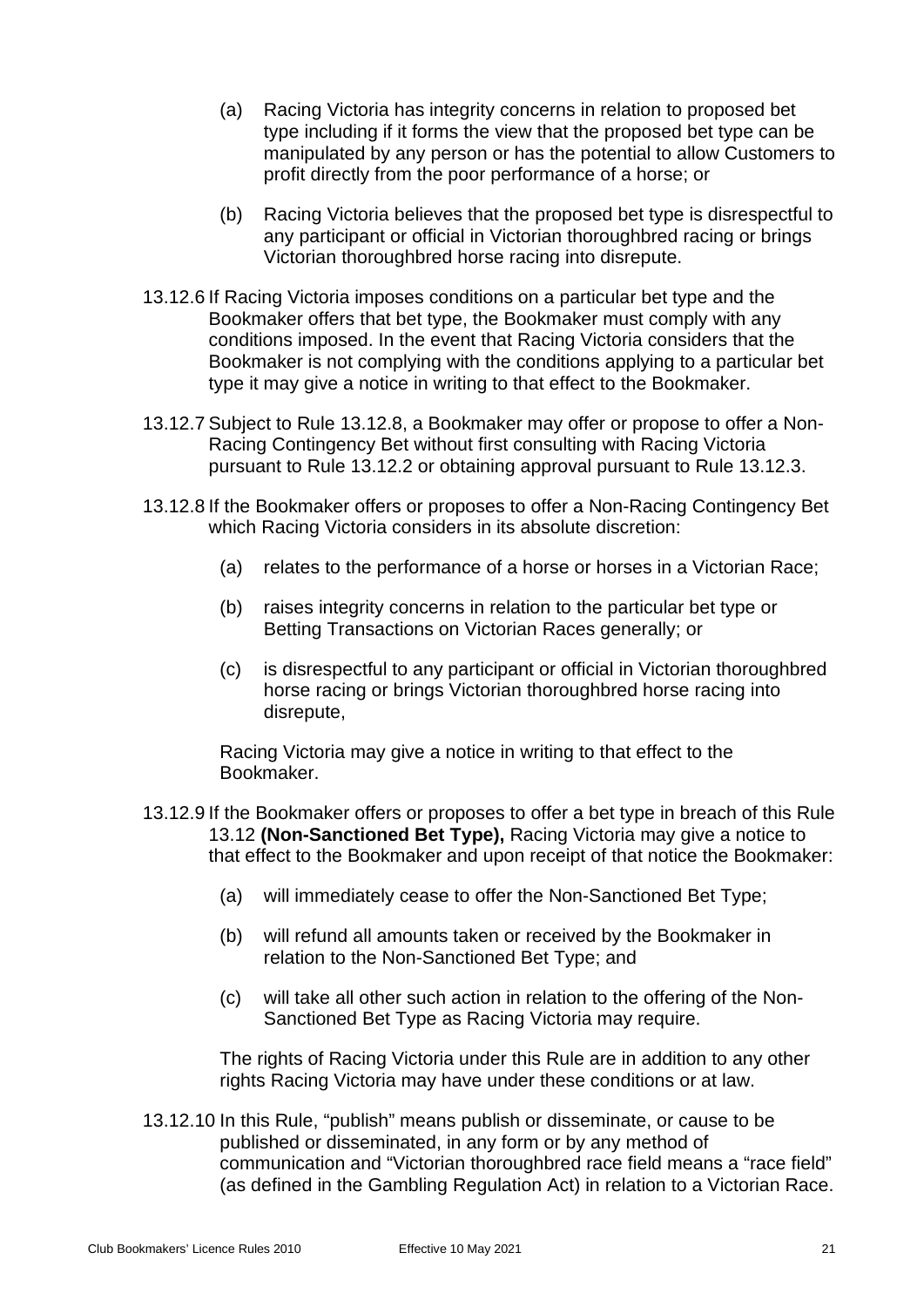- (a) Racing Victoria has integrity concerns in relation to proposed bet type including if it forms the view that the proposed bet type can be manipulated by any person or has the potential to allow Customers to profit directly from the poor performance of a horse; or
- (b) Racing Victoria believes that the proposed bet type is disrespectful to any participant or official in Victorian thoroughbred racing or brings Victorian thoroughbred horse racing into disrepute.
- 13.12.6 If Racing Victoria imposes conditions on a particular bet type and the Bookmaker offers that bet type, the Bookmaker must comply with any conditions imposed. In the event that Racing Victoria considers that the Bookmaker is not complying with the conditions applying to a particular bet type it may give a notice in writing to that effect to the Bookmaker.
- <span id="page-24-0"></span>13.12.7 Subject to Rule [13.12.8,](#page-24-1) a Bookmaker may offer or propose to offer a Non-Racing Contingency Bet without first consulting with Racing Victoria pursuant to Rule [13.12.2](#page-23-2) or obtaining approval pursuant to Rule [13.12.3.](#page-23-3)
- <span id="page-24-1"></span>13.12.8 If the Bookmaker offers or proposes to offer a Non-Racing Contingency Bet which Racing Victoria considers in its absolute discretion:
	- (a) relates to the performance of a horse or horses in a Victorian Race;
	- (b) raises integrity concerns in relation to the particular bet type or Betting Transactions on Victorian Races generally; or
	- (c) is disrespectful to any participant or official in Victorian thoroughbred horse racing or brings Victorian thoroughbred horse racing into disrepute,

Racing Victoria may give a notice in writing to that effect to the Bookmaker.

- 13.12.9 If the Bookmaker offers or proposes to offer a bet type in breach of this Rule [13.12](#page-23-0) **(Non-Sanctioned Bet Type),** Racing Victoria may give a notice to that effect to the Bookmaker and upon receipt of that notice the Bookmaker:
	- (a) will immediately cease to offer the Non-Sanctioned Bet Type;
	- (b) will refund all amounts taken or received by the Bookmaker in relation to the Non-Sanctioned Bet Type; and
	- (c) will take all other such action in relation to the offering of the Non-Sanctioned Bet Type as Racing Victoria may require.

The rights of Racing Victoria under this Rule are in addition to any other rights Racing Victoria may have under these conditions or at law.

13.12.10 In this Rule, "publish" means publish or disseminate, or cause to be published or disseminated, in any form or by any method of communication and "Victorian thoroughbred race field means a "race field" (as defined in the Gambling Regulation Act) in relation to a Victorian Race.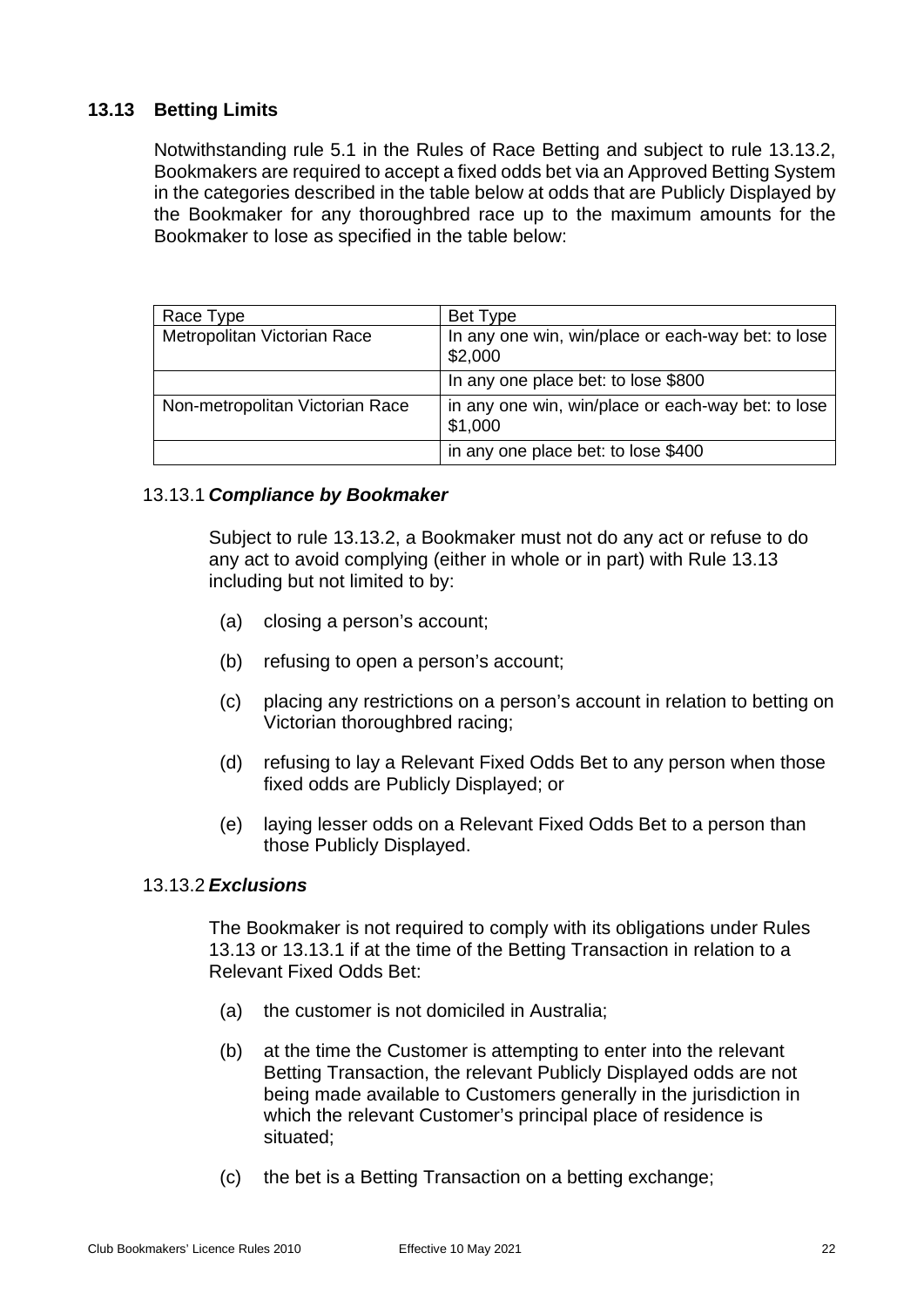## <span id="page-25-0"></span>**13.13 Betting Limits**

Notwithstanding rule 5.1 in the Rules of Race Betting and subject to rule 13.13.2, Bookmakers are required to accept a fixed odds bet via an Approved Betting System in the categories described in the table below at odds that are Publicly Displayed by the Bookmaker for any thoroughbred race up to the maximum amounts for the Bookmaker to lose as specified in the table below:

| Race Type                       | Bet Type                                                      |
|---------------------------------|---------------------------------------------------------------|
| Metropolitan Victorian Race     | In any one win, win/place or each-way bet: to lose<br>\$2,000 |
|                                 | In any one place bet: to lose \$800                           |
| Non-metropolitan Victorian Race | in any one win, win/place or each-way bet: to lose<br>\$1,000 |
|                                 | in any one place bet: to lose \$400                           |

## 13.13.1 *Compliance by Bookmaker*

Subject to rule 13.13.2, a Bookmaker must not do any act or refuse to do any act to avoid complying (either in whole or in part) with Rule 13.13 including but not limited to by:

- (a) closing a person's account;
- (b) refusing to open a person's account;
- (c) placing any restrictions on a person's account in relation to betting on Victorian thoroughbred racing;
- (d) refusing to lay a Relevant Fixed Odds Bet to any person when those fixed odds are Publicly Displayed; or
- (e) laying lesser odds on a Relevant Fixed Odds Bet to a person than those Publicly Displayed.

## 13.13.2 *Exclusions*

The Bookmaker is not required to comply with its obligations under Rules 13.13 or 13.13.1 if at the time of the Betting Transaction in relation to a Relevant Fixed Odds Bet:

- (a) the customer is not domiciled in Australia;
- (b) at the time the Customer is attempting to enter into the relevant Betting Transaction, the relevant Publicly Displayed odds are not being made available to Customers generally in the jurisdiction in which the relevant Customer's principal place of residence is situated;
- (c) the bet is a Betting Transaction on a betting exchange;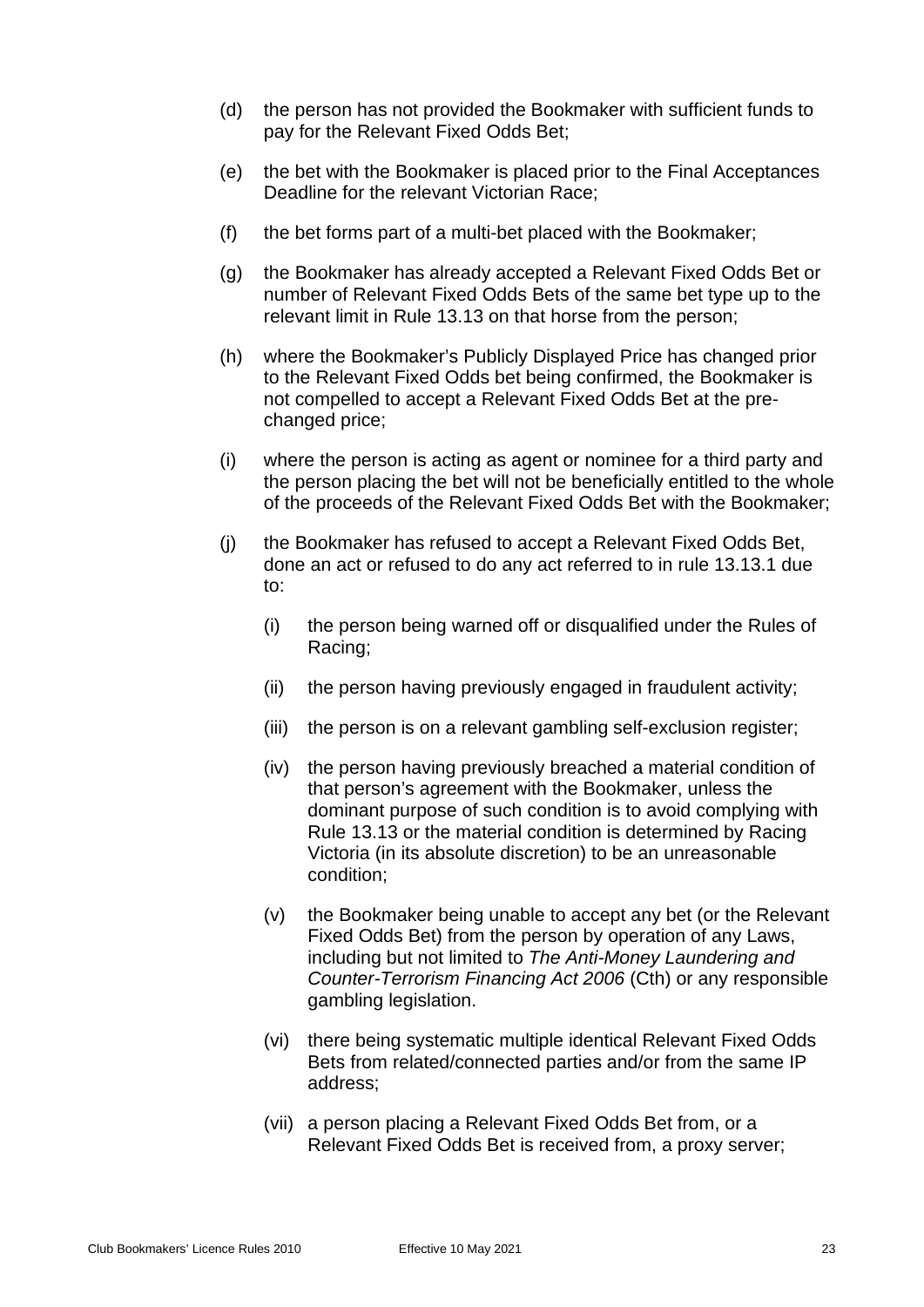- (d) the person has not provided the Bookmaker with sufficient funds to pay for the Relevant Fixed Odds Bet;
- (e) the bet with the Bookmaker is placed prior to the Final Acceptances Deadline for the relevant Victorian Race;
- (f) the bet forms part of a multi-bet placed with the Bookmaker;
- (g) the Bookmaker has already accepted a Relevant Fixed Odds Bet or number of Relevant Fixed Odds Bets of the same bet type up to the relevant limit in Rule 13.13 on that horse from the person;
- (h) where the Bookmaker's Publicly Displayed Price has changed prior to the Relevant Fixed Odds bet being confirmed, the Bookmaker is not compelled to accept a Relevant Fixed Odds Bet at the prechanged price;
- (i) where the person is acting as agent or nominee for a third party and the person placing the bet will not be beneficially entitled to the whole of the proceeds of the Relevant Fixed Odds Bet with the Bookmaker;
- (j) the Bookmaker has refused to accept a Relevant Fixed Odds Bet, done an act or refused to do any act referred to in rule 13.13.1 due to:
	- (i) the person being warned off or disqualified under the Rules of Racing;
	- (ii) the person having previously engaged in fraudulent activity;
	- (iii) the person is on a relevant gambling self-exclusion register;
	- (iv) the person having previously breached a material condition of that person's agreement with the Bookmaker, unless the dominant purpose of such condition is to avoid complying with Rule 13.13 or the material condition is determined by Racing Victoria (in its absolute discretion) to be an unreasonable condition;
	- (v) the Bookmaker being unable to accept any bet (or the Relevant Fixed Odds Bet) from the person by operation of any Laws, including but not limited to *The Anti-Money Laundering and Counter-Terrorism Financing Act 2006* (Cth) or any responsible gambling legislation.
	- (vi) there being systematic multiple identical Relevant Fixed Odds Bets from related/connected parties and/or from the same IP address;
	- (vii) a person placing a Relevant Fixed Odds Bet from, or a Relevant Fixed Odds Bet is received from, a proxy server;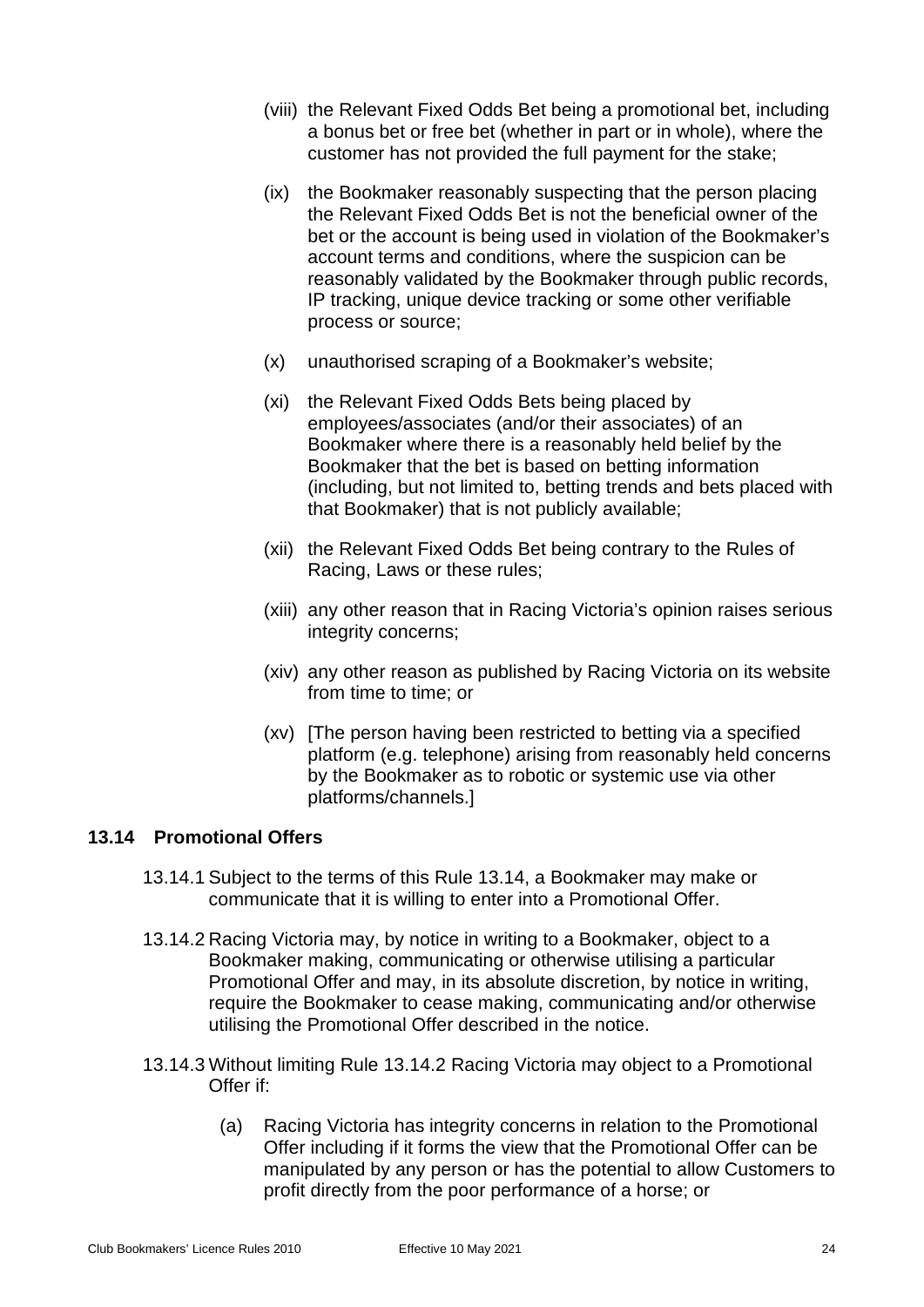- (viii) the Relevant Fixed Odds Bet being a promotional bet, including a bonus bet or free bet (whether in part or in whole), where the customer has not provided the full payment for the stake;
- (ix) the Bookmaker reasonably suspecting that the person placing the Relevant Fixed Odds Bet is not the beneficial owner of the bet or the account is being used in violation of the Bookmaker's account terms and conditions, where the suspicion can be reasonably validated by the Bookmaker through public records, IP tracking, unique device tracking or some other verifiable process or source;
- (x) unauthorised scraping of a Bookmaker's website;
- (xi) the Relevant Fixed Odds Bets being placed by employees/associates (and/or their associates) of an Bookmaker where there is a reasonably held belief by the Bookmaker that the bet is based on betting information (including, but not limited to, betting trends and bets placed with that Bookmaker) that is not publicly available;
- (xii) the Relevant Fixed Odds Bet being contrary to the Rules of Racing, Laws or these rules;
- (xiii) any other reason that in Racing Victoria's opinion raises serious integrity concerns;
- (xiv) any other reason as published by Racing Victoria on its website from time to time; or
- (xv) [The person having been restricted to betting via a specified platform (e.g. telephone) arising from reasonably held concerns by the Bookmaker as to robotic or systemic use via other platforms/channels.]

#### <span id="page-27-0"></span>**13.14 Promotional Offers**

- 13.14.1 Subject to the terms of this Rule [13.14,](#page-27-0) a Bookmaker may make or communicate that it is willing to enter into a Promotional Offer.
- <span id="page-27-1"></span>13.14.2 Racing Victoria may, by notice in writing to a Bookmaker, object to a Bookmaker making, communicating or otherwise utilising a particular Promotional Offer and may, in its absolute discretion, by notice in writing, require the Bookmaker to cease making, communicating and/or otherwise utilising the Promotional Offer described in the notice.
- 13.14.3 Without limiting Rule [13.14.2](#page-27-1) Racing Victoria may object to a Promotional Offer if:
	- (a) Racing Victoria has integrity concerns in relation to the Promotional Offer including if it forms the view that the Promotional Offer can be manipulated by any person or has the potential to allow Customers to profit directly from the poor performance of a horse; or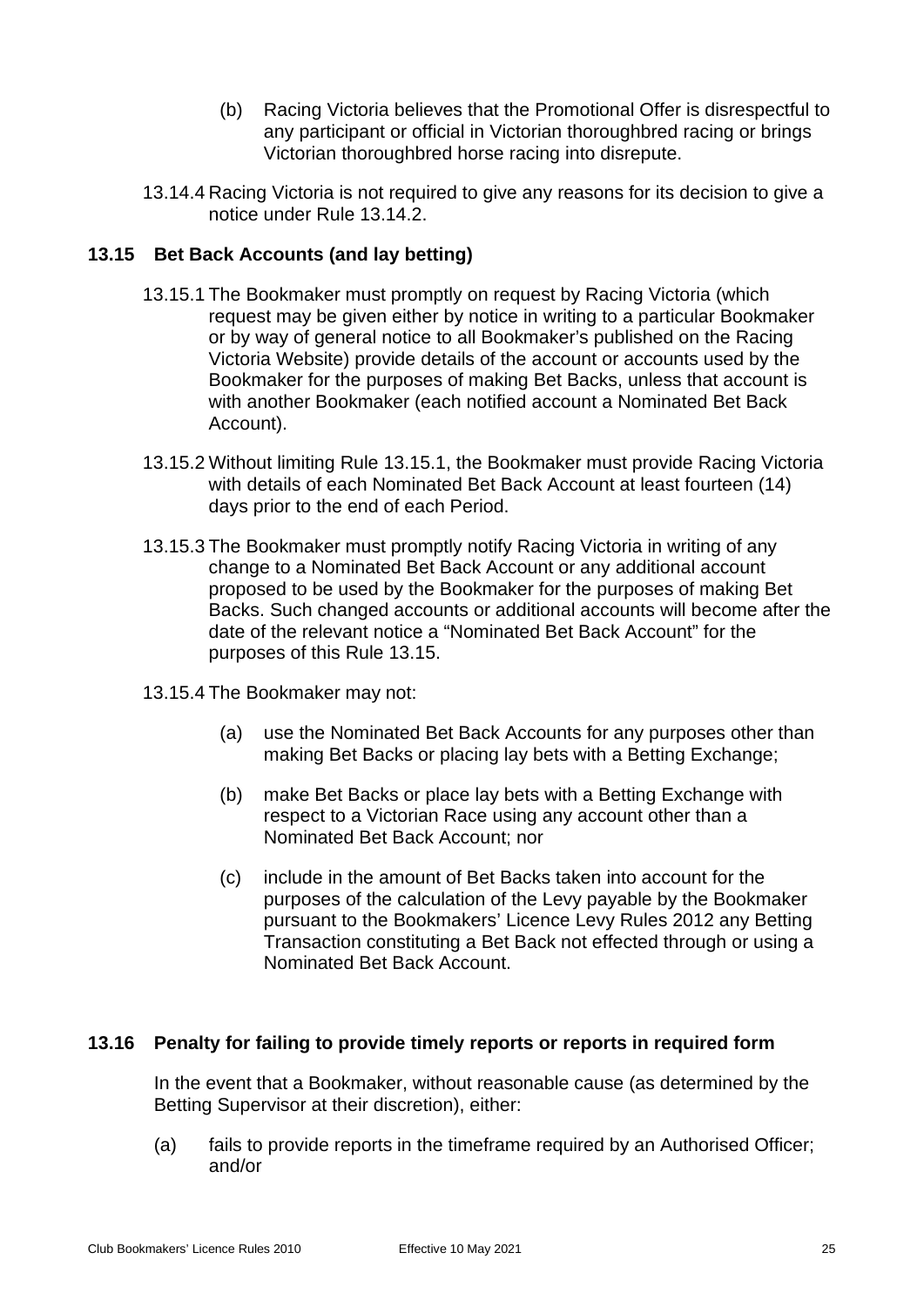- (b) Racing Victoria believes that the Promotional Offer is disrespectful to any participant or official in Victorian thoroughbred racing or brings Victorian thoroughbred horse racing into disrepute.
- 13.14.4 Racing Victoria is not required to give any reasons for its decision to give a notice under Rule [13.14.2.](#page-27-1)

## <span id="page-28-2"></span><span id="page-28-0"></span>**13.15 Bet Back Accounts (and lay betting)**

- 13.15.1 The Bookmaker must promptly on request by Racing Victoria (which request may be given either by notice in writing to a particular Bookmaker or by way of general notice to all Bookmaker's published on the Racing Victoria Website) provide details of the account or accounts used by the Bookmaker for the purposes of making Bet Backs, unless that account is with another Bookmaker (each notified account a Nominated Bet Back Account).
- 13.15.2 Without limiting Rule [13.15.1,](#page-28-2) the Bookmaker must provide Racing Victoria with details of each Nominated Bet Back Account at least fourteen (14) days prior to the end of each Period.
- 13.15.3 The Bookmaker must promptly notify Racing Victoria in writing of any change to a Nominated Bet Back Account or any additional account proposed to be used by the Bookmaker for the purposes of making Bet Backs. Such changed accounts or additional accounts will become after the date of the relevant notice a "Nominated Bet Back Account" for the purposes of this Rule [13.15.](#page-28-0)
- 13.15.4 The Bookmaker may not:
	- (a) use the Nominated Bet Back Accounts for any purposes other than making Bet Backs or placing lay bets with a Betting Exchange;
	- (b) make Bet Backs or place lay bets with a Betting Exchange with respect to a Victorian Race using any account other than a Nominated Bet Back Account; nor
	- (c) include in the amount of Bet Backs taken into account for the purposes of the calculation of the Levy payable by the Bookmaker pursuant to the Bookmakers' Licence Levy Rules 2012 any Betting Transaction constituting a Bet Back not effected through or using a Nominated Bet Back Account.

## <span id="page-28-1"></span>**13.16 Penalty for failing to provide timely reports or reports in required form**

In the event that a Bookmaker, without reasonable cause (as determined by the Betting Supervisor at their discretion), either:

(a) fails to provide reports in the timeframe required by an Authorised Officer; and/or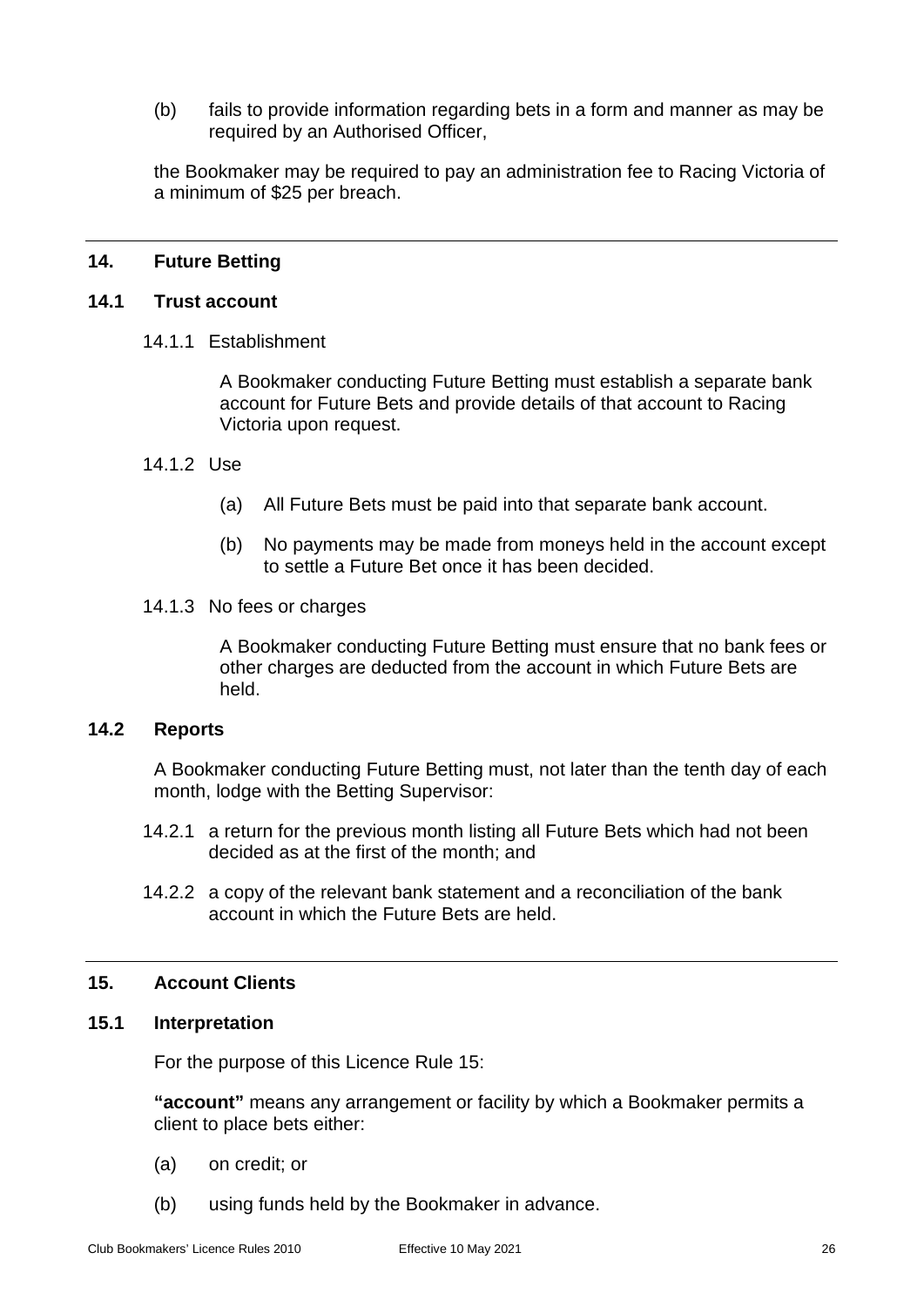(b) fails to provide information regarding bets in a form and manner as may be required by an Authorised Officer,

the Bookmaker may be required to pay an administration fee to Racing Victoria of a minimum of \$25 per breach.

#### <span id="page-29-1"></span><span id="page-29-0"></span>**14. Future Betting**

#### **14.1 Trust account**

14.1.1 Establishment

A Bookmaker conducting Future Betting must establish a separate bank account for Future Bets and provide details of that account to Racing Victoria upon request.

#### 14.1.2 Use

- (a) All Future Bets must be paid into that separate bank account.
- (b) No payments may be made from moneys held in the account except to settle a Future Bet once it has been decided.
- 14.1.3 No fees or charges

A Bookmaker conducting Future Betting must ensure that no bank fees or other charges are deducted from the account in which Future Bets are held.

#### <span id="page-29-2"></span>**14.2 Reports**

A Bookmaker conducting Future Betting must, not later than the tenth day of each month, lodge with the Betting Supervisor:

- 14.2.1 a return for the previous month listing all Future Bets which had not been decided as at the first of the month; and
- 14.2.2 a copy of the relevant bank statement and a reconciliation of the bank account in which the Future Bets are held.

#### <span id="page-29-4"></span><span id="page-29-3"></span>**15. Account Clients**

## **15.1 Interpretation**

For the purpose of this Licence Rule [15:](#page-29-3)

**"account"** means any arrangement or facility by which a Bookmaker permits a client to place bets either:

- (a) on credit; or
- (b) using funds held by the Bookmaker in advance.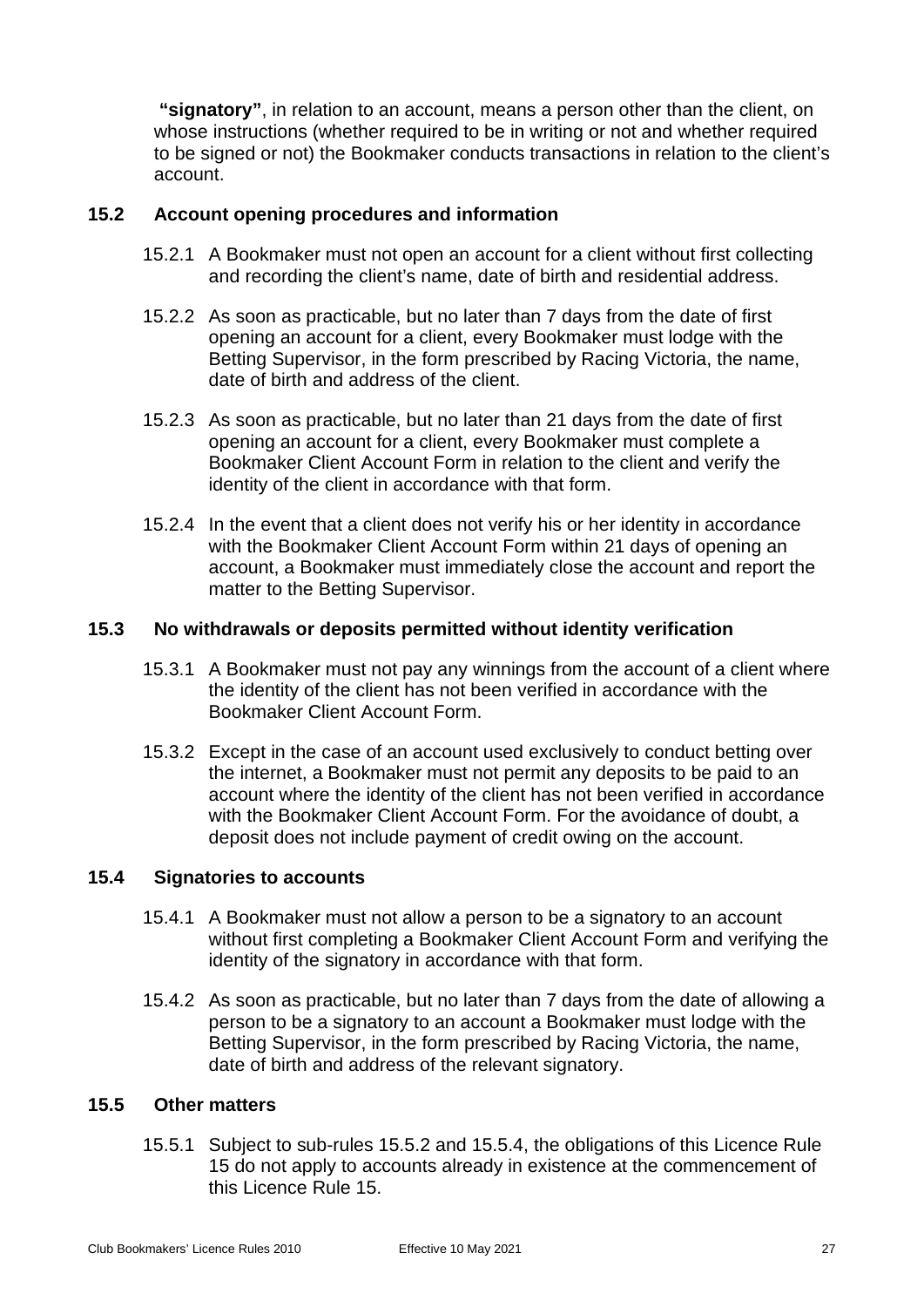**"signatory"**, in relation to an account, means a person other than the client, on whose instructions (whether required to be in writing or not and whether required to be signed or not) the Bookmaker conducts transactions in relation to the client's account.

## <span id="page-30-0"></span>**15.2 Account opening procedures and information**

- 15.2.1 A Bookmaker must not open an account for a client without first collecting and recording the client's name, date of birth and residential address.
- 15.2.2 As soon as practicable, but no later than 7 days from the date of first opening an account for a client, every Bookmaker must lodge with the Betting Supervisor, in the form prescribed by Racing Victoria, the name, date of birth and address of the client.
- 15.2.3 As soon as practicable, but no later than 21 days from the date of first opening an account for a client, every Bookmaker must complete a Bookmaker Client Account Form in relation to the client and verify the identity of the client in accordance with that form.
- 15.2.4 In the event that a client does not verify his or her identity in accordance with the Bookmaker Client Account Form within 21 days of opening an account, a Bookmaker must immediately close the account and report the matter to the Betting Supervisor.

## <span id="page-30-1"></span>**15.3 No withdrawals or deposits permitted without identity verification**

- 15.3.1 A Bookmaker must not pay any winnings from the account of a client where the identity of the client has not been verified in accordance with the Bookmaker Client Account Form.
- 15.3.2 Except in the case of an account used exclusively to conduct betting over the internet, a Bookmaker must not permit any deposits to be paid to an account where the identity of the client has not been verified in accordance with the Bookmaker Client Account Form. For the avoidance of doubt, a deposit does not include payment of credit owing on the account.

#### <span id="page-30-2"></span>**15.4 Signatories to accounts**

- 15.4.1 A Bookmaker must not allow a person to be a signatory to an account without first completing a Bookmaker Client Account Form and verifying the identity of the signatory in accordance with that form.
- 15.4.2 As soon as practicable, but no later than 7 days from the date of allowing a person to be a signatory to an account a Bookmaker must lodge with the Betting Supervisor, in the form prescribed by Racing Victoria, the name, date of birth and address of the relevant signatory.

#### <span id="page-30-3"></span>**15.5 Other matters**

15.5.1 Subject to sub-rules [15.5.2](#page-31-6) and [15.5.4,](#page-31-7) the obligations of this Licence Rule [15](#page-29-3) do not apply to accounts already in existence at the commencement of this Licence Rule [15.](#page-29-3)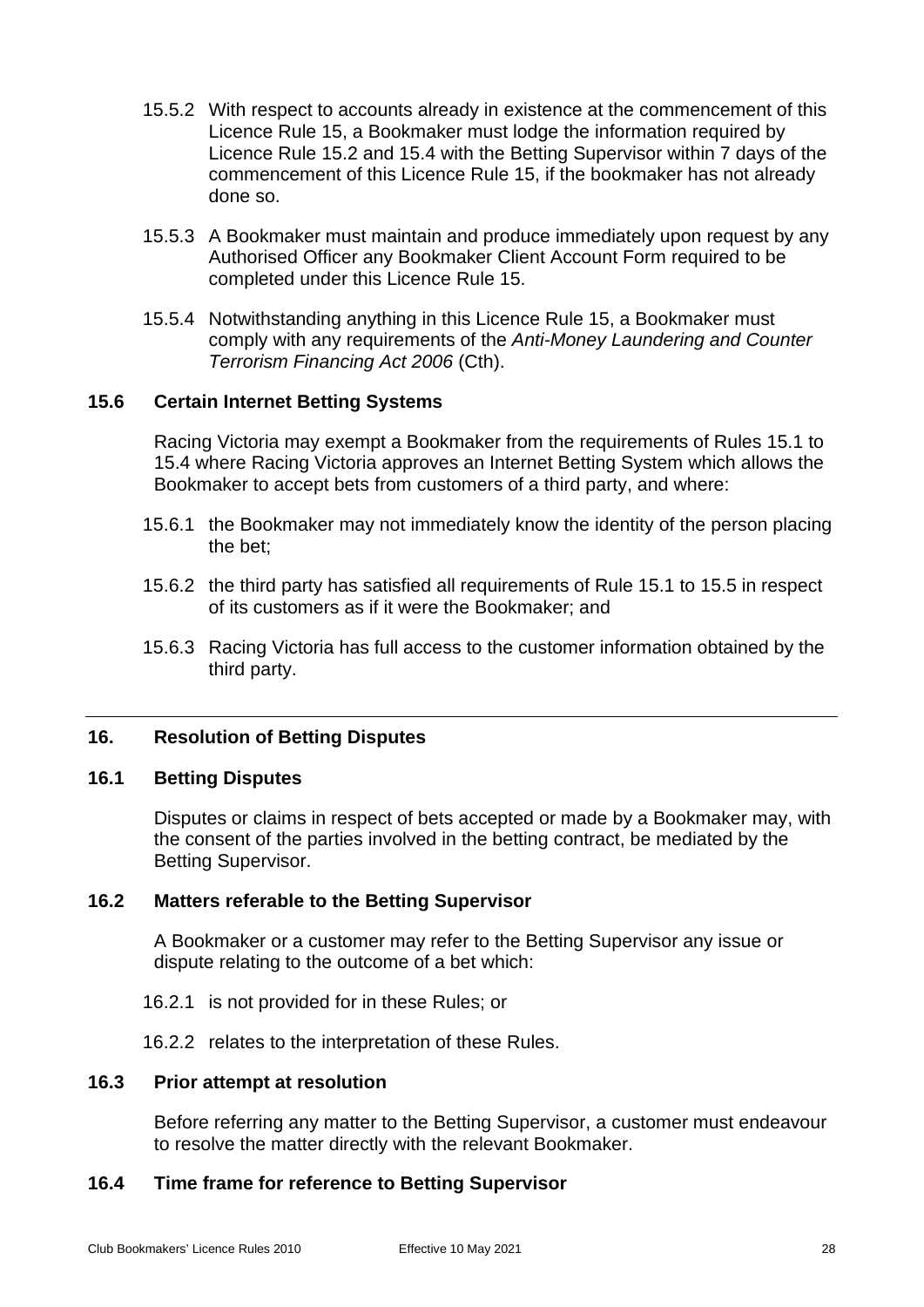- <span id="page-31-6"></span>15.5.2 With respect to accounts already in existence at the commencement of this Licence Rule [15,](#page-29-3) a Bookmaker must lodge the information required by Licence Rule [15.2](#page-30-0) and [15.4](#page-30-2) with the Betting Supervisor within 7 days of the commencement of this Licence Rule [15,](#page-29-3) if the bookmaker has not already done so.
- 15.5.3 A Bookmaker must maintain and produce immediately upon request by any Authorised Officer any Bookmaker Client Account Form required to be completed under this Licence Rule [15.](#page-29-3)
- <span id="page-31-7"></span>15.5.4 Notwithstanding anything in this Licence Rule [15,](#page-29-3) a Bookmaker must comply with any requirements of the *Anti-Money Laundering and Counter Terrorism Financing Act 2006* (Cth).

## <span id="page-31-0"></span>**15.6 Certain Internet Betting Systems**

Racing Victoria may exempt a Bookmaker from the requirements of Rules 15.1 to 15.4 where Racing Victoria approves an Internet Betting System which allows the Bookmaker to accept bets from customers of a third party, and where:

- 15.6.1 the Bookmaker may not immediately know the identity of the person placing the bet;
- 15.6.2 the third party has satisfied all requirements of Rule 15.1 to 15.5 in respect of its customers as if it were the Bookmaker; and
- 15.6.3 Racing Victoria has full access to the customer information obtained by the third party.

#### <span id="page-31-2"></span><span id="page-31-1"></span>**16. Resolution of Betting Disputes**

#### **16.1 Betting Disputes**

Disputes or claims in respect of bets accepted or made by a Bookmaker may, with the consent of the parties involved in the betting contract, be mediated by the Betting Supervisor.

#### <span id="page-31-3"></span>**16.2 Matters referable to the Betting Supervisor**

A Bookmaker or a customer may refer to the Betting Supervisor any issue or dispute relating to the outcome of a bet which:

- 16.2.1 is not provided for in these Rules; or
- 16.2.2 relates to the interpretation of these Rules.

#### <span id="page-31-4"></span>**16.3 Prior attempt at resolution**

Before referring any matter to the Betting Supervisor, a customer must endeavour to resolve the matter directly with the relevant Bookmaker.

#### <span id="page-31-5"></span>**16.4 Time frame for reference to Betting Supervisor**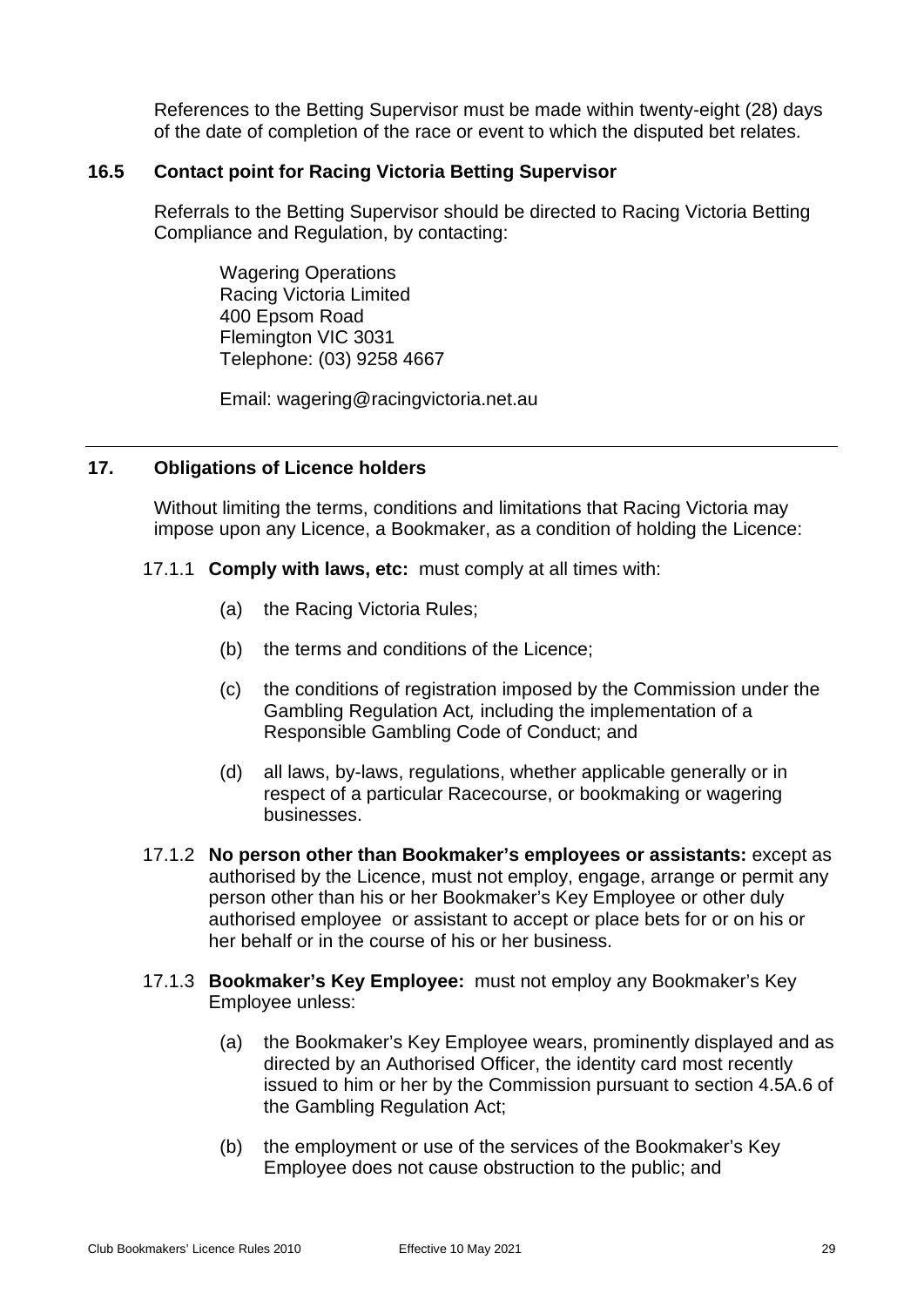References to the Betting Supervisor must be made within twenty-eight (28) days of the date of completion of the race or event to which the disputed bet relates.

## <span id="page-32-0"></span>**16.5 Contact point for Racing Victoria Betting Supervisor**

Referrals to the Betting Supervisor should be directed to Racing Victoria Betting Compliance and Regulation, by contacting:

Wagering Operations Racing Victoria Limited 400 Epsom Road Flemington VIC 3031 Telephone: (03) 9258 4667

Email: wagering@racingvictoria.net.au

## <span id="page-32-1"></span>**17. Obligations of Licence holders**

Without limiting the terms, conditions and limitations that Racing Victoria may impose upon any Licence, a Bookmaker, as a condition of holding the Licence:

- 17.1.1 **Comply with laws, etc:** must comply at all times with:
	- (a) the Racing Victoria Rules;
	- (b) the terms and conditions of the Licence;
	- (c) the conditions of registration imposed by the Commission under the Gambling Regulation Act*,* including the implementation of a Responsible Gambling Code of Conduct; and
	- (d) all laws, by-laws, regulations, whether applicable generally or in respect of a particular Racecourse, or bookmaking or wagering businesses.
- 17.1.2 **No person other than Bookmaker's employees or assistants:** except as authorised by the Licence, must not employ, engage, arrange or permit any person other than his or her Bookmaker's Key Employee or other duly authorised employee or assistant to accept or place bets for or on his or her behalf or in the course of his or her business.
- 17.1.3 **Bookmaker's Key Employee:** must not employ any Bookmaker's Key Employee unless:
	- (a) the Bookmaker's Key Employee wears, prominently displayed and as directed by an Authorised Officer, the identity card most recently issued to him or her by the Commission pursuant to section 4.5A.6 of the Gambling Regulation Act;
	- (b) the employment or use of the services of the Bookmaker's Key Employee does not cause obstruction to the public; and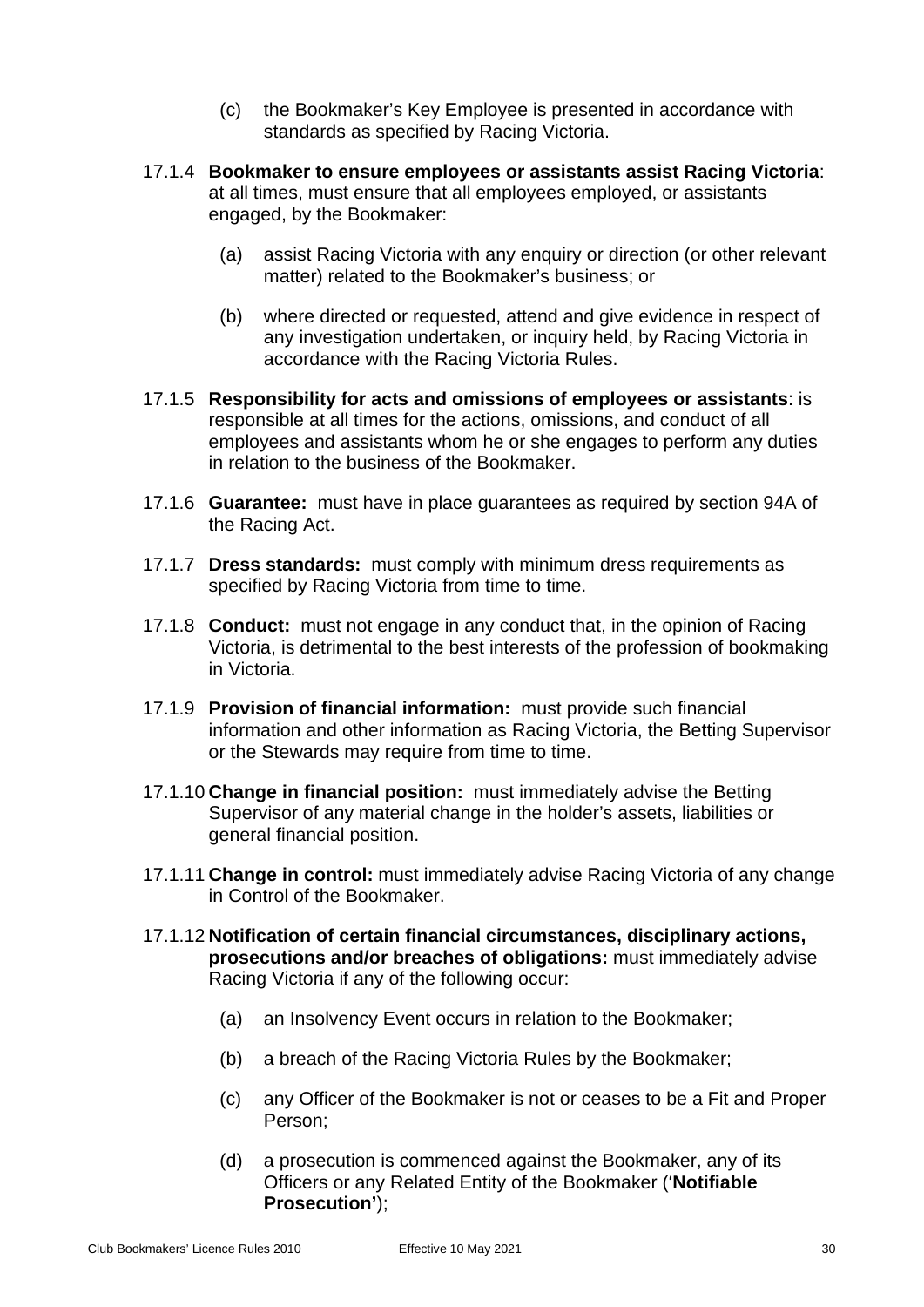- (c) the Bookmaker's Key Employee is presented in accordance with standards as specified by Racing Victoria.
- 17.1.4 **Bookmaker to ensure employees or assistants assist Racing Victoria**: at all times, must ensure that all employees employed, or assistants engaged, by the Bookmaker:
	- (a) assist Racing Victoria with any enquiry or direction (or other relevant matter) related to the Bookmaker's business; or
	- (b) where directed or requested, attend and give evidence in respect of any investigation undertaken, or inquiry held, by Racing Victoria in accordance with the Racing Victoria Rules.
- 17.1.5 **Responsibility for acts and omissions of employees or assistants**: is responsible at all times for the actions, omissions, and conduct of all employees and assistants whom he or she engages to perform any duties in relation to the business of the Bookmaker.
- 17.1.6 **Guarantee:** must have in place guarantees as required by section 94A of the Racing Act.
- 17.1.7 **Dress standards:** must comply with minimum dress requirements as specified by Racing Victoria from time to time.
- 17.1.8 **Conduct:** must not engage in any conduct that, in the opinion of Racing Victoria, is detrimental to the best interests of the profession of bookmaking in Victoria.
- 17.1.9 **Provision of financial information:** must provide such financial information and other information as Racing Victoria, the Betting Supervisor or the Stewards may require from time to time.
- 17.1.10 **Change in financial position:** must immediately advise the Betting Supervisor of any material change in the holder's assets, liabilities or general financial position.
- 17.1.11 **Change in control:** must immediately advise Racing Victoria of any change in Control of the Bookmaker.
- 17.1.12 **Notification of certain financial circumstances, disciplinary actions, prosecutions and/or breaches of obligations:** must immediately advise Racing Victoria if any of the following occur:
	- (a) an Insolvency Event occurs in relation to the Bookmaker;
	- (b) a breach of the Racing Victoria Rules by the Bookmaker;
	- (c) any Officer of the Bookmaker is not or ceases to be a Fit and Proper Person;
	- (d) a prosecution is commenced against the Bookmaker, any of its Officers or any Related Entity of the Bookmaker ('**Notifiable Prosecution'**);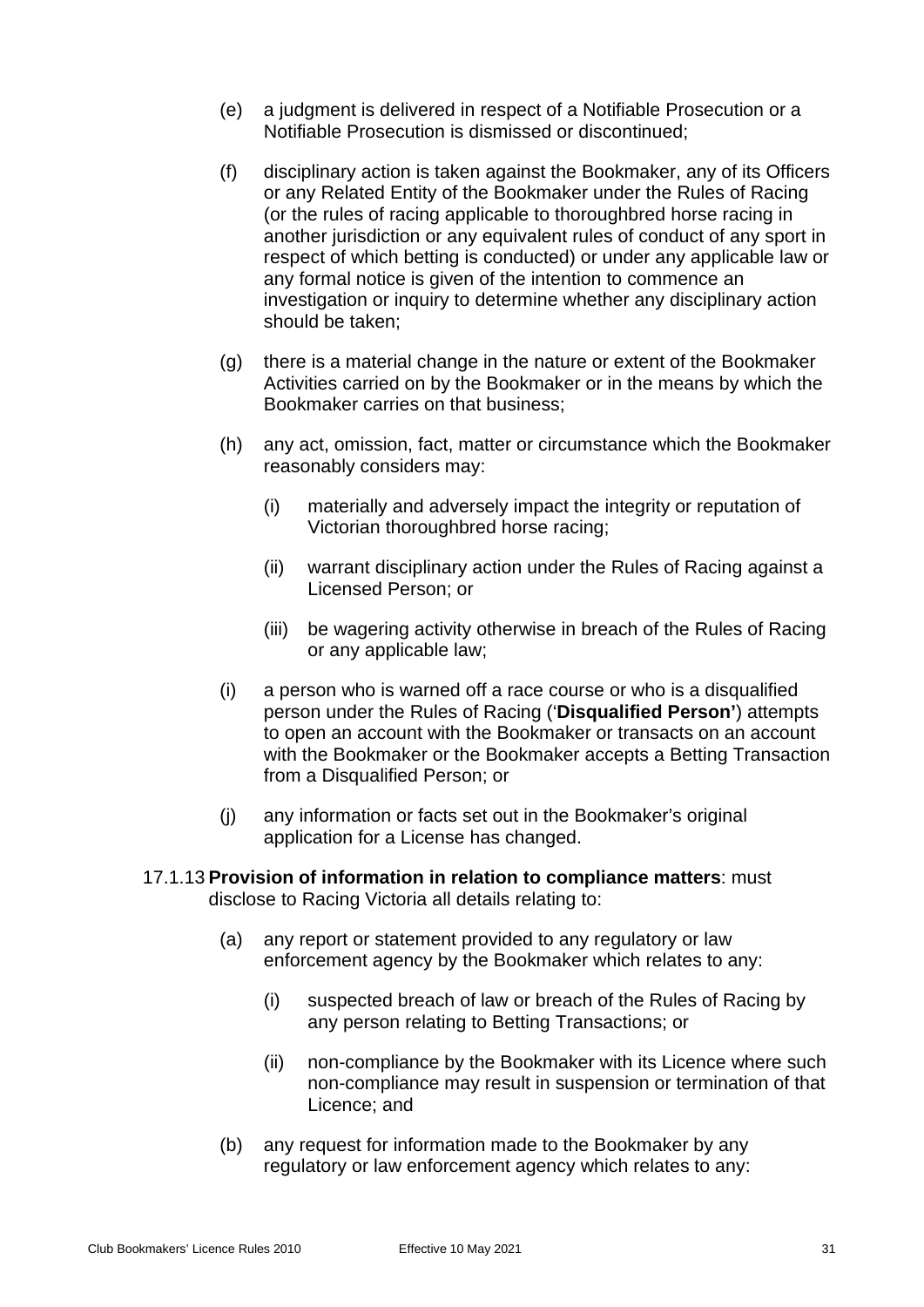- (e) a judgment is delivered in respect of a Notifiable Prosecution or a Notifiable Prosecution is dismissed or discontinued;
- (f) disciplinary action is taken against the Bookmaker, any of its Officers or any Related Entity of the Bookmaker under the Rules of Racing (or the rules of racing applicable to thoroughbred horse racing in another jurisdiction or any equivalent rules of conduct of any sport in respect of which betting is conducted) or under any applicable law or any formal notice is given of the intention to commence an investigation or inquiry to determine whether any disciplinary action should be taken;
- (g) there is a material change in the nature or extent of the Bookmaker Activities carried on by the Bookmaker or in the means by which the Bookmaker carries on that business;
- (h) any act, omission, fact, matter or circumstance which the Bookmaker reasonably considers may:
	- (i) materially and adversely impact the integrity or reputation of Victorian thoroughbred horse racing;
	- (ii) warrant disciplinary action under the Rules of Racing against a Licensed Person; or
	- (iii) be wagering activity otherwise in breach of the Rules of Racing or any applicable law;
- (i) a person who is warned off a race course or who is a disqualified person under the Rules of Racing ('**Disqualified Person'**) attempts to open an account with the Bookmaker or transacts on an account with the Bookmaker or the Bookmaker accepts a Betting Transaction from a Disqualified Person; or
- (j) any information or facts set out in the Bookmaker's original application for a License has changed.
- 17.1.13 **Provision of information in relation to compliance matters**: must disclose to Racing Victoria all details relating to:
	- (a) any report or statement provided to any regulatory or law enforcement agency by the Bookmaker which relates to any:
		- (i) suspected breach of law or breach of the Rules of Racing by any person relating to Betting Transactions; or
		- (ii) non-compliance by the Bookmaker with its Licence where such non-compliance may result in suspension or termination of that Licence; and
	- (b) any request for information made to the Bookmaker by any regulatory or law enforcement agency which relates to any: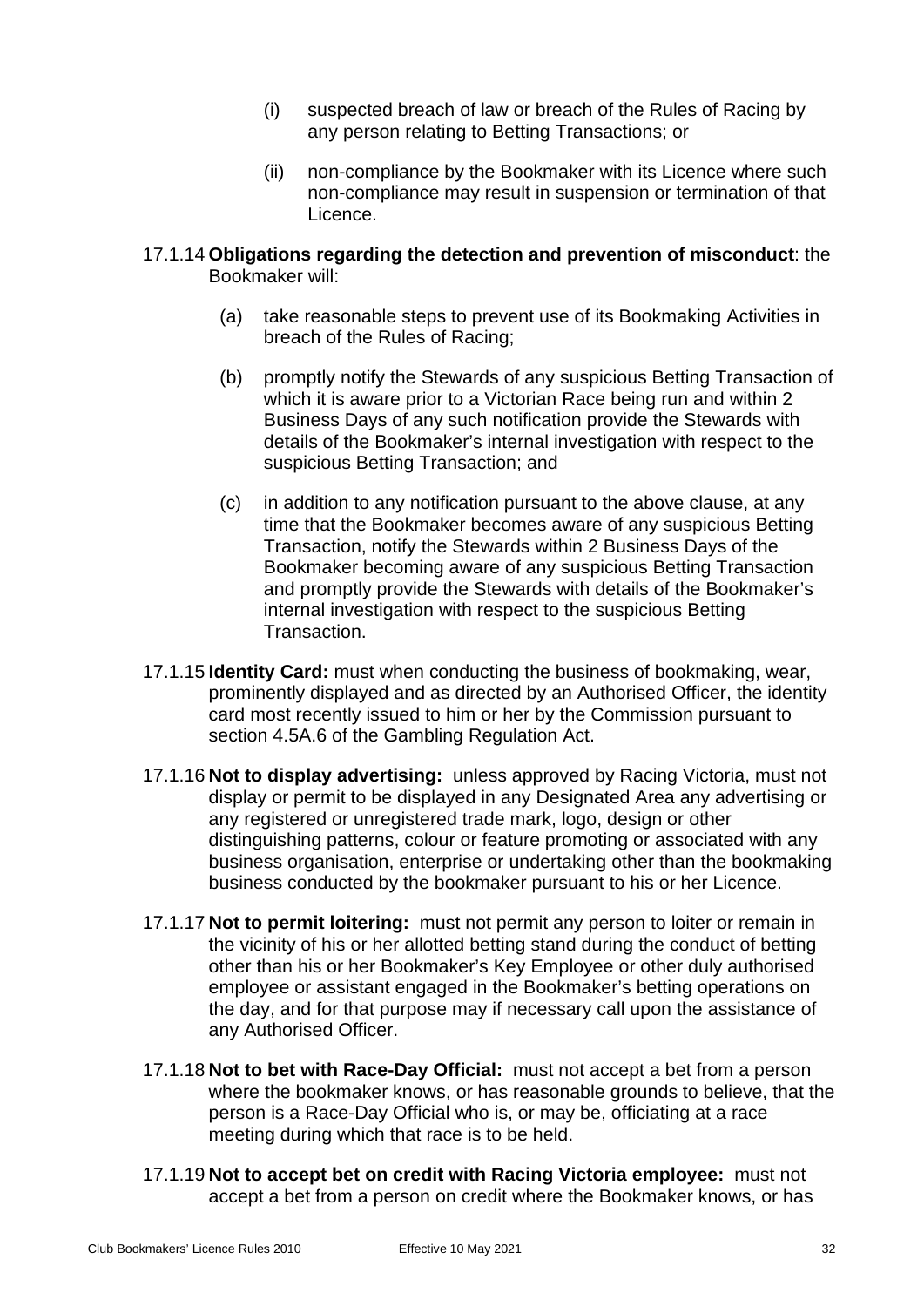- (i) suspected breach of law or breach of the Rules of Racing by any person relating to Betting Transactions; or
- (ii) non-compliance by the Bookmaker with its Licence where such non-compliance may result in suspension or termination of that Licence.
- 17.1.14 **Obligations regarding the detection and prevention of misconduct**: the Bookmaker will:
	- (a) take reasonable steps to prevent use of its Bookmaking Activities in breach of the Rules of Racing;
	- (b) promptly notify the Stewards of any suspicious Betting Transaction of which it is aware prior to a Victorian Race being run and within 2 Business Days of any such notification provide the Stewards with details of the Bookmaker's internal investigation with respect to the suspicious Betting Transaction; and
	- (c) in addition to any notification pursuant to the above clause, at any time that the Bookmaker becomes aware of any suspicious Betting Transaction, notify the Stewards within 2 Business Days of the Bookmaker becoming aware of any suspicious Betting Transaction and promptly provide the Stewards with details of the Bookmaker's internal investigation with respect to the suspicious Betting Transaction.
- 17.1.15 **Identity Card:** must when conducting the business of bookmaking, wear, prominently displayed and as directed by an Authorised Officer, the identity card most recently issued to him or her by the Commission pursuant to section 4.5A.6 of the Gambling Regulation Act.
- 17.1.16 **Not to display advertising:** unless approved by Racing Victoria, must not display or permit to be displayed in any Designated Area any advertising or any registered or unregistered trade mark, logo, design or other distinguishing patterns, colour or feature promoting or associated with any business organisation, enterprise or undertaking other than the bookmaking business conducted by the bookmaker pursuant to his or her Licence.
- 17.1.17 **Not to permit loitering:** must not permit any person to loiter or remain in the vicinity of his or her allotted betting stand during the conduct of betting other than his or her Bookmaker's Key Employee or other duly authorised employee or assistant engaged in the Bookmaker's betting operations on the day, and for that purpose may if necessary call upon the assistance of any Authorised Officer.
- 17.1.18 **Not to bet with Race-Day Official:** must not accept a bet from a person where the bookmaker knows, or has reasonable grounds to believe, that the person is a Race-Day Official who is, or may be, officiating at a race meeting during which that race is to be held.
- <span id="page-35-0"></span>17.1.19 **Not to accept bet on credit with Racing Victoria employee:** must not accept a bet from a person on credit where the Bookmaker knows, or has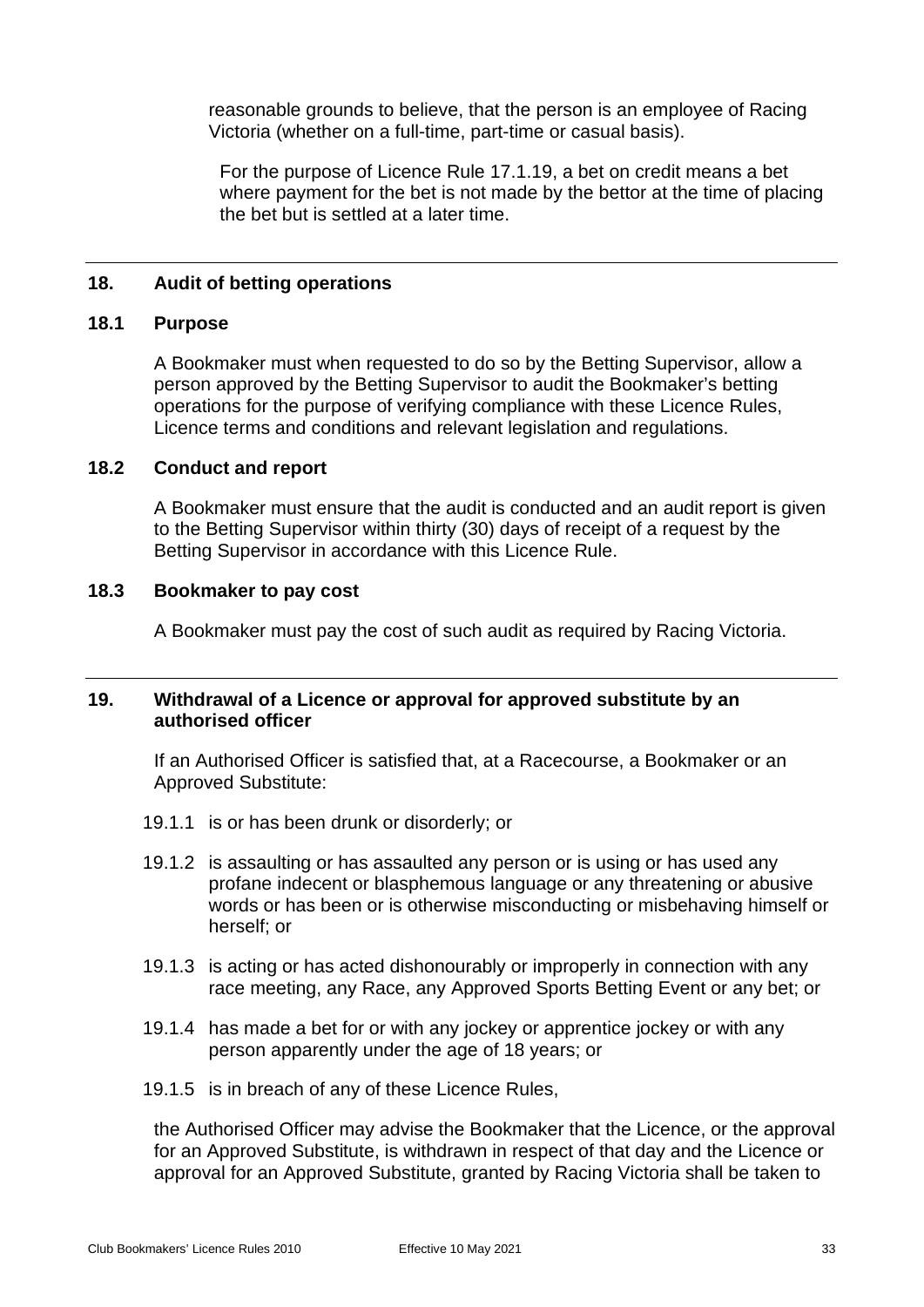reasonable grounds to believe, that the person is an employee of Racing Victoria (whether on a full-time, part-time or casual basis).

For the purpose of Licence Rule [17.1.19,](#page-35-0) a bet on credit means a bet where payment for the bet is not made by the bettor at the time of placing the bet but is settled at a later time.

#### <span id="page-36-1"></span><span id="page-36-0"></span>**18. Audit of betting operations**

#### **18.1 Purpose**

A Bookmaker must when requested to do so by the Betting Supervisor, allow a person approved by the Betting Supervisor to audit the Bookmaker's betting operations for the purpose of verifying compliance with these Licence Rules, Licence terms and conditions and relevant legislation and regulations.

#### <span id="page-36-2"></span>**18.2 Conduct and report**

A Bookmaker must ensure that the audit is conducted and an audit report is given to the Betting Supervisor within thirty (30) days of receipt of a request by the Betting Supervisor in accordance with this Licence Rule.

#### <span id="page-36-3"></span>**18.3 Bookmaker to pay cost**

A Bookmaker must pay the cost of such audit as required by Racing Victoria.

#### <span id="page-36-4"></span>**19. Withdrawal of a Licence or approval for approved substitute by an authorised officer**

If an Authorised Officer is satisfied that, at a Racecourse, a Bookmaker or an Approved Substitute:

- 19.1.1 is or has been drunk or disorderly; or
- 19.1.2 is assaulting or has assaulted any person or is using or has used any profane indecent or blasphemous language or any threatening or abusive words or has been or is otherwise misconducting or misbehaving himself or herself; or
- 19.1.3 is acting or has acted dishonourably or improperly in connection with any race meeting, any Race, any Approved Sports Betting Event or any bet; or
- 19.1.4 has made a bet for or with any jockey or apprentice jockey or with any person apparently under the age of 18 years; or
- 19.1.5 is in breach of any of these Licence Rules,

the Authorised Officer may advise the Bookmaker that the Licence, or the approval for an Approved Substitute, is withdrawn in respect of that day and the Licence or approval for an Approved Substitute, granted by Racing Victoria shall be taken to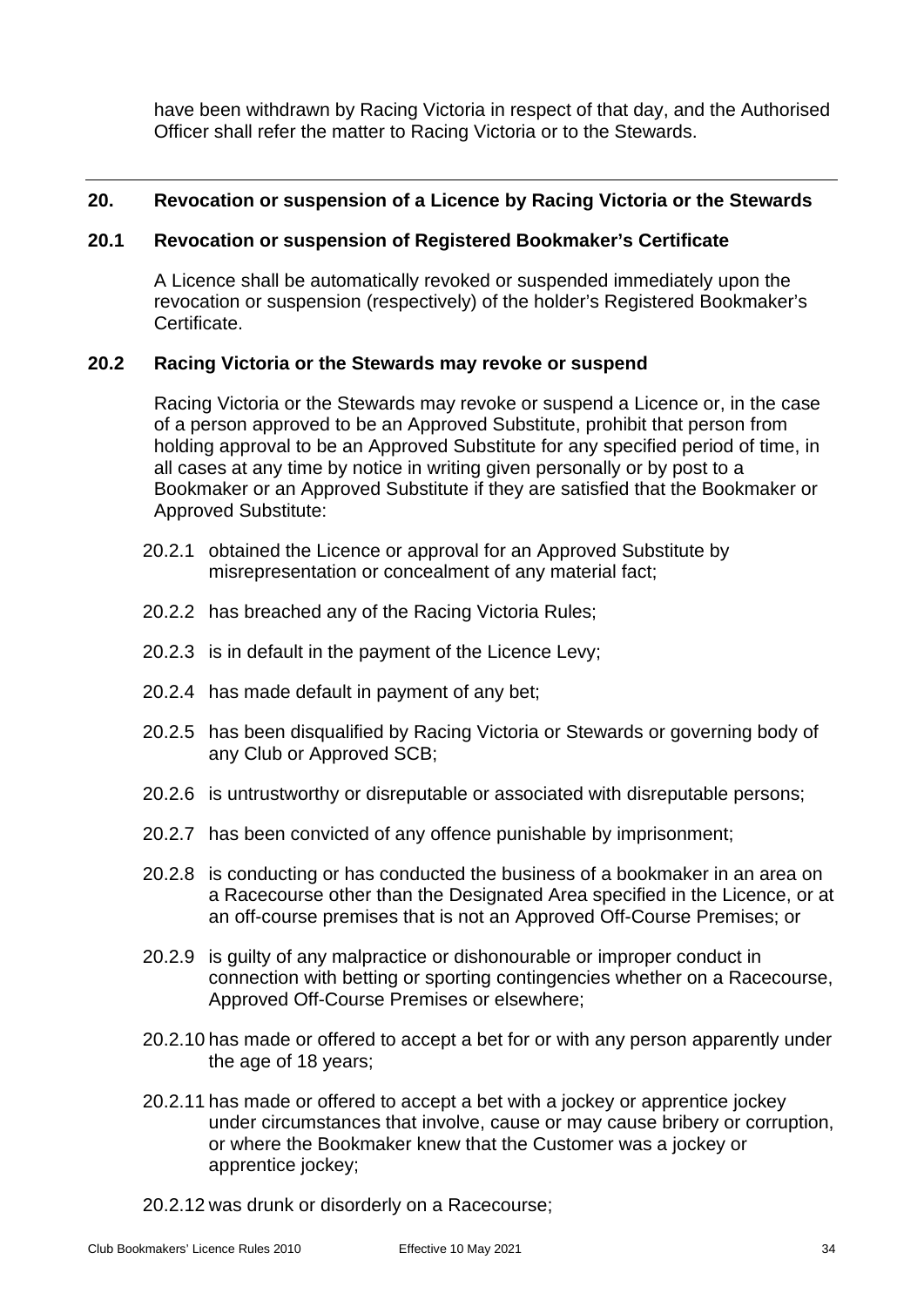have been withdrawn by Racing Victoria in respect of that day, and the Authorised Officer shall refer the matter to Racing Victoria or to the Stewards.

## <span id="page-37-1"></span><span id="page-37-0"></span>**20. Revocation or suspension of a Licence by Racing Victoria or the Stewards**

## **20.1 Revocation or suspension of Registered Bookmaker's Certificate**

A Licence shall be automatically revoked or suspended immediately upon the revocation or suspension (respectively) of the holder's Registered Bookmaker's **Certificate** 

## <span id="page-37-2"></span>**20.2 Racing Victoria or the Stewards may revoke or suspend**

Racing Victoria or the Stewards may revoke or suspend a Licence or, in the case of a person approved to be an Approved Substitute, prohibit that person from holding approval to be an Approved Substitute for any specified period of time, in all cases at any time by notice in writing given personally or by post to a Bookmaker or an Approved Substitute if they are satisfied that the Bookmaker or Approved Substitute:

- 20.2.1 obtained the Licence or approval for an Approved Substitute by misrepresentation or concealment of any material fact;
- 20.2.2 has breached any of the Racing Victoria Rules;
- 20.2.3 is in default in the payment of the Licence Levy;
- 20.2.4 has made default in payment of any bet;
- 20.2.5 has been disqualified by Racing Victoria or Stewards or governing body of any Club or Approved SCB;
- 20.2.6 is untrustworthy or disreputable or associated with disreputable persons;
- 20.2.7 has been convicted of any offence punishable by imprisonment;
- 20.2.8 is conducting or has conducted the business of a bookmaker in an area on a Racecourse other than the Designated Area specified in the Licence, or at an off-course premises that is not an Approved Off-Course Premises; or
- 20.2.9 is guilty of any malpractice or dishonourable or improper conduct in connection with betting or sporting contingencies whether on a Racecourse, Approved Off-Course Premises or elsewhere;
- 20.2.10 has made or offered to accept a bet for or with any person apparently under the age of 18 years;
- 20.2.11 has made or offered to accept a bet with a jockey or apprentice jockey under circumstances that involve, cause or may cause bribery or corruption, or where the Bookmaker knew that the Customer was a jockey or apprentice jockey;
- 20.2.12 was drunk or disorderly on a Racecourse;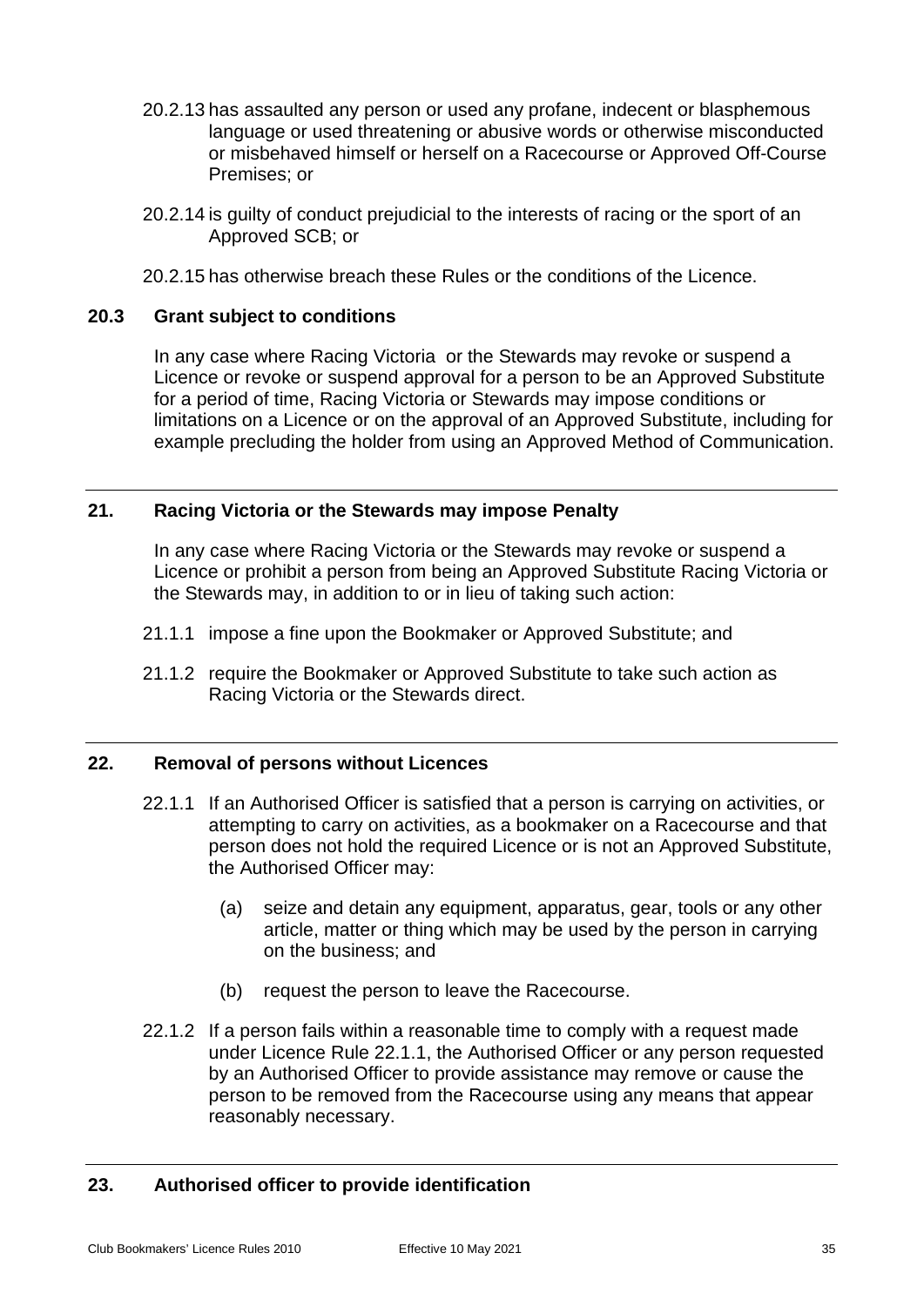- 20.2.13 has assaulted any person or used any profane, indecent or blasphemous language or used threatening or abusive words or otherwise misconducted or misbehaved himself or herself on a Racecourse or Approved Off-Course Premises; or
- 20.2.14 is guilty of conduct prejudicial to the interests of racing or the sport of an Approved SCB; or
- 20.2.15 has otherwise breach these Rules or the conditions of the Licence.

#### <span id="page-38-0"></span>**20.3 Grant subject to conditions**

In any case where Racing Victoria or the Stewards may revoke or suspend a Licence or revoke or suspend approval for a person to be an Approved Substitute for a period of time, Racing Victoria or Stewards may impose conditions or limitations on a Licence or on the approval of an Approved Substitute, including for example precluding the holder from using an Approved Method of Communication.

## <span id="page-38-1"></span>**21. Racing Victoria or the Stewards may impose Penalty**

In any case where Racing Victoria or the Stewards may revoke or suspend a Licence or prohibit a person from being an Approved Substitute Racing Victoria or the Stewards may, in addition to or in lieu of taking such action:

- 21.1.1 impose a fine upon the Bookmaker or Approved Substitute; and
- 21.1.2 require the Bookmaker or Approved Substitute to take such action as Racing Victoria or the Stewards direct.

#### <span id="page-38-4"></span><span id="page-38-2"></span>**22. Removal of persons without Licences**

- 22.1.1 If an Authorised Officer is satisfied that a person is carrying on activities, or attempting to carry on activities, as a bookmaker on a Racecourse and that person does not hold the required Licence or is not an Approved Substitute, the Authorised Officer may:
	- (a) seize and detain any equipment, apparatus, gear, tools or any other article, matter or thing which may be used by the person in carrying on the business; and
	- (b) request the person to leave the Racecourse.
- 22.1.2 If a person fails within a reasonable time to comply with a request made under Licence Rule [22.1.1,](#page-38-4) the Authorised Officer or any person requested by an Authorised Officer to provide assistance may remove or cause the person to be removed from the Racecourse using any means that appear reasonably necessary.

#### <span id="page-38-3"></span>**23. Authorised officer to provide identification**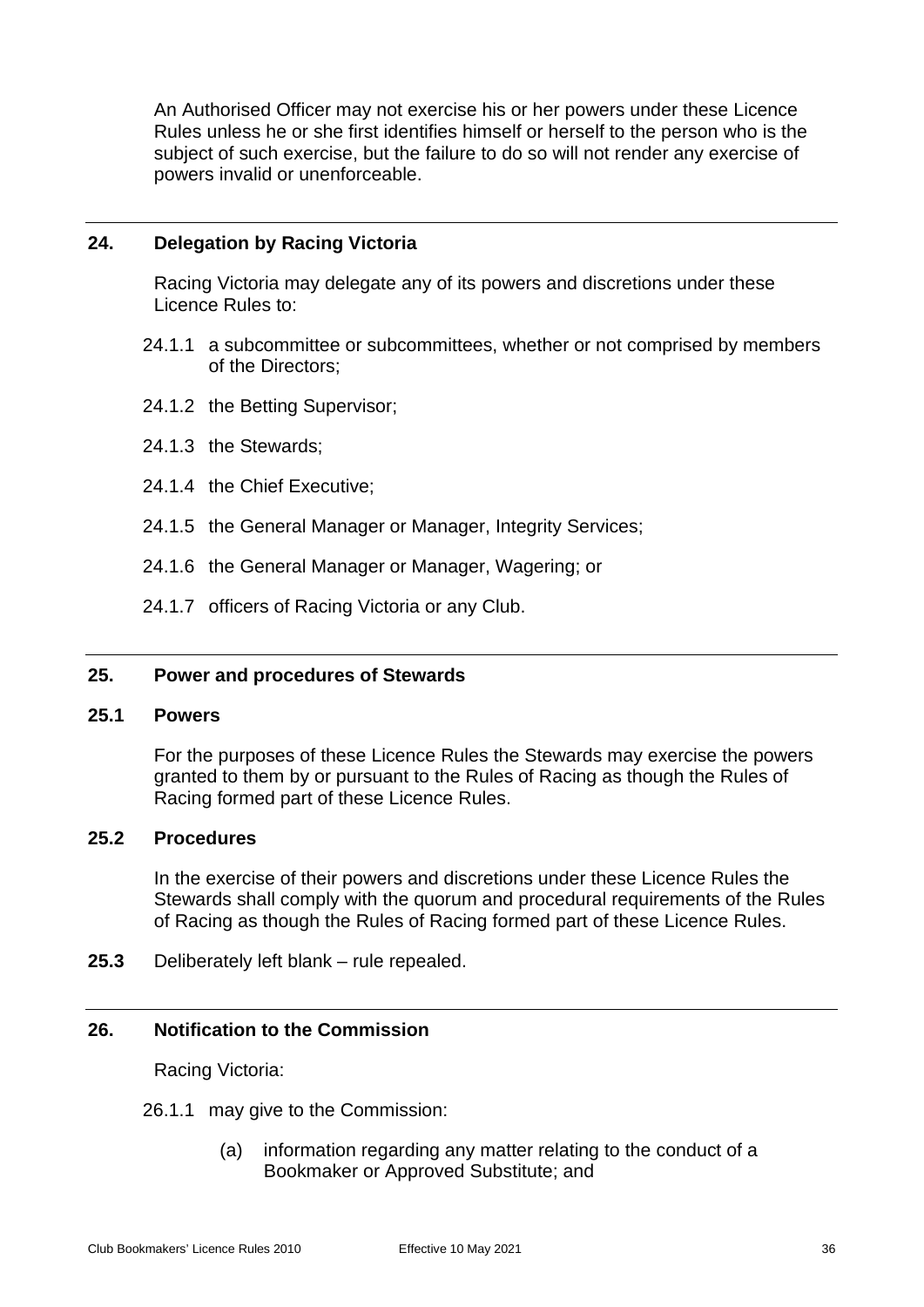An Authorised Officer may not exercise his or her powers under these Licence Rules unless he or she first identifies himself or herself to the person who is the subject of such exercise, but the failure to do so will not render any exercise of powers invalid or unenforceable.

## <span id="page-39-0"></span>**24. Delegation by Racing Victoria**

Racing Victoria may delegate any of its powers and discretions under these Licence Rules to:

- 24.1.1 a subcommittee or subcommittees, whether or not comprised by members of the Directors;
- 24.1.2 the Betting Supervisor;
- 24.1.3 the Stewards;
- 24.1.4 the Chief Executive;
- 24.1.5 the General Manager or Manager, Integrity Services;
- 24.1.6 the General Manager or Manager, Wagering; or
- 24.1.7 officers of Racing Victoria or any Club.

## <span id="page-39-2"></span><span id="page-39-1"></span>**25. Power and procedures of Stewards**

#### **25.1 Powers**

For the purposes of these Licence Rules the Stewards may exercise the powers granted to them by or pursuant to the Rules of Racing as though the Rules of Racing formed part of these Licence Rules.

#### <span id="page-39-3"></span>**25.2 Procedures**

In the exercise of their powers and discretions under these Licence Rules the Stewards shall comply with the quorum and procedural requirements of the Rules of Racing as though the Rules of Racing formed part of these Licence Rules.

<span id="page-39-5"></span><span id="page-39-4"></span>**25.3** Deliberately left blank – rule repealed.

#### **26. Notification to the Commission**

Racing Victoria:

- 26.1.1 may give to the Commission:
	- (a) information regarding any matter relating to the conduct of a Bookmaker or Approved Substitute; and